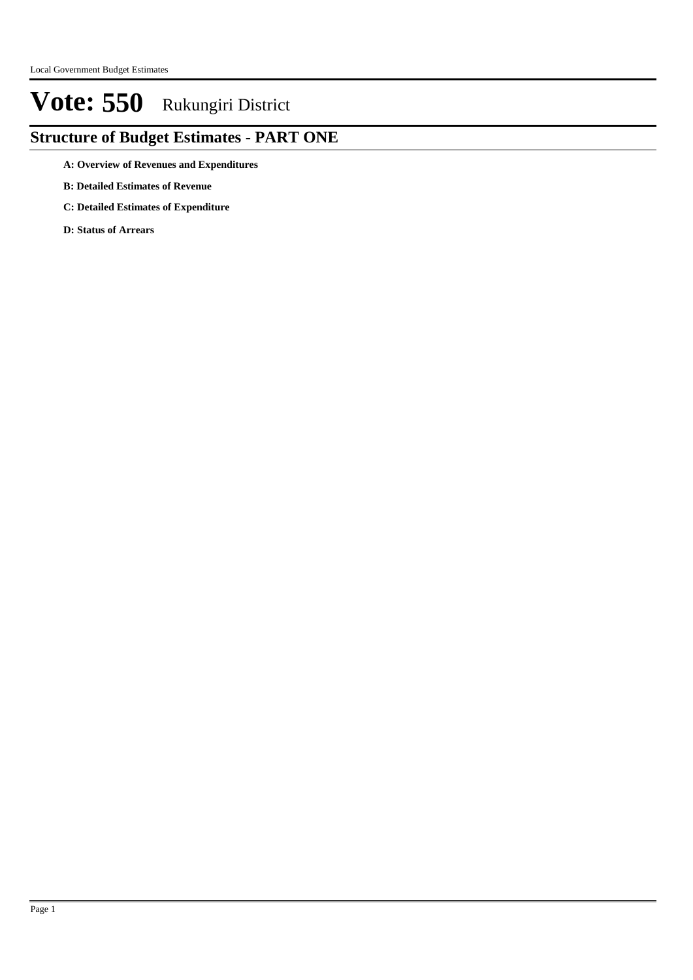### **Structure of Budget Estimates - PART ONE**

- **A: Overview of Revenues and Expenditures**
- **B: Detailed Estimates of Revenue**
- **C: Detailed Estimates of Expenditure**
- **D: Status of Arrears**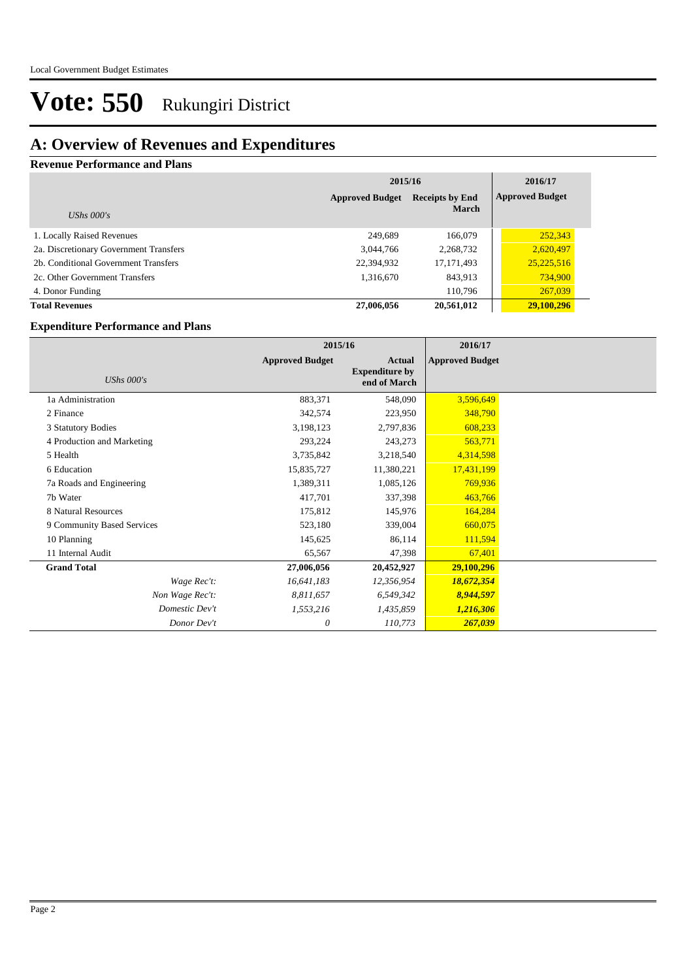## **A: Overview of Revenues and Expenditures**

#### **Revenue Performance and Plans**

|                                        | 2015/16                | 2016/17                                |                        |
|----------------------------------------|------------------------|----------------------------------------|------------------------|
|                                        | <b>Approved Budget</b> | <b>Receipts by End</b><br><b>March</b> | <b>Approved Budget</b> |
| UShs $000's$                           |                        |                                        |                        |
| 1. Locally Raised Revenues             | 249.689                | 166,079                                | 252,343                |
| 2a. Discretionary Government Transfers | 3,044,766              | 2,268,732                              | 2,620,497              |
| 2b. Conditional Government Transfers   | 22,394,932             | 17, 171, 493                           | 25,225,516             |
| 2c. Other Government Transfers         | 1,316,670              | 843,913                                | 734,900                |
| 4. Donor Funding                       |                        | 110,796                                | 267,039                |
| <b>Total Revenues</b>                  | 27,006,056             | 20,561,012                             | 29,100,296             |

#### **Expenditure Performance and Plans**

|                            | 2015/16                |                                                 | 2016/17                |  |
|----------------------------|------------------------|-------------------------------------------------|------------------------|--|
| UShs $000's$               | <b>Approved Budget</b> | Actual<br><b>Expenditure by</b><br>end of March | <b>Approved Budget</b> |  |
| 1a Administration          | 883,371                | 548,090                                         | 3,596,649              |  |
| 2 Finance                  | 342,574                | 223,950                                         | 348,790                |  |
| 3 Statutory Bodies         | 3,198,123              | 2,797,836                                       | 608,233                |  |
| 4 Production and Marketing | 293,224                | 243,273                                         | 563,771                |  |
| 5 Health                   | 3,735,842              | 3,218,540                                       | 4,314,598              |  |
| 6 Education                | 15,835,727             | 11,380,221                                      | 17,431,199             |  |
| 7a Roads and Engineering   | 1,389,311              | 1,085,126                                       | 769,936                |  |
| 7b Water                   | 417,701                | 337,398                                         | 463,766                |  |
| 8 Natural Resources        | 175,812                | 145,976                                         | 164,284                |  |
| 9 Community Based Services | 523,180                | 339,004                                         | 660,075                |  |
| 10 Planning                | 145,625                | 86,114                                          | 111,594                |  |
| 11 Internal Audit          | 65,567                 | 47,398                                          | 67,401                 |  |
| <b>Grand Total</b>         | 27,006,056             | 20,452,927                                      | 29,100,296             |  |
| Wage Rec't:                | 16,641,183             | 12,356,954                                      | 18,672,354             |  |
| Non Wage Rec't:            | 8,811,657              | 6,549,342                                       | 8,944,597              |  |
| Domestic Dev't             | 1,553,216              | 1,435,859                                       | 1,216,306              |  |
| Donor Dev't                | 0                      | 110,773                                         | 267,039                |  |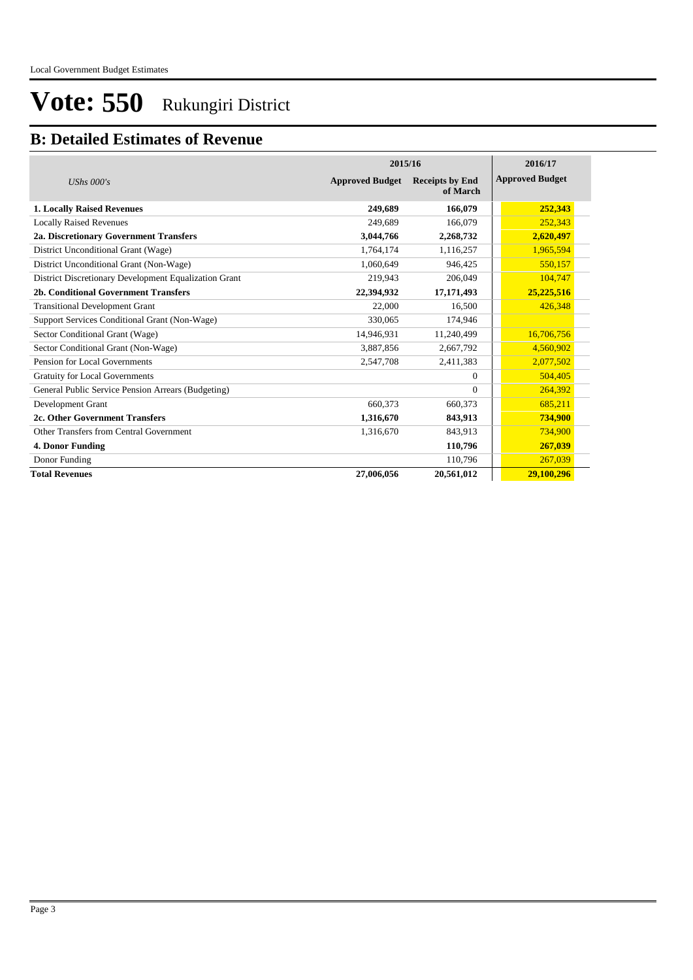### **B: Detailed Estimates of Revenue**

|                                                       | 2015/16                | 2016/17                            |                        |
|-------------------------------------------------------|------------------------|------------------------------------|------------------------|
| UShs $000's$                                          | <b>Approved Budget</b> | <b>Receipts by End</b><br>of March | <b>Approved Budget</b> |
| <b>1. Locally Raised Revenues</b>                     | 249,689                | 166,079                            | 252,343                |
| <b>Locally Raised Revenues</b>                        | 249.689                | 166,079                            | 252,343                |
| 2a. Discretionary Government Transfers                | 3,044,766              | 2,268,732                          | 2,620,497              |
| District Unconditional Grant (Wage)                   | 1,764,174              | 1,116,257                          | 1,965,594              |
| District Unconditional Grant (Non-Wage)               | 1,060,649              | 946,425                            | 550,157                |
| District Discretionary Development Equalization Grant | 219,943                | 206,049                            | 104,747                |
| 2b. Conditional Government Transfers                  | 22,394,932             | 17,171,493                         | 25,225,516             |
| <b>Transitional Development Grant</b>                 | 22,000                 | 16,500                             | 426,348                |
| Support Services Conditional Grant (Non-Wage)         | 330,065                | 174,946                            |                        |
| Sector Conditional Grant (Wage)                       | 14,946,931             | 11,240,499                         | 16,706,756             |
| Sector Conditional Grant (Non-Wage)                   | 3,887,856              | 2,667,792                          | 4,560,902              |
| Pension for Local Governments                         | 2,547,708              | 2,411,383                          | 2,077,502              |
| <b>Gratuity for Local Governments</b>                 |                        | $\Omega$                           | 504,405                |
| General Public Service Pension Arrears (Budgeting)    |                        | $\Omega$                           | 264,392                |
| Development Grant                                     | 660,373                | 660,373                            | 685,211                |
| 2c. Other Government Transfers                        | 1,316,670              | 843,913                            | 734,900                |
| Other Transfers from Central Government               | 1,316,670              | 843,913                            | 734,900                |
| 4. Donor Funding                                      |                        | 110,796                            | 267,039                |
| Donor Funding                                         |                        | 110,796                            | 267,039                |
| <b>Total Revenues</b>                                 | 27,006,056             | 20,561,012                         | 29,100,296             |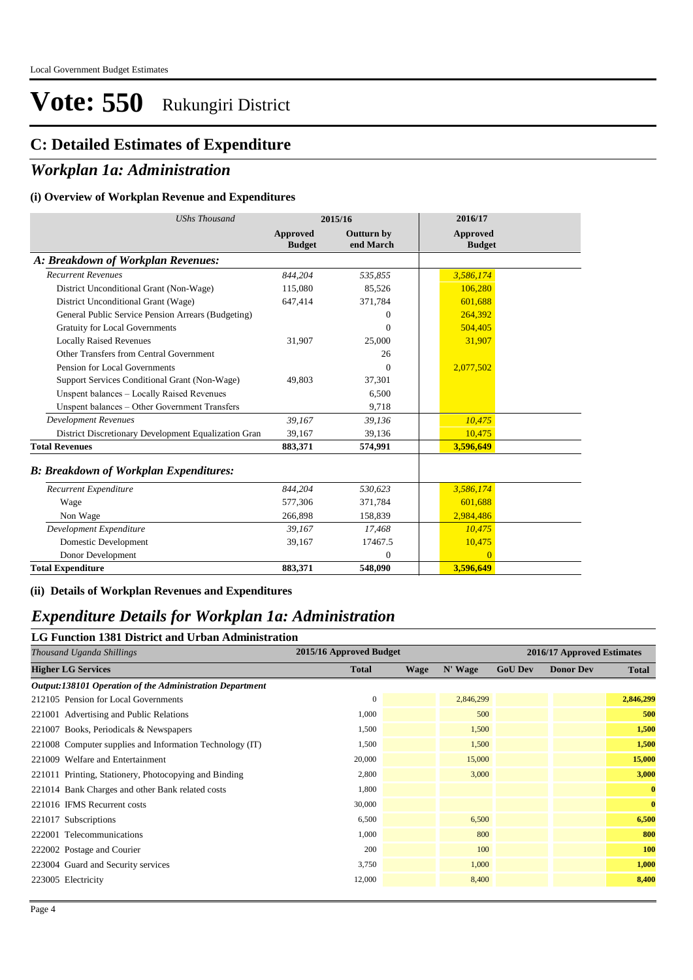#### **C: Detailed Estimates of Expenditure**

#### *Workplan 1a: Administration*

#### **(i) Overview of Workplan Revenue and Expenditures**

| <b>UShs Thousand</b>                                 |                                  | 2015/16                        | 2016/17                   |  |
|------------------------------------------------------|----------------------------------|--------------------------------|---------------------------|--|
|                                                      | <b>Approved</b><br><b>Budget</b> | <b>Outturn by</b><br>end March | Approved<br><b>Budget</b> |  |
| A: Breakdown of Workplan Revenues:                   |                                  |                                |                           |  |
| <b>Recurrent Revenues</b>                            | 844,204                          | 535,855                        | 3,586,174                 |  |
| District Unconditional Grant (Non-Wage)              | 115,080                          | 85,526                         | 106.280                   |  |
| District Unconditional Grant (Wage)                  | 647,414                          | 371,784                        | 601,688                   |  |
| General Public Service Pension Arrears (Budgeting)   |                                  | $\Omega$                       | 264,392                   |  |
| <b>Gratuity for Local Governments</b>                |                                  | $\theta$                       | 504,405                   |  |
| <b>Locally Raised Revenues</b>                       | 31,907                           | 25,000                         | 31,907                    |  |
| Other Transfers from Central Government              |                                  | 26                             |                           |  |
| Pension for Local Governments                        |                                  | $\Omega$                       | 2,077,502                 |  |
| Support Services Conditional Grant (Non-Wage)        | 49,803                           | 37,301                         |                           |  |
| Unspent balances - Locally Raised Revenues           |                                  | 6,500                          |                           |  |
| Unspent balances - Other Government Transfers        |                                  | 9,718                          |                           |  |
| <b>Development Revenues</b>                          | 39,167                           | 39,136                         | 10,475                    |  |
| District Discretionary Development Equalization Gran | 39,167                           | 39,136                         | 10,475                    |  |
| <b>Total Revenues</b>                                | 883,371                          | 574,991                        | 3.596.649                 |  |
| <b>B: Breakdown of Workplan Expenditures:</b>        |                                  |                                |                           |  |
| Recurrent Expenditure                                | 844,204                          | 530,623                        | 3,586,174                 |  |
| Wage                                                 | 577,306                          | 371,784                        | 601,688                   |  |
| Non Wage                                             | 266,898                          | 158,839                        | 2,984,486                 |  |
| Development Expenditure                              | 39,167                           | 17,468                         | 10.475                    |  |
| Domestic Development                                 | 39,167                           | 17467.5                        | 10,475                    |  |
| Donor Development                                    |                                  | $\Omega$                       | $\Omega$                  |  |
| <b>Total Expenditure</b>                             | 883,371                          | 548,090                        | 3,596,649                 |  |

**(ii) Details of Workplan Revenues and Expenditures**

#### *Expenditure Details for Workplan 1a: Administration*

#### **LG Function 1381 District and Urban Administration**

| Thousand Uganda Shillings                                | 2015/16 Approved Budget |             |           |                | 2016/17 Approved Estimates |              |
|----------------------------------------------------------|-------------------------|-------------|-----------|----------------|----------------------------|--------------|
| <b>Higher LG Services</b>                                | <b>Total</b>            | <b>Wage</b> | N' Wage   | <b>GoU Dev</b> | <b>Donor Dev</b>           | <b>Total</b> |
| Output:138101 Operation of the Administration Department |                         |             |           |                |                            |              |
| 212105 Pension for Local Governments                     | $\mathbf{0}$            |             | 2,846,299 |                |                            | 2,846,299    |
| 221001 Advertising and Public Relations                  | 1,000                   |             | 500       |                |                            | 500          |
| 221007 Books, Periodicals & Newspapers                   | 1,500                   |             | 1,500     |                |                            | 1,500        |
| 221008 Computer supplies and Information Technology (IT) | 1,500                   |             | 1,500     |                |                            | 1,500        |
| 221009 Welfare and Entertainment                         | 20,000                  |             | 15,000    |                |                            | 15,000       |
| 221011 Printing, Stationery, Photocopying and Binding    | 2,800                   |             | 3,000     |                |                            | 3,000        |
| 221014 Bank Charges and other Bank related costs         | 1,800                   |             |           |                |                            | $\bf{0}$     |
| 221016 IFMS Recurrent costs                              | 30,000                  |             |           |                |                            | $\mathbf{0}$ |
| 221017 Subscriptions                                     | 6,500                   |             | 6,500     |                |                            | 6,500        |
| 222001 Telecommunications                                | 1,000                   |             | 800       |                |                            | 800          |
| 222002 Postage and Courier                               | 200                     |             | 100       |                |                            | 100          |
| 223004 Guard and Security services                       | 3,750                   |             | 1,000     |                |                            | 1,000        |
| 223005 Electricity                                       | 12,000                  |             | 8,400     |                |                            | 8,400        |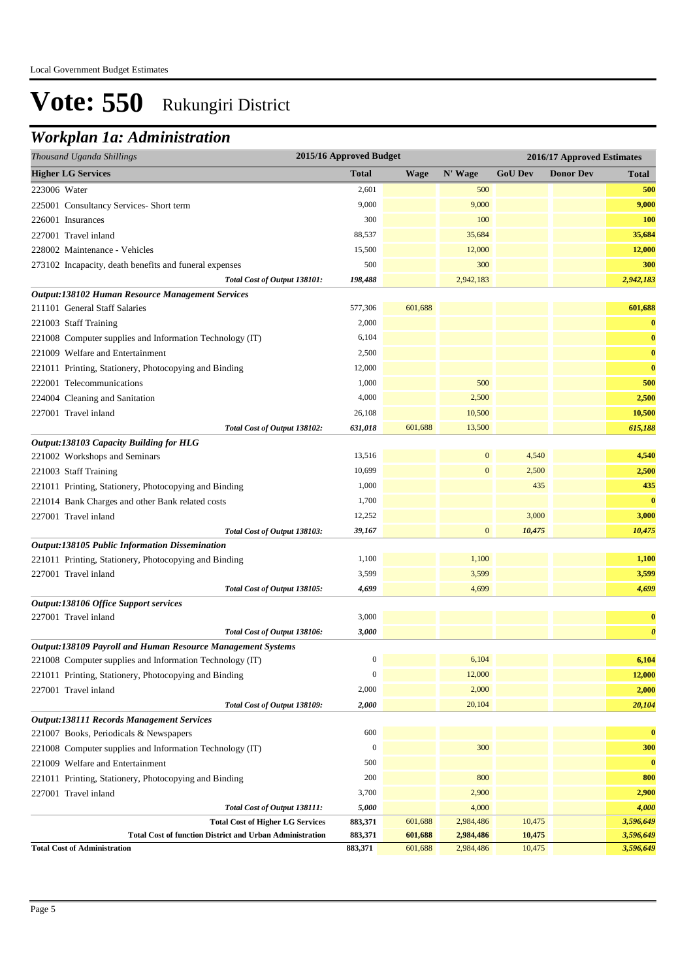#### *Workplan 1a: Administration*

| Thousand Uganda Shillings                                                                                 | 2015/16 Approved Budget |             |                  |                | 2016/17 Approved Estimates |                       |
|-----------------------------------------------------------------------------------------------------------|-------------------------|-------------|------------------|----------------|----------------------------|-----------------------|
| <b>Higher LG Services</b>                                                                                 | <b>Total</b>            | <b>Wage</b> | N' Wage          | <b>GoU Dev</b> | <b>Donor Dev</b>           | <b>Total</b>          |
| 223006 Water                                                                                              | 2,601                   |             | 500              |                |                            | 500                   |
| 225001 Consultancy Services- Short term                                                                   | 9,000                   |             | 9,000            |                |                            | 9,000                 |
| 226001 Insurances                                                                                         | 300                     |             | 100              |                |                            | 100                   |
| 227001 Travel inland                                                                                      | 88,537                  |             | 35,684           |                |                            | 35,684                |
| 228002 Maintenance - Vehicles                                                                             | 15,500                  |             | 12,000           |                |                            | 12,000                |
| 273102 Incapacity, death benefits and funeral expenses                                                    | 500                     |             | 300              |                |                            | 300                   |
| Total Cost of Output 138101:                                                                              | 198,488                 |             | 2,942,183        |                |                            | 2,942,183             |
| Output:138102 Human Resource Management Services                                                          |                         |             |                  |                |                            |                       |
| 211101 General Staff Salaries                                                                             | 577,306                 | 601,688     |                  |                |                            | 601,688               |
| 221003 Staff Training                                                                                     | 2,000                   |             |                  |                |                            | $\bf{0}$              |
| 221008 Computer supplies and Information Technology (IT)                                                  | 6,104                   |             |                  |                |                            | $\bf{0}$              |
| 221009 Welfare and Entertainment                                                                          | 2,500                   |             |                  |                |                            | $\bf{0}$              |
| 221011 Printing, Stationery, Photocopying and Binding                                                     | 12,000                  |             |                  |                |                            | $\bf{0}$              |
| 222001 Telecommunications                                                                                 | 1,000                   |             | 500              |                |                            | 500                   |
| 224004 Cleaning and Sanitation                                                                            | 4,000                   |             | 2,500            |                |                            | 2,500                 |
| 227001 Travel inland                                                                                      | 26,108                  |             | 10,500           |                |                            | 10,500                |
| Total Cost of Output 138102:                                                                              | 631,018                 | 601,688     | 13,500           |                |                            | 615,188               |
| Output:138103 Capacity Building for HLG<br>221002 Workshops and Seminars                                  | 13,516                  |             | $\mathbf{0}$     | 4,540          |                            | 4,540                 |
|                                                                                                           | 10,699                  |             | $\boldsymbol{0}$ | 2,500          |                            | 2,500                 |
| 221003 Staff Training                                                                                     | 1,000                   |             |                  | 435            |                            | 435                   |
| 221011 Printing, Stationery, Photocopying and Binding<br>221014 Bank Charges and other Bank related costs | 1,700                   |             |                  |                |                            | $\bf{0}$              |
| 227001 Travel inland                                                                                      | 12,252                  |             |                  | 3,000          |                            | 3,000                 |
| Total Cost of Output 138103:                                                                              | 39,167                  |             | $\boldsymbol{0}$ | 10,475         |                            | 10,475                |
| Output:138105 Public Information Dissemination                                                            |                         |             |                  |                |                            |                       |
| 221011 Printing, Stationery, Photocopying and Binding                                                     | 1,100                   |             | 1,100            |                |                            | 1,100                 |
| 227001 Travel inland                                                                                      | 3,599                   |             | 3,599            |                |                            | 3,599                 |
| Total Cost of Output 138105:                                                                              | 4,699                   |             | 4,699            |                |                            | 4,699                 |
| Output:138106 Office Support services                                                                     |                         |             |                  |                |                            |                       |
| 227001 Travel inland                                                                                      | 3,000                   |             |                  |                |                            | $\bf{0}$              |
| Total Cost of Output 138106:                                                                              | 3,000                   |             |                  |                |                            | $\boldsymbol{\theta}$ |
| Output:138109 Payroll and Human Resource Management Systems                                               |                         |             |                  |                |                            |                       |
| 221008 Computer supplies and Information Technology (IT)                                                  | $\boldsymbol{0}$        |             | 6,104            |                |                            | 6,104                 |
| 221011 Printing, Stationery, Photocopying and Binding                                                     | $\boldsymbol{0}$        |             | 12,000           |                |                            | 12,000                |
| 227001 Travel inland                                                                                      | 2,000                   |             | 2,000            |                |                            | 2,000                 |
| Total Cost of Output 138109:                                                                              | 2,000                   |             | 20,104           |                |                            | 20,104                |
| <b>Output:138111 Records Management Services</b>                                                          |                         |             |                  |                |                            |                       |
| 221007 Books, Periodicals & Newspapers                                                                    | 600                     |             |                  |                |                            | $\bf{0}$              |
| 221008 Computer supplies and Information Technology (IT)                                                  | $\boldsymbol{0}$        |             | 300              |                |                            | 300                   |
| 221009 Welfare and Entertainment                                                                          | 500                     |             |                  |                |                            | $\bf{0}$              |
| 221011 Printing, Stationery, Photocopying and Binding<br>227001 Travel inland                             | 200<br>3,700            |             | 800<br>2,900     |                |                            | 800<br>2,900          |
| Total Cost of Output 138111:                                                                              | 5,000                   |             | 4,000            |                |                            | 4,000                 |
| <b>Total Cost of Higher LG Services</b>                                                                   | 883,371                 | 601,688     | 2,984,486        | 10,475         |                            | 3,596,649             |
| <b>Total Cost of function District and Urban Administration</b>                                           | 883,371                 | 601,688     | 2,984,486        | 10,475         |                            | 3,596,649             |
| <b>Total Cost of Administration</b>                                                                       | 883,371                 | 601,688     | 2,984,486        | 10,475         |                            | 3,596,649             |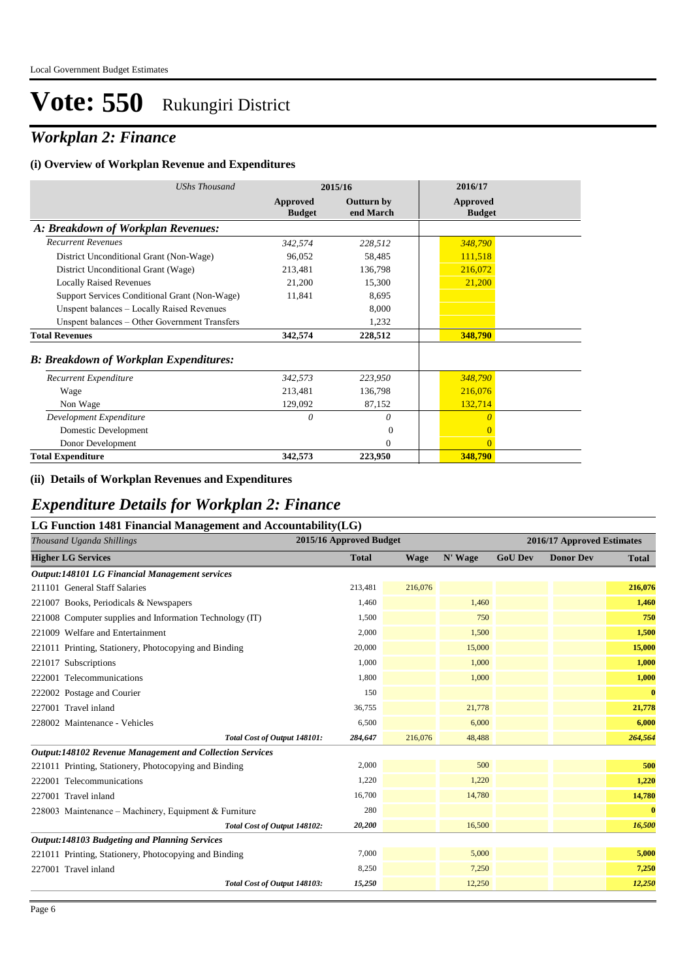### *Workplan 2: Finance*

#### **(i) Overview of Workplan Revenue and Expenditures**

| UShs Thousand                                 |                           | 2015/16                        | 2016/17                          |
|-----------------------------------------------|---------------------------|--------------------------------|----------------------------------|
|                                               | Approved<br><b>Budget</b> | <b>Outturn by</b><br>end March | <b>Approved</b><br><b>Budget</b> |
| A: Breakdown of Workplan Revenues:            |                           |                                |                                  |
| <b>Recurrent Revenues</b>                     | 342,574                   | 228,512                        | 348,790                          |
| District Unconditional Grant (Non-Wage)       | 96,052                    | 58,485                         | 111,518                          |
| District Unconditional Grant (Wage)           | 213,481                   | 136,798                        | 216,072                          |
| <b>Locally Raised Revenues</b>                | 21,200                    | 15,300                         | 21,200                           |
| Support Services Conditional Grant (Non-Wage) | 11,841                    | 8,695                          |                                  |
| Unspent balances - Locally Raised Revenues    |                           | 8,000                          |                                  |
| Unspent balances - Other Government Transfers |                           | 1,232                          |                                  |
| <b>Total Revenues</b>                         | 342,574                   | 228,512                        | 348,790                          |
| <b>B: Breakdown of Workplan Expenditures:</b> |                           |                                |                                  |
| Recurrent Expenditure                         | 342,573                   | 223,950                        | 348,790                          |
| Wage                                          | 213,481                   | 136,798                        | 216,076                          |
| Non Wage                                      | 129,092                   | 87,152                         | 132,714                          |
| Development Expenditure                       | 0                         | 0                              | $\theta$                         |
| Domestic Development                          |                           | $\theta$                       | $\overline{0}$                   |
| Donor Development                             |                           | $\Omega$                       | $\Omega$                         |
| <b>Total Expenditure</b>                      | 342,573                   | 223,950                        | 348,790                          |

#### **(ii) Details of Workplan Revenues and Expenditures**

#### *Expenditure Details for Workplan 2: Finance*

| LG Function 1481 Financial Management and Accountability(LG)    |              |                         |         |                |                            |              |
|-----------------------------------------------------------------|--------------|-------------------------|---------|----------------|----------------------------|--------------|
| Thousand Uganda Shillings                                       |              | 2015/16 Approved Budget |         |                | 2016/17 Approved Estimates |              |
| <b>Higher LG Services</b>                                       | <b>Total</b> | <b>Wage</b>             | N' Wage | <b>GoU Dev</b> | <b>Donor Dev</b>           | <b>Total</b> |
| Output:148101 LG Financial Management services                  |              |                         |         |                |                            |              |
| 211101 General Staff Salaries                                   | 213,481      | 216,076                 |         |                |                            | 216,076      |
| 221007 Books, Periodicals & Newspapers                          | 1,460        |                         | 1,460   |                |                            | 1,460        |
| 221008 Computer supplies and Information Technology (IT)        | 1,500        |                         | 750     |                |                            | 750          |
| 221009 Welfare and Entertainment                                | 2,000        |                         | 1,500   |                |                            | 1,500        |
| 221011 Printing, Stationery, Photocopying and Binding           | 20,000       |                         | 15,000  |                |                            | 15,000       |
| 221017 Subscriptions                                            | 1,000        |                         | 1,000   |                |                            | 1,000        |
| 222001 Telecommunications                                       | 1,800        |                         | 1,000   |                |                            | 1,000        |
| 222002 Postage and Courier                                      | 150          |                         |         |                |                            | $\bf{0}$     |
| 227001 Travel inland                                            | 36,755       |                         | 21,778  |                |                            | 21,778       |
| 228002 Maintenance - Vehicles                                   | 6,500        |                         | 6,000   |                |                            | 6,000        |
| Total Cost of Output 148101:                                    | 284,647      | 216,076                 | 48,488  |                |                            | 264,564      |
| <b>Output:148102 Revenue Management and Collection Services</b> |              |                         |         |                |                            |              |
| 221011 Printing, Stationery, Photocopying and Binding           | 2,000        |                         | 500     |                |                            | 500          |
| 222001 Telecommunications                                       | 1,220        |                         | 1,220   |                |                            | 1,220        |
| 227001 Travel inland                                            | 16,700       |                         | 14,780  |                |                            | 14,780       |
| 228003 Maintenance – Machinery, Equipment & Furniture           | 280          |                         |         |                |                            | $\bf{0}$     |
| Total Cost of Output 148102:                                    | 20,200       |                         | 16,500  |                |                            | 16,500       |
| Output:148103 Budgeting and Planning Services                   |              |                         |         |                |                            |              |
| 221011 Printing, Stationery, Photocopying and Binding           | 7,000        |                         | 5,000   |                |                            | 5,000        |
| 227001 Travel inland                                            | 8,250        |                         | 7,250   |                |                            | 7,250        |
| Total Cost of Output 148103:                                    | 15,250       |                         | 12,250  |                |                            | 12,250       |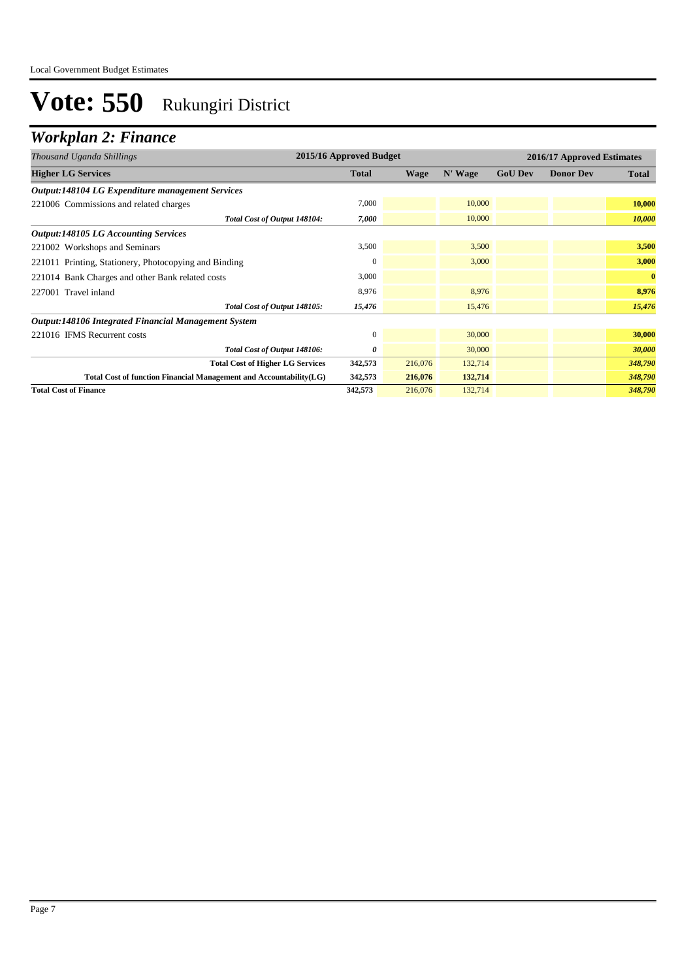## *Workplan 2: Finance*

| Thousand Uganda Shillings                                          | 2015/16 Approved Budget |         |         |                | 2016/17 Approved Estimates |              |
|--------------------------------------------------------------------|-------------------------|---------|---------|----------------|----------------------------|--------------|
| <b>Higher LG Services</b>                                          | <b>Total</b>            | Wage    | N' Wage | <b>GoU Dev</b> | <b>Donor Dev</b>           | <b>Total</b> |
| <b>Output:148104 LG Expenditure management Services</b>            |                         |         |         |                |                            |              |
| 221006 Commissions and related charges                             | 7,000                   |         | 10,000  |                |                            | 10,000       |
| Total Cost of Output 148104:                                       | 7,000                   |         | 10,000  |                |                            | 10,000       |
| <b>Output:148105 LG Accounting Services</b>                        |                         |         |         |                |                            |              |
| 221002 Workshops and Seminars                                      | 3,500                   |         | 3,500   |                |                            | 3,500        |
| 221011 Printing, Stationery, Photocopying and Binding              | $\Omega$                |         | 3,000   |                |                            | 3,000        |
| 221014 Bank Charges and other Bank related costs                   | 3,000                   |         |         |                |                            | $\bf{0}$     |
| 227001 Travel inland                                               | 8,976                   |         | 8,976   |                |                            | 8,976        |
| Total Cost of Output 148105:                                       | 15,476                  |         | 15,476  |                |                            | 15,476       |
| Output:148106 Integrated Financial Management System               |                         |         |         |                |                            |              |
| 221016 IFMS Recurrent costs                                        | $\mathbf{0}$            |         | 30,000  |                |                            | 30,000       |
| Total Cost of Output 148106:                                       | 0                       |         | 30,000  |                |                            | 30,000       |
| <b>Total Cost of Higher LG Services</b>                            | 342,573                 | 216,076 | 132,714 |                |                            | 348,790      |
| Total Cost of function Financial Management and Accountability(LG) | 342,573                 | 216,076 | 132,714 |                |                            | 348,790      |
| <b>Total Cost of Finance</b>                                       | 342,573                 | 216,076 | 132,714 |                |                            | 348,790      |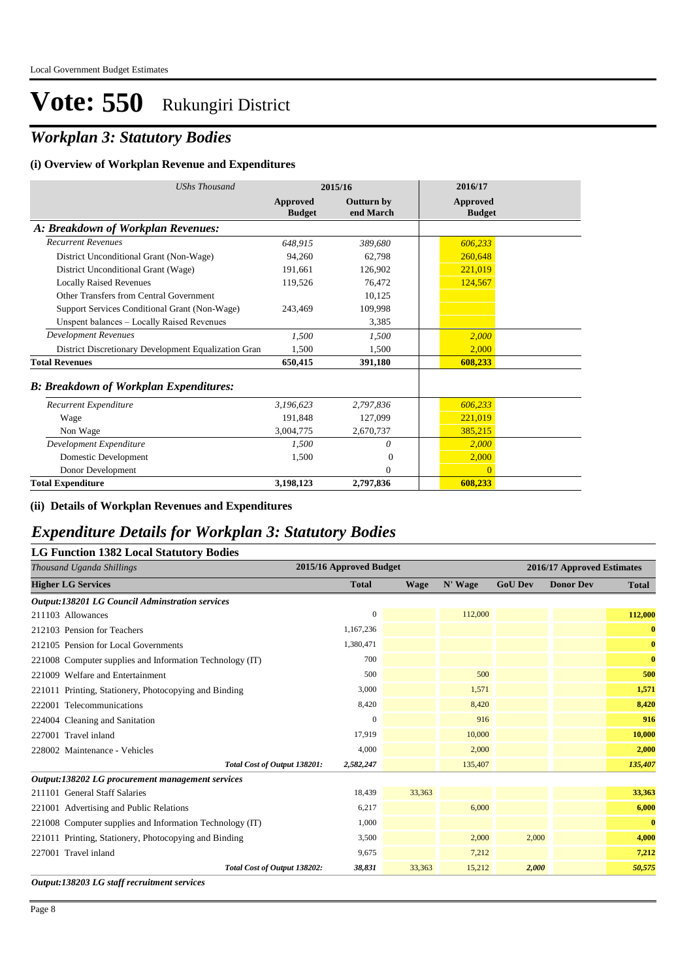## *Workplan 3: Statutory Bodies*

#### **(i) Overview of Workplan Revenue and Expenditures**

| <b>UShs Thousand</b>                                 |                                  | 2015/16                        | 2016/17                          |  |
|------------------------------------------------------|----------------------------------|--------------------------------|----------------------------------|--|
|                                                      | <b>Approved</b><br><b>Budget</b> | <b>Outturn by</b><br>end March | <b>Approved</b><br><b>Budget</b> |  |
| A: Breakdown of Workplan Revenues:                   |                                  |                                |                                  |  |
| <b>Recurrent Revenues</b>                            | 648,915                          | 389,680                        | 606,233                          |  |
| District Unconditional Grant (Non-Wage)              | 94,260                           | 62,798                         | 260,648                          |  |
| District Unconditional Grant (Wage)                  | 191,661                          | 126,902                        | 221,019                          |  |
| <b>Locally Raised Revenues</b>                       | 119.526                          | 76.472                         | 124,567                          |  |
| Other Transfers from Central Government              |                                  | 10,125                         |                                  |  |
| Support Services Conditional Grant (Non-Wage)        | 243,469                          | 109,998                        |                                  |  |
| Unspent balances - Locally Raised Revenues           |                                  | 3,385                          |                                  |  |
| <b>Development Revenues</b>                          | 1.500                            | 1,500                          | 2,000                            |  |
| District Discretionary Development Equalization Gran | 1,500                            | 1.500                          | 2,000                            |  |
| <b>Total Revenues</b>                                | 650,415                          | 391,180                        | 608,233                          |  |
| <b>B: Breakdown of Workplan Expenditures:</b>        |                                  |                                |                                  |  |
| Recurrent Expenditure                                | 3,196,623                        | 2,797,836                      | 606,233                          |  |
| Wage                                                 | 191.848                          | 127,099                        | 221,019                          |  |
| Non Wage                                             | 3,004,775                        | 2,670,737                      | 385,215                          |  |
| Development Expenditure                              | 1,500                            | $\theta$                       | 2.000                            |  |
| Domestic Development                                 | 1.500                            | $\Omega$                       | 2,000                            |  |
| Donor Development                                    |                                  | $\Omega$                       | $\theta$                         |  |
| <b>Total Expenditure</b>                             | 3,198,123                        | 2,797,836                      | 608.233                          |  |

#### **(ii) Details of Workplan Revenues and Expenditures**

#### *Expenditure Details for Workplan 3: Statutory Bodies*

| <b>LG Function 1382 Local Statutory Bodies</b> |  |  |  |  |  |  |
|------------------------------------------------|--|--|--|--|--|--|
|------------------------------------------------|--|--|--|--|--|--|

| Thousand Uganda Shillings                                | 2015/16 Approved Budget |             |         |                | 2016/17 Approved Estimates |              |
|----------------------------------------------------------|-------------------------|-------------|---------|----------------|----------------------------|--------------|
| <b>Higher LG Services</b>                                | <b>Total</b>            | <b>Wage</b> | N' Wage | <b>GoU Dev</b> | <b>Donor Dev</b>           | <b>Total</b> |
| <b>Output:138201 LG Council Adminstration services</b>   |                         |             |         |                |                            |              |
| 211103 Allowances                                        | $\mathbf{0}$            |             | 112,000 |                |                            | 112,000      |
| 212103 Pension for Teachers                              | 1,167,236               |             |         |                |                            | $\bf{0}$     |
| 212105 Pension for Local Governments                     | 1,380,471               |             |         |                |                            | $\bf{0}$     |
| 221008 Computer supplies and Information Technology (IT) | 700                     |             |         |                |                            | $\bf{0}$     |
| 221009 Welfare and Entertainment                         | 500                     |             | 500     |                |                            | 500          |
| 221011 Printing, Stationery, Photocopying and Binding    | 3,000                   |             | 1,571   |                |                            | 1,571        |
| 222001 Telecommunications                                | 8,420                   |             | 8,420   |                |                            | 8,420        |
| 224004 Cleaning and Sanitation                           | $\mathbf{0}$            |             | 916     |                |                            | 916          |
| 227001 Travel inland                                     | 17,919                  |             | 10,000  |                |                            | 10,000       |
| 228002 Maintenance - Vehicles                            | 4,000                   |             | 2,000   |                |                            | 2,000        |
| Total Cost of Output 138201:                             | 2,582,247               |             | 135,407 |                |                            | 135,407      |
| Output:138202 LG procurement management services         |                         |             |         |                |                            |              |
| 211101 General Staff Salaries                            | 18,439                  | 33,363      |         |                |                            | 33,363       |
| 221001 Advertising and Public Relations                  | 6,217                   |             | 6,000   |                |                            | 6,000        |
| 221008 Computer supplies and Information Technology (IT) | 1,000                   |             |         |                |                            | $\bf{0}$     |
| 221011 Printing, Stationery, Photocopying and Binding    | 3,500                   |             | 2,000   | 2,000          |                            | 4,000        |
| 227001 Travel inland                                     | 9,675                   |             | 7,212   |                |                            | 7,212        |
| Total Cost of Output 138202:                             | 38,831                  | 33,363      | 15,212  | 2,000          |                            | 50,575       |
| Output:138203 LG staff recruitment services              |                         |             |         |                |                            |              |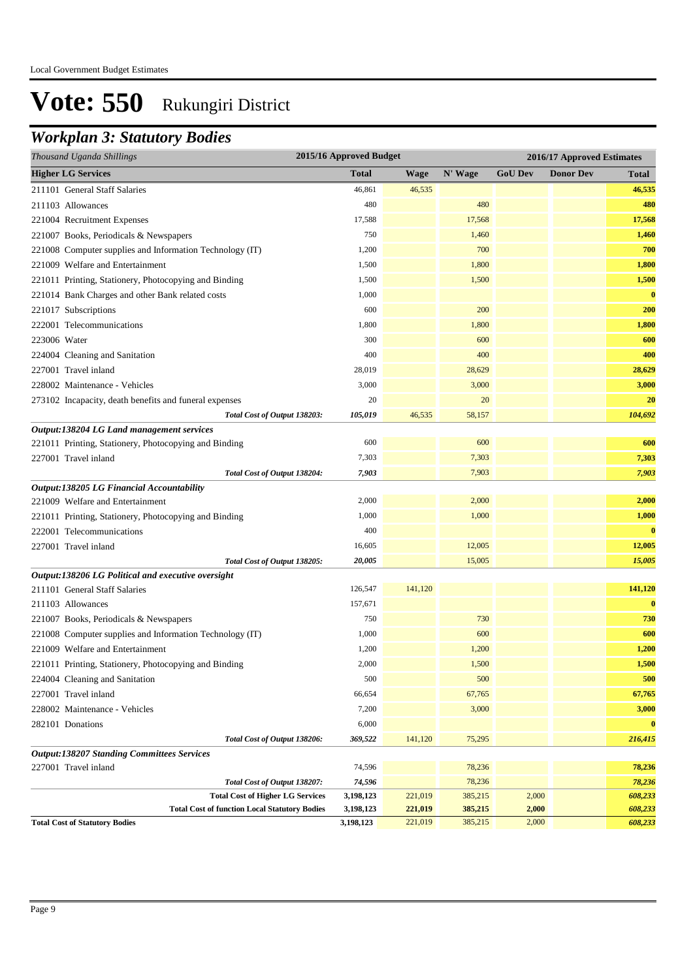## *Workplan 3: Statutory Bodies*

| Thousand Uganda Shillings                                | 2015/16 Approved Budget |         |              | 2016/17 Approved Estimates |                  |               |  |
|----------------------------------------------------------|-------------------------|---------|--------------|----------------------------|------------------|---------------|--|
| <b>Higher LG Services</b>                                | <b>Total</b>            | Wage    | N' Wage      | <b>GoU Dev</b>             | <b>Donor Dev</b> | Total         |  |
| 211101 General Staff Salaries                            | 46,861                  | 46,535  |              |                            |                  | 46,535        |  |
| 211103 Allowances                                        | 480                     |         | 480          |                            |                  | 480           |  |
| 221004 Recruitment Expenses                              | 17,588                  |         | 17,568       |                            |                  | 17,568        |  |
| 221007 Books, Periodicals & Newspapers                   | 750                     |         | 1,460        |                            |                  | 1,460         |  |
| 221008 Computer supplies and Information Technology (IT) | 1,200                   |         | 700          |                            |                  | 700           |  |
| 221009 Welfare and Entertainment                         | 1,500                   |         | 1,800        |                            |                  | 1,800         |  |
| 221011 Printing, Stationery, Photocopying and Binding    | 1,500                   |         | 1,500        |                            |                  | 1,500         |  |
| 221014 Bank Charges and other Bank related costs         | 1,000                   |         |              |                            |                  | $\bf{0}$      |  |
| 221017 Subscriptions                                     | 600                     |         | 200          |                            |                  | 200           |  |
| 222001 Telecommunications                                | 1,800                   |         | 1,800        |                            |                  | 1,800         |  |
| 223006 Water                                             | 300                     |         | 600          |                            |                  | 600           |  |
| 224004 Cleaning and Sanitation                           | 400                     |         | 400          |                            |                  | 400           |  |
| 227001 Travel inland                                     | 28,019                  |         | 28,629       |                            |                  | 28,629        |  |
| 228002 Maintenance - Vehicles                            | 3,000                   |         | 3,000        |                            |                  | 3,000         |  |
| 273102 Incapacity, death benefits and funeral expenses   | 20                      |         | 20           |                            |                  | 20            |  |
| Total Cost of Output 138203:                             | 105,019                 | 46,535  | 58,157       |                            |                  | 104,692       |  |
| Output:138204 LG Land management services                |                         |         |              |                            |                  |               |  |
| 221011 Printing, Stationery, Photocopying and Binding    | 600                     |         | 600          |                            |                  | 600           |  |
| 227001 Travel inland                                     | 7,303                   |         | 7,303        |                            |                  | 7,303         |  |
| Total Cost of Output 138204:                             | 7,903                   |         | 7,903        |                            |                  | 7,903         |  |
| Output:138205 LG Financial Accountability                |                         |         |              |                            |                  |               |  |
| 221009 Welfare and Entertainment                         | 2,000                   |         | 2,000        |                            |                  | 2,000         |  |
| 221011 Printing, Stationery, Photocopying and Binding    | 1,000                   |         | 1,000        |                            |                  | 1,000         |  |
| 222001 Telecommunications                                | 400                     |         |              |                            |                  | $\bf{0}$      |  |
| 227001 Travel inland                                     | 16,605                  |         | 12,005       |                            |                  | 12,005        |  |
| Total Cost of Output 138205:                             | 20,005                  |         | 15,005       |                            |                  | 15,005        |  |
| Output:138206 LG Political and executive oversight       |                         |         |              |                            |                  |               |  |
| 211101 General Staff Salaries                            | 126,547                 | 141,120 |              |                            |                  | 141,120       |  |
| 211103 Allowances                                        | 157,671                 |         |              |                            |                  | $\bf{0}$      |  |
| 221007 Books, Periodicals & Newspapers                   | 750                     |         | 730          |                            |                  | 730           |  |
| 221008 Computer supplies and Information Technology (IT) | 1,000                   |         | 600          |                            |                  | 600           |  |
| 221009 Welfare and Entertainment                         | 1,200                   |         | 1,200        |                            |                  | 1,200         |  |
| 221011 Printing, Stationery, Photocopying and Binding    | 2,000<br>500            |         | 1,500<br>500 |                            |                  | 1,500         |  |
| 224004 Cleaning and Sanitation<br>227001 Travel inland   | 66,654                  |         | 67,765       |                            |                  | 500<br>67,765 |  |
| 228002 Maintenance - Vehicles                            | 7,200                   |         | 3,000        |                            |                  | 3,000         |  |
|                                                          | 6,000                   |         |              |                            |                  | $\bf{0}$      |  |
| 282101 Donations<br>Total Cost of Output 138206:         | 369,522                 |         |              |                            |                  |               |  |
| <b>Output:138207 Standing Committees Services</b>        |                         | 141,120 | 75,295       |                            |                  | 216,415       |  |
| 227001 Travel inland                                     | 74,596                  |         | 78,236       |                            |                  | 78,236        |  |
| Total Cost of Output 138207:                             | 74,596                  |         | 78,236       |                            |                  | 78,236        |  |
| <b>Total Cost of Higher LG Services</b>                  | 3,198,123               | 221,019 | 385,215      | 2,000                      |                  | 608,233       |  |
| <b>Total Cost of function Local Statutory Bodies</b>     | 3,198,123               | 221,019 | 385,215      | 2,000                      |                  | 608,233       |  |
| <b>Total Cost of Statutory Bodies</b>                    | 3,198,123               | 221,019 | 385,215      | 2,000                      |                  | 608,233       |  |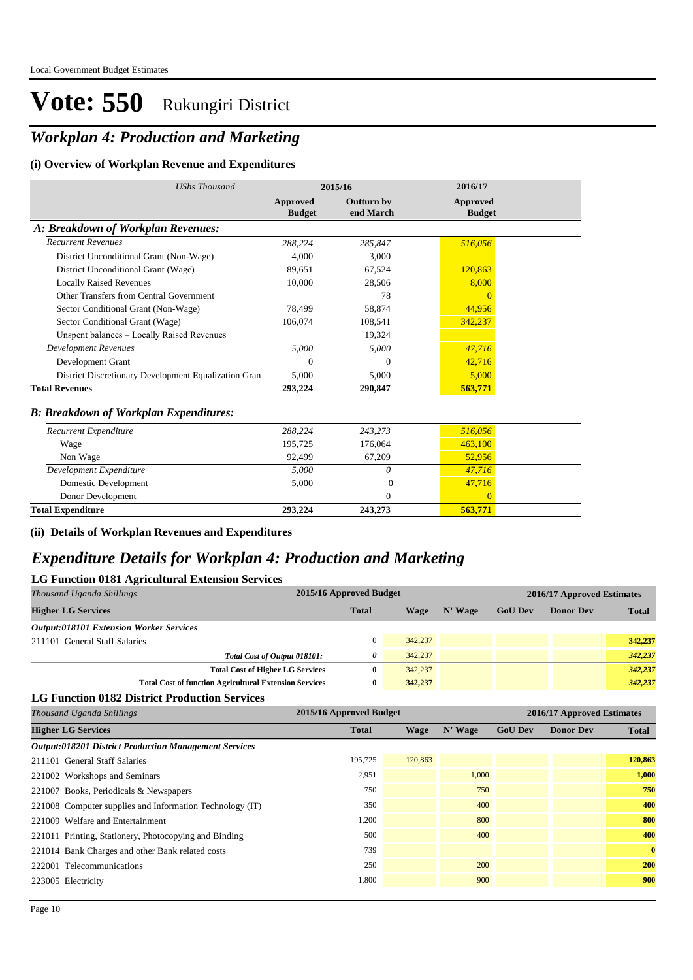### *Workplan 4: Production and Marketing*

#### **(i) Overview of Workplan Revenue and Expenditures**

| <b>UShs Thousand</b>                                 | 2015/16                   |                         | 2016/17                   |  |
|------------------------------------------------------|---------------------------|-------------------------|---------------------------|--|
|                                                      | Approved<br><b>Budget</b> | Outturn by<br>end March | Approved<br><b>Budget</b> |  |
| A: Breakdown of Workplan Revenues:                   |                           |                         |                           |  |
| <b>Recurrent Revenues</b>                            | 288,224                   | 285.847                 | 516,056                   |  |
| District Unconditional Grant (Non-Wage)              | 4.000                     | 3.000                   |                           |  |
| District Unconditional Grant (Wage)                  | 89,651                    | 67,524                  | 120,863                   |  |
| <b>Locally Raised Revenues</b>                       | 10,000                    | 28.506                  | 8,000                     |  |
| Other Transfers from Central Government              |                           | 78                      | $\Omega$                  |  |
| Sector Conditional Grant (Non-Wage)                  | 78,499                    | 58,874                  | 44,956                    |  |
| Sector Conditional Grant (Wage)                      | 106,074                   | 108,541                 | 342,237                   |  |
| Unspent balances - Locally Raised Revenues           |                           | 19,324                  |                           |  |
| <b>Development Revenues</b>                          | 5,000                     | 5,000                   | 47,716                    |  |
| Development Grant                                    | 0                         | $\Omega$                | 42,716                    |  |
| District Discretionary Development Equalization Gran | 5,000                     | 5,000                   | 5,000                     |  |
| <b>Total Revenues</b>                                | 293,224                   | 290,847                 | 563,771                   |  |
| <b>B: Breakdown of Workplan Expenditures:</b>        |                           |                         |                           |  |
| Recurrent Expenditure                                | 288,224                   | 243,273                 | 516,056                   |  |
| Wage                                                 | 195,725                   | 176,064                 | 463,100                   |  |
| Non Wage                                             | 92.499                    | 67,209                  | 52,956                    |  |
| Development Expenditure                              | 5.000                     | 0                       | 47,716                    |  |
| Domestic Development                                 | 5,000                     | $\Omega$                | 47,716                    |  |
| Donor Development                                    |                           | $\Omega$                | $\Omega$                  |  |
| <b>Total Expenditure</b>                             | 293,224                   | 243,273                 | 563,771                   |  |

**(ii) Details of Workplan Revenues and Expenditures**

#### *Expenditure Details for Workplan 4: Production and Marketing*

| <b>LG Function 0181 Agricultural Extension Services</b>       |                         |             |         |                            |                            |              |  |  |
|---------------------------------------------------------------|-------------------------|-------------|---------|----------------------------|----------------------------|--------------|--|--|
| Thousand Uganda Shillings                                     | 2015/16 Approved Budget |             |         | 2016/17 Approved Estimates |                            |              |  |  |
| <b>Higher LG Services</b>                                     | <b>Total</b>            | <b>Wage</b> | N' Wage | <b>GoU Dev</b>             | <b>Donor Dev</b>           | <b>Total</b> |  |  |
| <b>Output:018101 Extension Worker Services</b>                |                         |             |         |                            |                            |              |  |  |
| 211101 General Staff Salaries                                 | $\mathbf{0}$            | 342,237     |         |                            |                            | 342,237      |  |  |
| Total Cost of Output 018101:                                  | 0                       | 342,237     |         |                            |                            | 342,237      |  |  |
| <b>Total Cost of Higher LG Services</b>                       | $\bf{0}$                | 342,237     |         |                            |                            | 342,237      |  |  |
| <b>Total Cost of function Agricultural Extension Services</b> | $\bf{0}$                | 342,237     |         |                            |                            | 342,237      |  |  |
| <b>LG Function 0182 District Production Services</b>          |                         |             |         |                            |                            |              |  |  |
| Thousand Uganda Shillings                                     | 2015/16 Approved Budget |             |         |                            | 2016/17 Approved Estimates |              |  |  |
| <b>Higher LG Services</b>                                     | <b>Total</b>            | <b>Wage</b> | N' Wage | <b>GoU Dev</b>             | <b>Donor Dev</b>           | <b>Total</b> |  |  |
| <b>Output:018201 District Production Management Services</b>  |                         |             |         |                            |                            |              |  |  |
| 211101 General Staff Salaries                                 | 195,725                 | 120,863     |         |                            |                            | 120,863      |  |  |
| 221002 Workshops and Seminars                                 | 2,951                   |             | 1,000   |                            |                            | 1,000        |  |  |
| 221007 Books, Periodicals & Newspapers                        | 750                     |             | 750     |                            |                            | 750          |  |  |
| 221008 Computer supplies and Information Technology (IT)      | 350                     |             | 400     |                            |                            | 400          |  |  |
| 221009 Welfare and Entertainment                              | 1,200                   |             | 800     |                            |                            | 800          |  |  |
| 221011 Printing, Stationery, Photocopying and Binding         | 500                     |             | 400     |                            |                            | 400          |  |  |
| 221014 Bank Charges and other Bank related costs              | 739                     |             |         |                            |                            | $\bf{0}$     |  |  |
| 222001 Telecommunications                                     | 250                     |             | 200     |                            |                            | 200          |  |  |
| 223005 Electricity                                            | 1,800                   |             | 900     |                            |                            | 900          |  |  |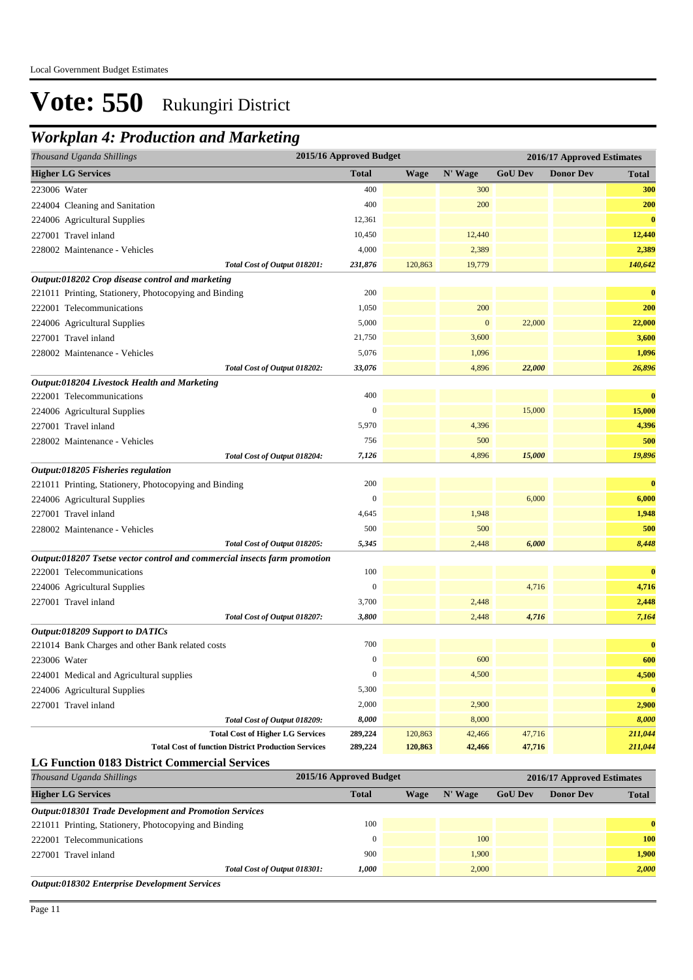#### *Workplan 4: Production and Marketing*

| Thousand Uganda Shillings                                                                              | 2015/16 Approved Budget |             |              | 2016/17 Approved Estimates |                            |              |
|--------------------------------------------------------------------------------------------------------|-------------------------|-------------|--------------|----------------------------|----------------------------|--------------|
| <b>Higher LG Services</b>                                                                              | <b>Total</b>            | <b>Wage</b> | N' Wage      | <b>GoU Dev</b>             | <b>Donor Dev</b>           | <b>Total</b> |
| 223006 Water                                                                                           | 400                     |             | 300          |                            |                            | 300          |
| 224004 Cleaning and Sanitation                                                                         | 400                     |             | 200          |                            |                            | 200          |
| 224006 Agricultural Supplies                                                                           | 12,361                  |             |              |                            |                            | $\bf{0}$     |
| 227001 Travel inland                                                                                   | 10,450                  |             | 12,440       |                            |                            | 12,440       |
| 228002 Maintenance - Vehicles                                                                          | 4,000                   |             | 2,389        |                            |                            | 2,389        |
| Total Cost of Output 018201:                                                                           | 231,876                 | 120,863     | 19,779       |                            |                            | 140,642      |
| Output:018202 Crop disease control and marketing                                                       |                         |             |              |                            |                            |              |
| 221011 Printing, Stationery, Photocopying and Binding                                                  | 200                     |             |              |                            |                            | $\bf{0}$     |
| 222001 Telecommunications                                                                              | 1,050                   |             | 200          |                            |                            | 200          |
| 224006 Agricultural Supplies                                                                           | 5,000                   |             | $\mathbf{0}$ | 22,000                     |                            | 22,000       |
| 227001 Travel inland                                                                                   | 21,750                  |             | 3,600        |                            |                            | 3,600        |
| 228002 Maintenance - Vehicles                                                                          | 5,076                   |             | 1,096        |                            |                            | 1,096        |
| Total Cost of Output 018202:                                                                           | 33,076                  |             | 4,896        | 22,000                     |                            | 26,896       |
| Output:018204 Livestock Health and Marketing                                                           |                         |             |              |                            |                            |              |
| 222001 Telecommunications                                                                              | 400                     |             |              |                            |                            | $\bf{0}$     |
| 224006 Agricultural Supplies                                                                           | $\boldsymbol{0}$        |             |              | 15,000                     |                            | 15,000       |
| 227001 Travel inland                                                                                   | 5,970                   |             | 4,396        |                            |                            | 4,396        |
| 228002 Maintenance - Vehicles                                                                          | 756                     |             | 500          |                            |                            | 500          |
| Total Cost of Output 018204:                                                                           | 7,126                   |             | 4,896        | 15,000                     |                            | 19,896       |
| Output:018205 Fisheries regulation                                                                     |                         |             |              |                            |                            |              |
| 221011 Printing, Stationery, Photocopying and Binding                                                  | 200                     |             |              |                            |                            | $\bf{0}$     |
| 224006 Agricultural Supplies                                                                           | $\boldsymbol{0}$        |             |              | 6,000                      |                            | 6,000        |
| 227001 Travel inland                                                                                   | 4,645                   |             | 1,948        |                            |                            | 1,948        |
| 228002 Maintenance - Vehicles                                                                          | 500                     |             | 500          |                            |                            | 500          |
| Total Cost of Output 018205:                                                                           | 5,345                   |             | 2,448        | 6,000                      |                            | 8,448        |
| Output:018207 Tsetse vector control and commercial insects farm promotion<br>222001 Telecommunications | 100                     |             |              |                            |                            | $\bf{0}$     |
|                                                                                                        | $\boldsymbol{0}$        |             |              | 4,716                      |                            | 4,716        |
| 224006 Agricultural Supplies                                                                           | 3,700                   |             | 2,448        |                            |                            | 2,448        |
| 227001 Travel inland<br>Total Cost of Output 018207:                                                   | 3,800                   |             | 2,448        | 4,716                      |                            | 7,164        |
| Output:018209 Support to DATICs                                                                        |                         |             |              |                            |                            |              |
| 221014 Bank Charges and other Bank related costs                                                       | 700                     |             |              |                            |                            | $\bf{0}$     |
| 223006 Water                                                                                           | $\boldsymbol{0}$        |             | 600          |                            |                            | 600          |
| 224001 Medical and Agricultural supplies                                                               | $\boldsymbol{0}$        |             | 4,500        |                            |                            | 4,500        |
| 224006 Agricultural Supplies                                                                           | 5,300                   |             |              |                            |                            | $\bf{0}$     |
| 227001 Travel inland                                                                                   | 2,000                   |             | 2,900        |                            |                            | 2,900        |
| Total Cost of Output 018209:                                                                           | 8,000                   |             | 8,000        |                            |                            | 8,000        |
| <b>Total Cost of Higher LG Services</b>                                                                | 289,224                 | 120,863     | 42,466       | 47,716                     |                            | 211,044      |
| <b>Total Cost of function District Production Services</b>                                             | 289,224                 | 120,863     | 42,466       | 47,716                     |                            | 211,044      |
| <b>LG Function 0183 District Commercial Services</b>                                                   |                         |             |              |                            |                            |              |
| Thousand Uganda Shillings                                                                              | 2015/16 Approved Budget |             |              |                            | 2016/17 Approved Estimates |              |
| <b>Higher LG Services</b>                                                                              | <b>Total</b>            | <b>Wage</b> | N' Wage      | <b>GoU</b> Dev             | <b>Donor Dev</b>           | <b>Total</b> |
| <b>Output:018301 Trade Development and Promotion Services</b>                                          |                         |             |              |                            |                            |              |
| 221011 Printing, Stationery, Photocopying and Binding                                                  | 100                     |             |              |                            |                            | $\bf{0}$     |

222001 Telecommunications 0 100 **100** 227001 Travel inland 900 1,900 **1,900** *Total Cost of Output 018301: 1,000* 2,000 *2,000*

*Output:018302 Enterprise Development Services*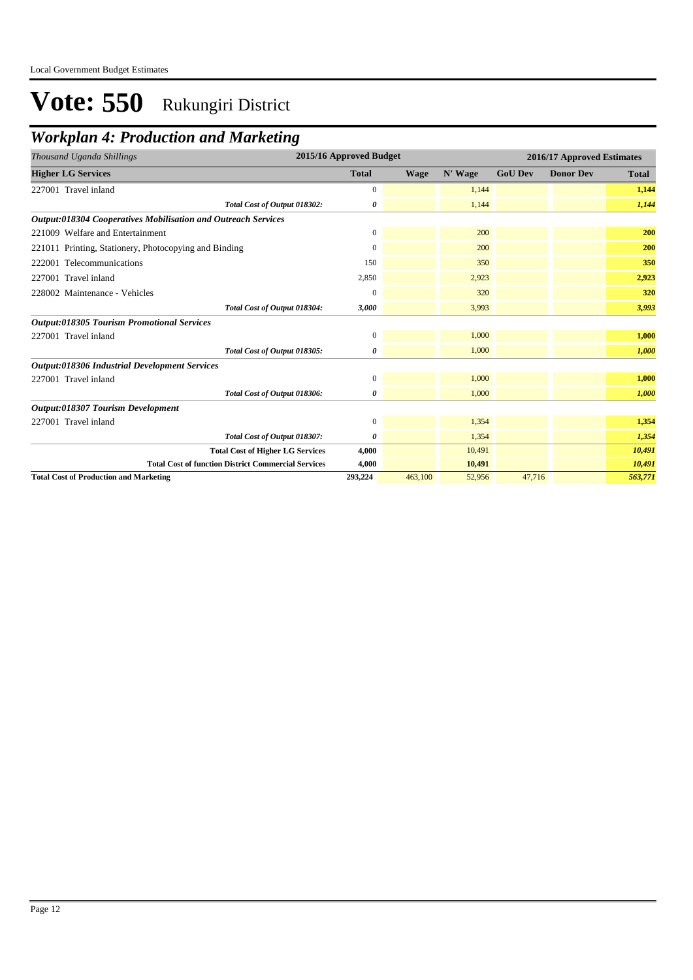### *Workplan 4: Production and Marketing*

| Thousand Uganda Shillings                                     | 2015/16 Approved Budget |             |         |                | 2016/17 Approved Estimates |              |  |
|---------------------------------------------------------------|-------------------------|-------------|---------|----------------|----------------------------|--------------|--|
| <b>Higher LG Services</b>                                     | <b>Total</b>            | <b>Wage</b> | N' Wage | <b>GoU Dev</b> | <b>Donor Dev</b>           | <b>Total</b> |  |
| 227001 Travel inland                                          | $\overline{0}$          |             | 1,144   |                |                            | 1,144        |  |
| Total Cost of Output 018302:                                  | 0                       |             | 1,144   |                |                            | 1,144        |  |
| Output:018304 Cooperatives Mobilisation and Outreach Services |                         |             |         |                |                            |              |  |
| 221009 Welfare and Entertainment                              | $\boldsymbol{0}$        |             | 200     |                |                            | 200          |  |
| 221011 Printing, Stationery, Photocopying and Binding         | $\overline{0}$          |             | 200     |                |                            | 200          |  |
| 222001 Telecommunications                                     | 150                     |             | 350     |                |                            | 350          |  |
| 227001 Travel inland                                          | 2,850                   |             | 2,923   |                |                            | 2,923        |  |
| 228002 Maintenance - Vehicles                                 | $\Omega$                |             | 320     |                |                            | 320          |  |
| Total Cost of Output 018304:                                  | 3,000                   |             | 3,993   |                |                            | 3,993        |  |
| Output:018305 Tourism Promotional Services                    |                         |             |         |                |                            |              |  |
| 227001 Travel inland                                          | $\boldsymbol{0}$        |             | 1,000   |                |                            | 1,000        |  |
| Total Cost of Output 018305:                                  | 0                       |             | 1,000   |                |                            | 1,000        |  |
| <b>Output:018306 Industrial Development Services</b>          |                         |             |         |                |                            |              |  |
| 227001 Travel inland                                          | $\boldsymbol{0}$        |             | 1,000   |                |                            | 1,000        |  |
| Total Cost of Output 018306:                                  | 0                       |             | 1,000   |                |                            | 1,000        |  |
| Output:018307 Tourism Development                             |                         |             |         |                |                            |              |  |
| 227001 Travel inland                                          | $\mathbf{0}$            |             | 1,354   |                |                            | 1,354        |  |
| Total Cost of Output 018307:                                  | 0                       |             | 1,354   |                |                            | 1,354        |  |
| <b>Total Cost of Higher LG Services</b>                       | 4,000                   |             | 10,491  |                |                            | 10,491       |  |
| <b>Total Cost of function District Commercial Services</b>    | 4,000                   |             | 10,491  |                |                            | 10,491       |  |
| <b>Total Cost of Production and Marketing</b>                 | 293,224                 | 463,100     | 52,956  | 47,716         |                            | 563,771      |  |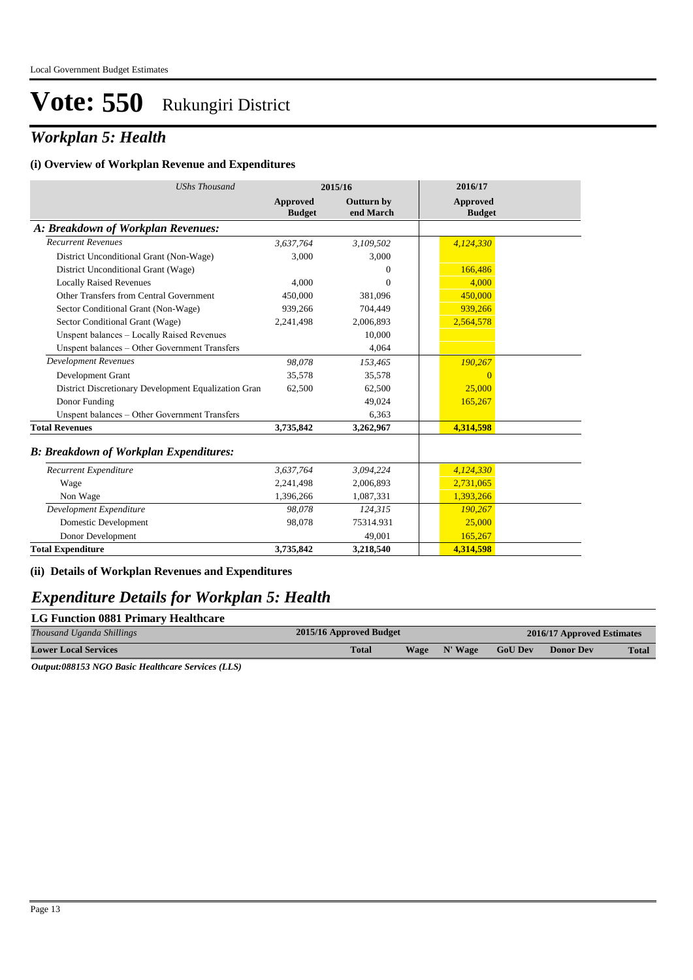#### *Workplan 5: Health*

#### **(i) Overview of Workplan Revenue and Expenditures**

| <b>UShs Thousand</b>                                 | 2015/16                   |                                | 2016/17                   |  |
|------------------------------------------------------|---------------------------|--------------------------------|---------------------------|--|
|                                                      | Approved<br><b>Budget</b> | <b>Outturn by</b><br>end March | Approved<br><b>Budget</b> |  |
| A: Breakdown of Workplan Revenues:                   |                           |                                |                           |  |
| <b>Recurrent Revenues</b>                            | 3,637,764                 | 3,109,502                      | 4,124,330                 |  |
| District Unconditional Grant (Non-Wage)              | 3,000                     | 3,000                          |                           |  |
| District Unconditional Grant (Wage)                  |                           | $\overline{0}$                 | 166,486                   |  |
| <b>Locally Raised Revenues</b>                       | 4,000                     | $\Omega$                       | 4.000                     |  |
| Other Transfers from Central Government              | 450,000                   | 381,096                        | 450,000                   |  |
| Sector Conditional Grant (Non-Wage)                  | 939,266                   | 704,449                        | 939,266                   |  |
| Sector Conditional Grant (Wage)                      | 2,241,498                 | 2,006,893                      | 2,564,578                 |  |
| Unspent balances - Locally Raised Revenues           |                           | 10,000                         |                           |  |
| Unspent balances - Other Government Transfers        |                           | 4.064                          |                           |  |
| <b>Development Revenues</b>                          | 98,078                    | 153,465                        | 190,267                   |  |
| Development Grant                                    | 35,578                    | 35,578                         | $\Omega$                  |  |
| District Discretionary Development Equalization Gran | 62,500                    | 62,500                         | 25,000                    |  |
| Donor Funding                                        |                           | 49,024                         | 165,267                   |  |
| Unspent balances - Other Government Transfers        |                           | 6,363                          |                           |  |
| <b>Total Revenues</b>                                | 3,735,842                 | 3,262,967                      | 4,314,598                 |  |
| <b>B: Breakdown of Workplan Expenditures:</b>        |                           |                                |                           |  |
| Recurrent Expenditure                                | 3,637,764                 | 3,094,224                      | 4,124,330                 |  |
| Wage                                                 | 2,241,498                 | 2,006,893                      | 2,731,065                 |  |
| Non Wage                                             | 1,396,266                 | 1,087,331                      | 1,393,266                 |  |
| Development Expenditure                              | 98.078                    | 124,315                        | 190,267                   |  |
| Domestic Development                                 | 98,078                    | 75314.931                      | 25,000                    |  |
| Donor Development                                    |                           | 49.001                         | 165,267                   |  |
| <b>Total Expenditure</b>                             | 3,735,842                 | 3,218,540                      | 4,314,598                 |  |

#### **(ii) Details of Workplan Revenues and Expenditures**

#### *Expenditure Details for Workplan 5: Health*

#### **LG Function 0881 Primary Healthcare** *Thousand Uganda Shillings* **2015/16 Approved Budget 2016/17 Approved Estimates Lower Local Services Total Wage N' Wage GoU Dev Donor Dev Total**

*Output:088153 NGO Basic Healthcare Services (LLS)*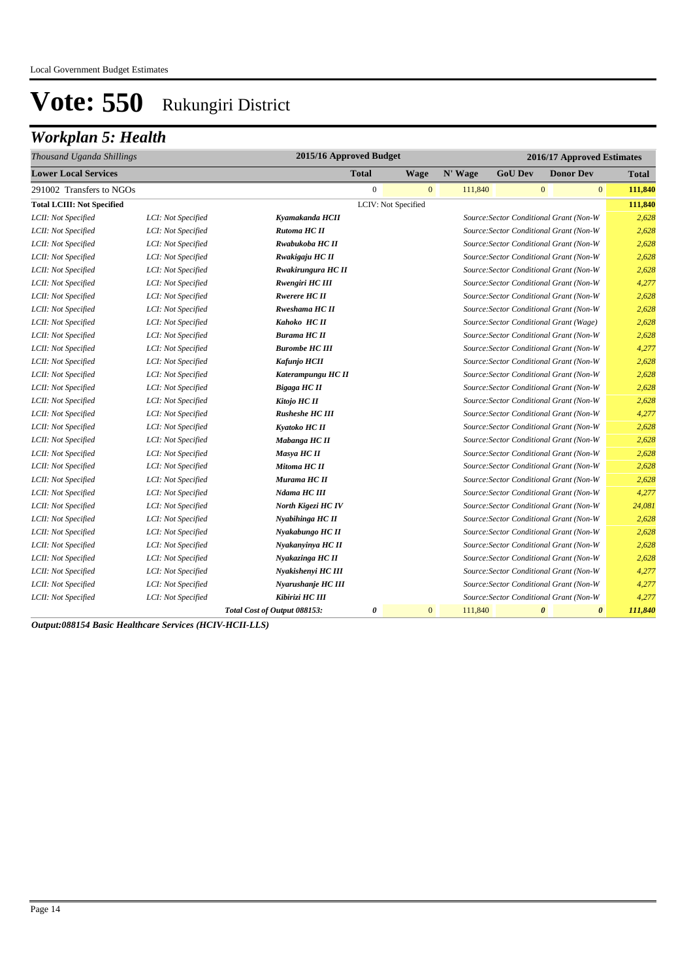## *Workplan 5: Health*

| Thousand Uganda Shillings         |                    | 2015/16 Approved Budget      |              |                     |         | 2016/17 Approved Estimates |                                                |              |
|-----------------------------------|--------------------|------------------------------|--------------|---------------------|---------|----------------------------|------------------------------------------------|--------------|
| <b>Lower Local Services</b>       |                    |                              | <b>Total</b> | Wage                | N' Wage | <b>GoU Dev</b>             | <b>Donor Dev</b>                               | <b>Total</b> |
| 291002 Transfers to NGOs          |                    |                              | $\mathbf{0}$ | $\mathbf{0}$        | 111,840 |                            | $\mathbf{0}$<br>$\mathbf{0}$                   | 111,840      |
| <b>Total LCIII: Not Specified</b> |                    |                              |              | LCIV: Not Specified |         |                            |                                                | 111,840      |
| LCII: Not Specified               | LCI: Not Specified | Kyamakanda HCII              |              |                     |         |                            | Source: Sector Conditional Grant (Non-W        | 2,628        |
| LCII: Not Specified               | LCI: Not Specified | Rutoma HC II                 |              |                     |         |                            | Source: Sector Conditional Grant (Non-W        | 2,628        |
| LCII: Not Specified               | LCI: Not Specified | Rwabukoba HC II              |              |                     |         |                            | Source: Sector Conditional Grant (Non-W        | 2,628        |
| LCII: Not Specified               | LCI: Not Specified | Rwakigaju HC II              |              |                     |         |                            | Source: Sector Conditional Grant (Non-W        | 2,628        |
| LCII: Not Specified               | LCI: Not Specified | Rwakirungura HC II           |              |                     |         |                            | Source: Sector Conditional Grant (Non-W        | 2,628        |
| LCII: Not Specified               | LCI: Not Specified | Rwengiri HC III              |              |                     |         |                            | Source: Sector Conditional Grant (Non-W        | 4,277        |
| LCII: Not Specified               | LCI: Not Specified | <b>Rwerere HC II</b>         |              |                     |         |                            | Source: Sector Conditional Grant (Non-W        | 2,628        |
| LCII: Not Specified               | LCI: Not Specified | Rweshama HC II               |              |                     |         |                            | Source: Sector Conditional Grant (Non-W        | 2,628        |
| LCII: Not Specified               | LCI: Not Specified | Kahoko HC II                 |              |                     |         |                            | Source: Sector Conditional Grant (Wage)        | 2,628        |
| LCII: Not Specified               | LCI: Not Specified | <b>Burama HC II</b>          |              |                     |         |                            | Source: Sector Conditional Grant (Non-W        | 2,628        |
| LCII: Not Specified               | LCI: Not Specified | <b>Burombe HC III</b>        |              |                     |         |                            | Source: Sector Conditional Grant (Non-W        | 4,277        |
| LCII: Not Specified               | LCI: Not Specified | Kafunjo HCII                 |              |                     |         |                            | Source: Sector Conditional Grant (Non-W        | 2,628        |
| LCII: Not Specified               | LCI: Not Specified | Katerampungu HC II           |              |                     |         |                            | Source: Sector Conditional Grant (Non-W        | 2,628        |
| LCII: Not Specified               | LCI: Not Specified | Bigaga HC II                 |              |                     |         |                            | Source: Sector Conditional Grant (Non-W        | 2,628        |
| LCII: Not Specified               | LCI: Not Specified | Kitojo HC II                 |              |                     |         |                            | Source: Sector Conditional Grant (Non-W        | 2,628        |
| LCII: Not Specified               | LCI: Not Specified | <b>Rusheshe HC III</b>       |              |                     |         |                            | Source: Sector Conditional Grant (Non-W        | 4,277        |
| LCII: Not Specified               | LCI: Not Specified | Kyatoko HC II                |              |                     |         |                            | Source: Sector Conditional Grant (Non-W        | 2,628        |
| LCII: Not Specified               | LCI: Not Specified | Mabanga HC II                |              |                     |         |                            | Source: Sector Conditional Grant (Non-W        | 2,628        |
| LCII: Not Specified               | LCI: Not Specified | Masya HC II                  |              |                     |         |                            | Source: Sector Conditional Grant (Non-W        | 2,628        |
| LCII: Not Specified               | LCI: Not Specified | Mitoma HC II                 |              |                     |         |                            | Source: Sector Conditional Grant (Non-W        | 2,628        |
| LCII: Not Specified               | LCI: Not Specified | Murama HC II                 |              |                     |         |                            | Source: Sector Conditional Grant (Non-W        | 2,628        |
| LCII: Not Specified               | LCI: Not Specified | Ndama HC III                 |              |                     |         |                            | Source: Sector Conditional Grant (Non-W        | 4,277        |
| LCII: Not Specified               | LCI: Not Specified | North Kigezi HC IV           |              |                     |         |                            | Source: Sector Conditional Grant (Non-W        | 24,081       |
| LCII: Not Specified               | LCI: Not Specified | Nyabihinga HC II             |              |                     |         |                            | Source: Sector Conditional Grant (Non-W        | 2,628        |
| LCII: Not Specified               | LCI: Not Specified | Nyakabungo HC II             |              |                     |         |                            | Source: Sector Conditional Grant (Non-W        | 2,628        |
| LCII: Not Specified               | LCI: Not Specified | Nyakanyinya HC II            |              |                     |         |                            | Source: Sector Conditional Grant (Non-W        | 2,628        |
| LCII: Not Specified               | LCI: Not Specified | Nyakazinga HC II             |              |                     |         |                            | Source: Sector Conditional Grant (Non-W        | 2,628        |
| LCII: Not Specified               | LCI: Not Specified | Nyakishenyi HC III           |              |                     |         |                            | Source: Sector Conditional Grant (Non-W        | 4,277        |
| LCII: Not Specified               | LCI: Not Specified | Nyarushanje HC III           |              |                     |         |                            | Source: Sector Conditional Grant (Non-W        | 4,277        |
| LCII: Not Specified               | LCI: Not Specified | Kibirizi HC III              |              |                     |         |                            | Source: Sector Conditional Grant (Non-W        | 4,277        |
|                                   |                    | Total Cost of Output 088153: | 0            | $\mathbf{0}$        | 111,840 |                            | $\boldsymbol{\theta}$<br>$\boldsymbol{\theta}$ | 111,840      |

*Output:088154 Basic Healthcare Services (HCIV-HCII-LLS)*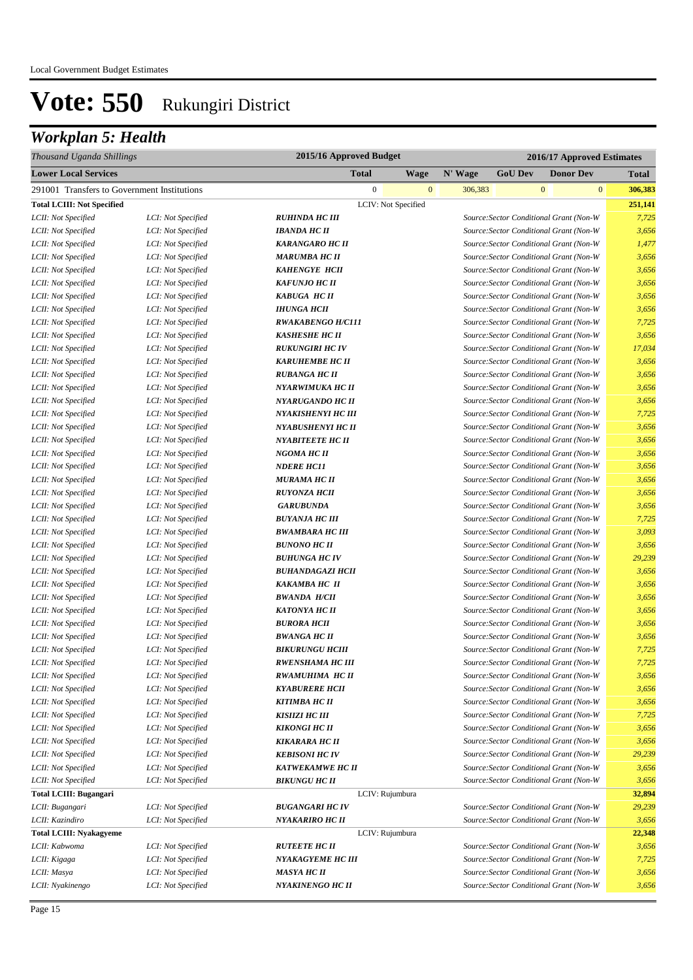## *Workplan 5: Health*

| Thousand Uganda Shillings                   |                    | 2015/16 Approved Budget  | 2016/17 Approved Estimates |         |                |                                         |              |
|---------------------------------------------|--------------------|--------------------------|----------------------------|---------|----------------|-----------------------------------------|--------------|
| <b>Lower Local Services</b>                 |                    | <b>Total</b>             | <b>Wage</b>                | N' Wage | <b>GoU Dev</b> | <b>Donor Dev</b>                        | <b>Total</b> |
| 291001 Transfers to Government Institutions |                    | $\mathbf{0}$             | $\mathbf{0}$               | 306,383 |                | $\mathbf{0}$<br>$\mathbf{0}$            | 306,383      |
| <b>Total LCIII: Not Specified</b>           |                    | LCIV: Not Specified      |                            |         |                |                                         | 251,141      |
| LCII: Not Specified                         | LCI: Not Specified | <b>RUHINDA HC III</b>    |                            |         |                | Source: Sector Conditional Grant (Non-W | 7,725        |
| LCII: Not Specified                         | LCI: Not Specified | <b>IBANDA HC II</b>      |                            |         |                | Source: Sector Conditional Grant (Non-W | 3,656        |
| LCII: Not Specified                         | LCI: Not Specified | <b>KARANGARO HC II</b>   |                            |         |                | Source: Sector Conditional Grant (Non-W | 1,477        |
| LCII: Not Specified                         | LCI: Not Specified | <b>MARUMBA HC II</b>     |                            |         |                | Source: Sector Conditional Grant (Non-W | 3,656        |
| LCII: Not Specified                         | LCI: Not Specified | <b>KAHENGYE HCII</b>     |                            |         |                | Source: Sector Conditional Grant (Non-W | 3,656        |
| LCII: Not Specified                         | LCI: Not Specified | <b>KAFUNJO HC II</b>     |                            |         |                | Source: Sector Conditional Grant (Non-W | 3,656        |
| LCII: Not Specified                         | LCI: Not Specified | <b>KABUGA HC II</b>      |                            |         |                | Source: Sector Conditional Grant (Non-W | 3,656        |
| LCII: Not Specified                         | LCI: Not Specified | <b>IHUNGA HCII</b>       |                            |         |                | Source: Sector Conditional Grant (Non-W | 3,656        |
| LCII: Not Specified                         | LCI: Not Specified | <b>RWAKABENGO H/C111</b> |                            |         |                | Source: Sector Conditional Grant (Non-W | 7,725        |
| LCII: Not Specified                         | LCI: Not Specified | <b>KASHESHE HC II</b>    |                            |         |                | Source: Sector Conditional Grant (Non-W | 3,656        |
| LCII: Not Specified                         | LCI: Not Specified | <b>RUKUNGIRI HC IV</b>   |                            |         |                | Source: Sector Conditional Grant (Non-W | 17,034       |
| LCII: Not Specified                         | LCI: Not Specified | <b>KARUHEMBE HC II</b>   |                            |         |                | Source: Sector Conditional Grant (Non-W | 3,656        |
| LCII: Not Specified                         | LCI: Not Specified | <b>RUBANGA HC II</b>     |                            |         |                | Source: Sector Conditional Grant (Non-W | 3,656        |
| LCII: Not Specified                         | LCI: Not Specified | NYARWIMUKA HC II         |                            |         |                | Source: Sector Conditional Grant (Non-W | 3,656        |
| LCII: Not Specified                         | LCI: Not Specified | NYARUGANDO HC II         |                            |         |                | Source: Sector Conditional Grant (Non-W | 3,656        |
| LCII: Not Specified                         | LCI: Not Specified | NYAKISHENYI HC III       |                            |         |                | Source: Sector Conditional Grant (Non-W | 7,725        |
| LCII: Not Specified                         | LCI: Not Specified | <b>NYABUSHENYI HC II</b> |                            |         |                | Source: Sector Conditional Grant (Non-W | 3,656        |
| LCII: Not Specified                         | LCI: Not Specified | <b>NYABITEETE HC II</b>  |                            |         |                | Source: Sector Conditional Grant (Non-W | 3,656        |
| LCII: Not Specified                         | LCI: Not Specified | NGOMA HC II              |                            |         |                | Source: Sector Conditional Grant (Non-W | 3,656        |
| LCII: Not Specified                         | LCI: Not Specified | <b>NDERE HC11</b>        |                            |         |                | Source: Sector Conditional Grant (Non-W | 3,656        |
| LCII: Not Specified                         | LCI: Not Specified | MURAMA HC II             |                            |         |                | Source: Sector Conditional Grant (Non-W | 3,656        |
| LCII: Not Specified                         | LCI: Not Specified | <b>RUYONZA HCII</b>      |                            |         |                | Source: Sector Conditional Grant (Non-W | 3,656        |
| LCII: Not Specified                         | LCI: Not Specified | <b>GARUBUNDA</b>         |                            |         |                | Source: Sector Conditional Grant (Non-W | 3,656        |
| LCII: Not Specified                         | LCI: Not Specified | <b>BUYANJA HC III</b>    |                            |         |                | Source: Sector Conditional Grant (Non-W | 7,725        |
| LCII: Not Specified                         | LCI: Not Specified | <b>BWAMBARA HC III</b>   |                            |         |                | Source: Sector Conditional Grant (Non-W | 3,093        |
| LCII: Not Specified                         | LCI: Not Specified | <b>BUNONO HC II</b>      |                            |         |                | Source: Sector Conditional Grant (Non-W | 3,656        |
| LCII: Not Specified                         | LCI: Not Specified | <b>BUHUNGA HC IV</b>     |                            |         |                | Source: Sector Conditional Grant (Non-W | 29,239       |
| LCII: Not Specified                         | LCI: Not Specified | <b>BUHANDAGAZI HCII</b>  |                            |         |                | Source: Sector Conditional Grant (Non-W | 3,656        |
| LCII: Not Specified                         | LCI: Not Specified | <b>KAKAMBA HC II</b>     |                            |         |                | Source: Sector Conditional Grant (Non-W | 3,656        |
| LCII: Not Specified                         | LCI: Not Specified | <b>BWANDA H/CII</b>      |                            |         |                | Source: Sector Conditional Grant (Non-W | 3,656        |
| LCII: Not Specified                         | LCI: Not Specified | <b>KATONYA HC II</b>     |                            |         |                | Source: Sector Conditional Grant (Non-W | 3,656        |
| LCII: Not Specified                         | LCI: Not Specified | <b>BURORA HCII</b>       |                            |         |                | Source: Sector Conditional Grant (Non-W | 3,656        |
| LCII: Not Specified                         | LCI: Not Specified | <b>BWANGA HC II</b>      |                            |         |                | Source: Sector Conditional Grant (Non-W | 3,656        |
| LCII: Not Specified                         | LCI: Not Specified | <b>BIKURUNGU HCIII</b>   |                            |         |                | Source: Sector Conditional Grant (Non-W | 7,725        |
| LCII: Not Specified                         | LCI: Not Specified | <b>RWENSHAMA HC III</b>  |                            |         |                | Source: Sector Conditional Grant (Non-W | 7,725        |
| LCII: Not Specified                         | LCI: Not Specified | RWAMUHIMA HC II          |                            |         |                | Source: Sector Conditional Grant (Non-W | 3,656        |
| LCII: Not Specified                         | LCI: Not Specified | <b>KYABURERE HCII</b>    |                            |         |                | Source: Sector Conditional Grant (Non-W | 3,656        |
| LCII: Not Specified                         | LCI: Not Specified | <b>KITIMBA HC II</b>     |                            |         |                | Source: Sector Conditional Grant (Non-W | 3,656        |
| LCII: Not Specified                         | LCI: Not Specified | <b>KISHZI HC III</b>     |                            |         |                | Source: Sector Conditional Grant (Non-W | 7,725        |
| LCII: Not Specified                         | LCI: Not Specified | <b>KIKONGI HC II</b>     |                            |         |                | Source: Sector Conditional Grant (Non-W | 3,656        |
| LCII: Not Specified                         | LCI: Not Specified | <b>KIKARARA HC II</b>    |                            |         |                | Source: Sector Conditional Grant (Non-W | 3,656        |
| LCII: Not Specified                         | LCI: Not Specified | <b>KEBISONI HC IV</b>    |                            |         |                | Source: Sector Conditional Grant (Non-W | 29,239       |
| LCII: Not Specified                         | LCI: Not Specified | <b>KATWEKAMWE HC II</b>  |                            |         |                | Source: Sector Conditional Grant (Non-W | 3,656        |
| LCII: Not Specified                         | LCI: Not Specified | <b>BIKUNGU HC II</b>     |                            |         |                | Source: Sector Conditional Grant (Non-W | 3,656        |
| Total LCIII: Bugangari                      |                    | LCIV: Rujumbura          |                            |         |                |                                         | 32,894       |
| LCII: Bugangari                             | LCI: Not Specified | <b>BUGANGARI HC IV</b>   |                            |         |                | Source: Sector Conditional Grant (Non-W | 29,239       |
| LCII: Kazindiro                             | LCI: Not Specified | NYAKARIRO HC II          |                            |         |                | Source: Sector Conditional Grant (Non-W | 3,656        |
| <b>Total LCIII: Nyakagyeme</b>              |                    | LCIV: Rujumbura          |                            |         |                |                                         | 22,348       |
| LCII: Kabwoma                               | LCI: Not Specified | <b>RUTEETE HC II</b>     |                            |         |                | Source: Sector Conditional Grant (Non-W | 3,656        |
| LCII: Kigaga                                | LCI: Not Specified | NYAKAGYEME HC III        |                            |         |                | Source: Sector Conditional Grant (Non-W | 7,725        |
| LCII: Masya                                 | LCI: Not Specified | <b>MASYA HC II</b>       |                            |         |                | Source: Sector Conditional Grant (Non-W | 3,656        |
| LCII: Nyakinengo                            | LCI: Not Specified | NYAKINENGO HC II         |                            |         |                | Source: Sector Conditional Grant (Non-W | 3,656        |
|                                             |                    |                          |                            |         |                |                                         |              |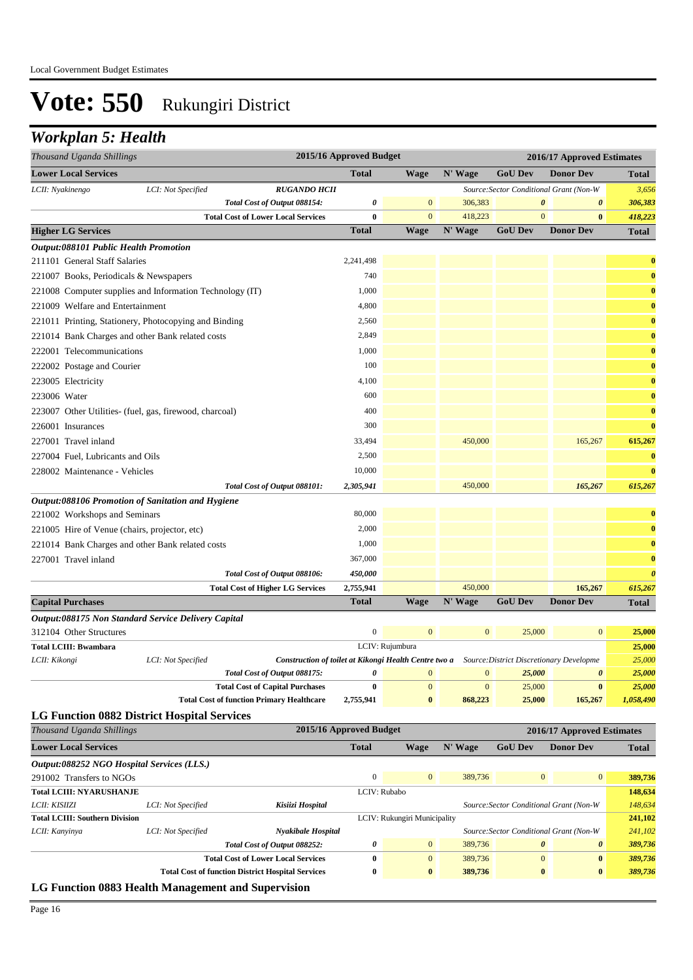### *Workplan 5: Health*

| Thousand Uganda Shillings                                         |                      |                                                                                                | 2015/16 Approved Budget |                              |                            |                                         | 2016/17 Approved Estimates              |                       |
|-------------------------------------------------------------------|----------------------|------------------------------------------------------------------------------------------------|-------------------------|------------------------------|----------------------------|-----------------------------------------|-----------------------------------------|-----------------------|
| <b>Lower Local Services</b>                                       |                      |                                                                                                | <b>Total</b>            | <b>Wage</b>                  | N' Wage                    | <b>GoU Dev</b>                          | <b>Donor Dev</b>                        | <b>Total</b>          |
| LCII: Nyakinengo                                                  | LCI: Not Specified   | <b>RUGANDO HCII</b>                                                                            |                         |                              |                            |                                         | Source: Sector Conditional Grant (Non-W | 3,656                 |
|                                                                   |                      | Total Cost of Output 088154:                                                                   | 0                       | $\mathbf{0}$                 | 306,383                    | 0                                       | $\boldsymbol{\theta}$                   | 306,383               |
|                                                                   |                      | <b>Total Cost of Lower Local Services</b>                                                      | $\bf{0}$                | $\mathbf{0}$                 | 418,223                    | $\overline{0}$                          | $\bf{0}$                                | 418,223               |
| <b>Higher LG Services</b>                                         |                      |                                                                                                | <b>Total</b>            | <b>Wage</b>                  | N' Wage                    | <b>GoU Dev</b>                          | <b>Donor Dev</b>                        | <b>Total</b>          |
| Output:088101 Public Health Promotion                             |                      |                                                                                                |                         |                              |                            |                                         |                                         |                       |
| 211101 General Staff Salaries                                     |                      |                                                                                                | 2,241,498               |                              |                            |                                         |                                         | $\bf{0}$              |
| 221007 Books, Periodicals & Newspapers                            |                      |                                                                                                | 740                     |                              |                            |                                         |                                         | $\bf{0}$              |
| 221008 Computer supplies and Information Technology (IT)          |                      |                                                                                                | 1,000                   |                              |                            |                                         |                                         | $\bf{0}$              |
| 221009 Welfare and Entertainment                                  |                      |                                                                                                | 4,800                   |                              |                            |                                         |                                         | $\bf{0}$              |
| 221011 Printing, Stationery, Photocopying and Binding             |                      |                                                                                                | 2,560                   |                              |                            |                                         |                                         | $\bf{0}$              |
| 221014 Bank Charges and other Bank related costs                  |                      |                                                                                                | 2,849                   |                              |                            |                                         |                                         | $\bf{0}$              |
| 222001 Telecommunications                                         |                      |                                                                                                | 1,000                   |                              |                            |                                         |                                         | $\bf{0}$              |
| 222002 Postage and Courier                                        |                      |                                                                                                | 100                     |                              |                            |                                         |                                         | $\bf{0}$              |
| 223005 Electricity                                                |                      |                                                                                                | 4,100                   |                              |                            |                                         |                                         | $\bf{0}$              |
| 223006 Water                                                      |                      |                                                                                                | 600                     |                              |                            |                                         |                                         | $\bf{0}$              |
| 223007 Other Utilities- (fuel, gas, firewood, charcoal)           |                      |                                                                                                | 400                     |                              |                            |                                         |                                         | $\bf{0}$              |
| 226001 Insurances                                                 |                      |                                                                                                | 300                     |                              |                            |                                         |                                         | $\bf{0}$              |
| 227001 Travel inland                                              |                      |                                                                                                | 33,494                  |                              | 450,000                    |                                         | 165,267                                 | 615,267               |
| 227004 Fuel, Lubricants and Oils                                  |                      |                                                                                                | 2,500                   |                              |                            |                                         |                                         | $\bf{0}$              |
| 228002 Maintenance - Vehicles                                     |                      |                                                                                                | 10,000                  |                              |                            |                                         |                                         | $\bf{0}$              |
|                                                                   |                      |                                                                                                | 2,305,941               |                              | 450,000                    |                                         | 165,267                                 | 615,267               |
| Output:088106 Promotion of Sanitation and Hygiene                 |                      | Total Cost of Output 088101:                                                                   |                         |                              |                            |                                         |                                         |                       |
| 221002 Workshops and Seminars                                     |                      |                                                                                                | 80,000                  |                              |                            |                                         |                                         | $\boldsymbol{0}$      |
|                                                                   |                      |                                                                                                | 2,000                   |                              |                            |                                         |                                         | $\bf{0}$              |
| 221005 Hire of Venue (chairs, projector, etc)                     |                      |                                                                                                |                         |                              |                            |                                         |                                         |                       |
| 221014 Bank Charges and other Bank related costs                  |                      |                                                                                                | 1,000                   |                              |                            |                                         |                                         | $\bf{0}$              |
| 227001 Travel inland                                              |                      |                                                                                                | 367,000                 |                              |                            |                                         |                                         | $\bf{0}$              |
|                                                                   |                      | Total Cost of Output 088106:                                                                   | 450,000                 |                              |                            |                                         |                                         | $\boldsymbol{\theta}$ |
|                                                                   |                      | <b>Total Cost of Higher LG Services</b>                                                        | 2,755,941               |                              | 450,000                    |                                         | 165,267                                 | 615,267               |
| <b>Capital Purchases</b>                                          |                      |                                                                                                | <b>Total</b>            | Wage                         | N' Wage                    | <b>GoU Dev</b>                          | <b>Donor Dev</b>                        | <b>Total</b>          |
| <i><b>Output:088175 Non Standard Service Delivery Capital</b></i> |                      |                                                                                                |                         |                              |                            |                                         |                                         |                       |
| 312104 Other Structures                                           |                      |                                                                                                | $\boldsymbol{0}$        | $\mathbf{0}$                 | $\bf{0}$                   | 25,000                                  | $\bf{0}$                                | 25,000                |
| <b>Total LCIII: Bwambara</b>                                      |                      |                                                                                                | LCIV: Rujumbura         |                              |                            |                                         |                                         | 25,000                |
| LCII: Kikongi                                                     | LCI: Not Specified   | Construction of toilet at Kikongi Health Centre two a Source: District Discretionary Developme |                         | $\mathbf{0}$                 |                            |                                         |                                         | 25,000                |
|                                                                   |                      | Total Cost of Output 088175:                                                                   | 0<br>$\bf{0}$           | $\mathbf{0}$                 | $\bf{0}$<br>$\overline{0}$ | 25,000<br>25,000                        | 0<br>$\bf{0}$                           | 25,000                |
|                                                                   |                      | <b>Total Cost of Capital Purchases</b><br><b>Total Cost of function Primary Healthcare</b>     | 2,755,941               | $\bf{0}$                     | 868,223                    | 25,000                                  | 165,267                                 | 25,000<br>1,058,490   |
|                                                                   |                      |                                                                                                |                         |                              |                            |                                         |                                         |                       |
| <b>LG Function 0882 District Hospital Services</b>                |                      |                                                                                                | 2015/16 Approved Budget |                              |                            |                                         |                                         |                       |
| Thousand Uganda Shillings                                         |                      |                                                                                                |                         |                              |                            |                                         | 2016/17 Approved Estimates              |                       |
| <b>Lower Local Services</b>                                       |                      |                                                                                                | <b>Total</b>            | <b>Wage</b>                  | N' Wage                    | <b>GoU Dev</b>                          | <b>Donor Dev</b>                        | <b>Total</b>          |
| Output:088252 NGO Hospital Services (LLS.)                        |                      |                                                                                                |                         |                              |                            |                                         |                                         |                       |
| 291002 Transfers to NGOs                                          |                      |                                                                                                | $\mathbf{0}$            | $\mathbf{0}$                 | 389,736                    | $\boldsymbol{0}$                        | $\bf{0}$                                | 389,736               |
| <b>Total LCIII: NYARUSHANJE</b>                                   |                      |                                                                                                | LCIV: Rubabo            |                              |                            |                                         |                                         | 148,634               |
| LCII: KISIIZI                                                     | LCI: Not Specified   | Kisiizi Hospital                                                                               |                         |                              |                            |                                         | Source: Sector Conditional Grant (Non-W | 148,634               |
| <b>Total LCIII: Southern Division</b><br>ICU: Kannimo             | $ICI: Not$ Specified | Nyakibale Hospital                                                                             |                         | LCIV: Rukungiri Municipality |                            | Source: Sector Conditional Crant (Non W |                                         | 241,102<br>241,102    |

| LCII: Kanyinya | LCI: Not Specified                                  | <b>Nyakibale Hospital</b>                                | Source: Sector Conditional Grant (Non-W |          |         | 241,102  |          |         |
|----------------|-----------------------------------------------------|----------------------------------------------------------|-----------------------------------------|----------|---------|----------|----------|---------|
|                | Total Cost of Output 088252:                        |                                                          |                                         |          | 389,736 | $\theta$ |          | 389.736 |
|                |                                                     | <b>Total Cost of Lower Local Services</b>                |                                         | $\Omega$ | 389,736 |          | $\bf{0}$ | 389,736 |
|                |                                                     | <b>Total Cost of function District Hospital Services</b> |                                         | $\bf{0}$ | 389,736 | $\bf{0}$ | $\bf{0}$ | 389.736 |
|                | I C Function 0883 Health Management and Supervision |                                                          |                                         |          |         |          |          |         |

**LG Function 0883 Health Management and Supervision**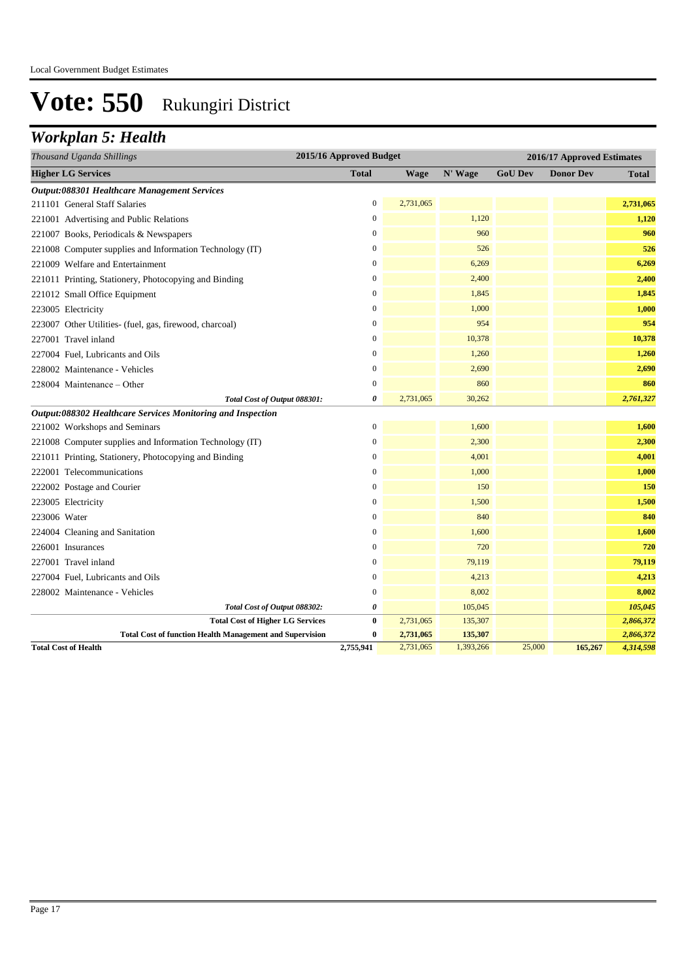## *Workplan 5: Health*

| Thousand Uganda Shillings                                       | 2015/16 Approved Budget |           | 2016/17 Approved Estimates |                |                  |              |
|-----------------------------------------------------------------|-------------------------|-----------|----------------------------|----------------|------------------|--------------|
| <b>Higher LG Services</b>                                       | <b>Total</b>            | Wage      | N' Wage                    | <b>GoU Dev</b> | <b>Donor Dev</b> | <b>Total</b> |
| Output:088301 Healthcare Management Services                    |                         |           |                            |                |                  |              |
| 211101 General Staff Salaries                                   | $\boldsymbol{0}$        | 2,731,065 |                            |                |                  | 2,731,065    |
| 221001 Advertising and Public Relations                         | $\Omega$                |           | 1,120                      |                |                  | 1,120        |
| 221007 Books, Periodicals & Newspapers                          | $\overline{0}$          |           | 960                        |                |                  | 960          |
| 221008 Computer supplies and Information Technology (IT)        | $\boldsymbol{0}$        |           | 526                        |                |                  | 526          |
| 221009 Welfare and Entertainment                                | $\boldsymbol{0}$        |           | 6,269                      |                |                  | 6,269        |
| 221011 Printing, Stationery, Photocopying and Binding           | $\overline{0}$          |           | 2,400                      |                |                  | 2,400        |
| 221012 Small Office Equipment                                   | $\overline{0}$          |           | 1,845                      |                |                  | 1,845        |
| 223005 Electricity                                              | $\overline{0}$          |           | 1,000                      |                |                  | 1,000        |
| 223007 Other Utilities- (fuel, gas, firewood, charcoal)         | $\boldsymbol{0}$        |           | 954                        |                |                  | 954          |
| 227001 Travel inland                                            | $\overline{0}$          |           | 10,378                     |                |                  | 10,378       |
| 227004 Fuel, Lubricants and Oils                                | $\boldsymbol{0}$        |           | 1,260                      |                |                  | 1,260        |
| 228002 Maintenance - Vehicles                                   | $\mathbf{0}$            |           | 2,690                      |                |                  | 2,690        |
| 228004 Maintenance - Other                                      | $\boldsymbol{0}$        |           | 860                        |                |                  | 860          |
| Total Cost of Output 088301:                                    | 0                       | 2,731,065 | 30,262                     |                |                  | 2,761,327    |
| Output:088302 Healthcare Services Monitoring and Inspection     |                         |           |                            |                |                  |              |
| 221002 Workshops and Seminars                                   | $\overline{0}$          |           | 1,600                      |                |                  | 1,600        |
| 221008 Computer supplies and Information Technology (IT)        | $\overline{0}$          |           | 2,300                      |                |                  | 2,300        |
| 221011 Printing, Stationery, Photocopying and Binding           | $\overline{0}$          |           | 4,001                      |                |                  | 4,001        |
| 222001 Telecommunications                                       | $\mathbf{0}$            |           | 1,000                      |                |                  | 1,000        |
| 222002 Postage and Courier                                      | $\boldsymbol{0}$        |           | 150                        |                |                  | 150          |
| 223005 Electricity                                              | $\boldsymbol{0}$        |           | 1,500                      |                |                  | 1,500        |
| 223006 Water                                                    | $\overline{0}$          |           | 840                        |                |                  | 840          |
| 224004 Cleaning and Sanitation                                  | $\overline{0}$          |           | 1,600                      |                |                  | 1,600        |
| 226001 Insurances                                               | $\boldsymbol{0}$        |           | 720                        |                |                  | 720          |
| 227001 Travel inland                                            | $\boldsymbol{0}$        |           | 79,119                     |                |                  | 79,119       |
| 227004 Fuel, Lubricants and Oils                                | $\mathbf{0}$            |           | 4,213                      |                |                  | 4,213        |
| 228002 Maintenance - Vehicles                                   | $\overline{0}$          |           | 8,002                      |                |                  | 8,002        |
| Total Cost of Output 088302:                                    | 0                       |           | 105,045                    |                |                  | 105,045      |
| <b>Total Cost of Higher LG Services</b>                         | $\bf{0}$                | 2,731,065 | 135,307                    |                |                  | 2,866,372    |
| <b>Total Cost of function Health Management and Supervision</b> | 0                       | 2,731,065 | 135,307                    |                |                  | 2,866,372    |
| <b>Total Cost of Health</b>                                     | 2,755,941               | 2,731,065 | 1,393,266                  | 25,000         | 165,267          | 4,314,598    |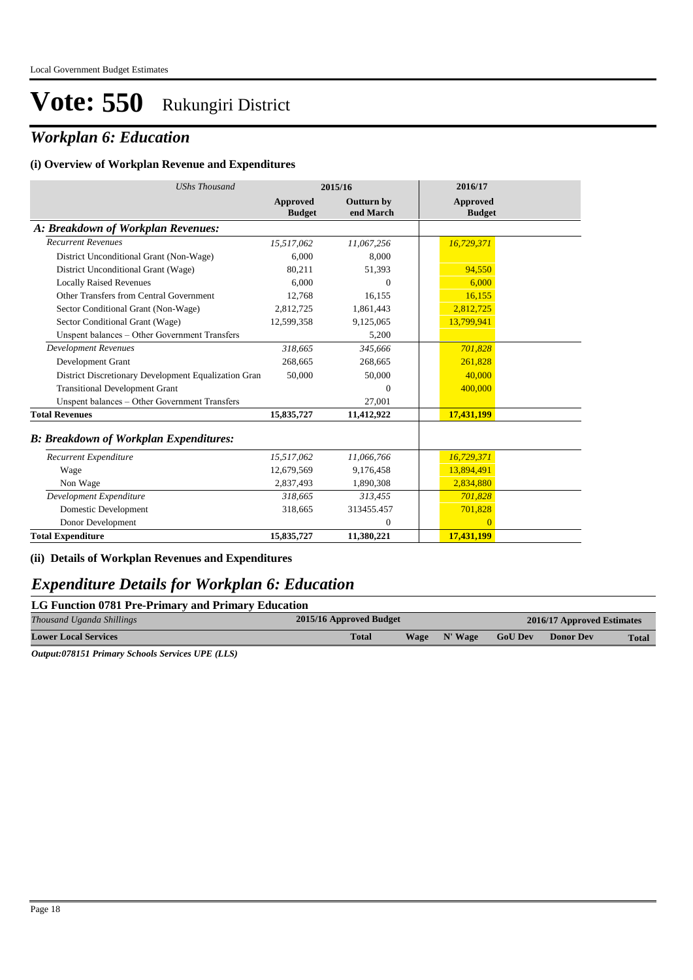### *Workplan 6: Education*

#### **(i) Overview of Workplan Revenue and Expenditures**

| <b>UShs Thousand</b>                                 | 2015/16                   |                                | 2016/17                          |  |
|------------------------------------------------------|---------------------------|--------------------------------|----------------------------------|--|
|                                                      | Approved<br><b>Budget</b> | <b>Outturn by</b><br>end March | <b>Approved</b><br><b>Budget</b> |  |
| A: Breakdown of Workplan Revenues:                   |                           |                                |                                  |  |
| <b>Recurrent Revenues</b>                            | 15,517,062                | 11,067,256                     | 16,729,371                       |  |
| District Unconditional Grant (Non-Wage)              | 6.000                     | 8.000                          |                                  |  |
| District Unconditional Grant (Wage)                  | 80,211                    | 51,393                         | 94,550                           |  |
| <b>Locally Raised Revenues</b>                       | 6.000                     | $\Omega$                       | 6.000                            |  |
| Other Transfers from Central Government              | 12.768                    | 16,155                         | 16,155                           |  |
| Sector Conditional Grant (Non-Wage)                  | 2,812,725                 | 1,861,443                      | 2,812,725                        |  |
| Sector Conditional Grant (Wage)                      | 12,599,358                | 9,125,065                      | 13,799,941                       |  |
| Unspent balances - Other Government Transfers        |                           | 5,200                          |                                  |  |
| <b>Development Revenues</b>                          | 318.665                   | 345.666                        | 701,828                          |  |
| Development Grant                                    | 268,665                   | 268,665                        | 261.828                          |  |
| District Discretionary Development Equalization Gran | 50,000                    | 50,000                         | 40,000                           |  |
| <b>Transitional Development Grant</b>                |                           | $\Omega$                       | 400,000                          |  |
| Unspent balances - Other Government Transfers        |                           | 27,001                         |                                  |  |
| <b>Total Revenues</b>                                | 15,835,727                | 11,412,922                     | 17,431,199                       |  |
| <b>B: Breakdown of Workplan Expenditures:</b>        |                           |                                |                                  |  |
| Recurrent Expenditure                                | 15,517,062                | 11,066,766                     | 16,729,371                       |  |
| Wage                                                 | 12,679,569                | 9,176,458                      | 13,894,491                       |  |
| Non Wage                                             | 2,837,493                 | 1,890,308                      | 2,834,880                        |  |
| Development Expenditure                              | 318,665                   | 313,455                        | 701,828                          |  |
| Domestic Development                                 | 318,665                   | 313455.457                     | 701,828                          |  |
| Donor Development                                    |                           | $\Omega$                       | $\Omega$                         |  |
| <b>Total Expenditure</b>                             | 15,835,727                | 11,380,221                     | 17,431,199                       |  |

**(ii) Details of Workplan Revenues and Expenditures**

#### *Expenditure Details for Workplan 6: Education*

|                   |  | LG Function 0781 Pre-Primary and Primary Education |  |
|-------------------|--|----------------------------------------------------|--|
| <b>CONTRACTOR</b> |  |                                                    |  |

| Thousand Uganda Shillings                                                                        | 2015/16 Approved Budget |  |              | 2016/17 Approved Estimates |                  |       |  |
|--------------------------------------------------------------------------------------------------|-------------------------|--|--------------|----------------------------|------------------|-------|--|
| <b>Lower Local Services</b>                                                                      | <b>Total</b>            |  | Wage N' Wage | <b>GoU Dev</b>             | <b>Donor Dev</b> | Total |  |
| $O_{i_{1}}(1,1,0)$ $O_{i_{2}}(1,1,1,0)$ $O_{i_{3}}(1,1,0)$ $O_{i_{4}}(1,1,0)$ $O_{i_{5}}(1,1,0)$ |                         |  |              |                            |                  |       |  |

*Output:078151 Primary Schools Services UPE (LLS)*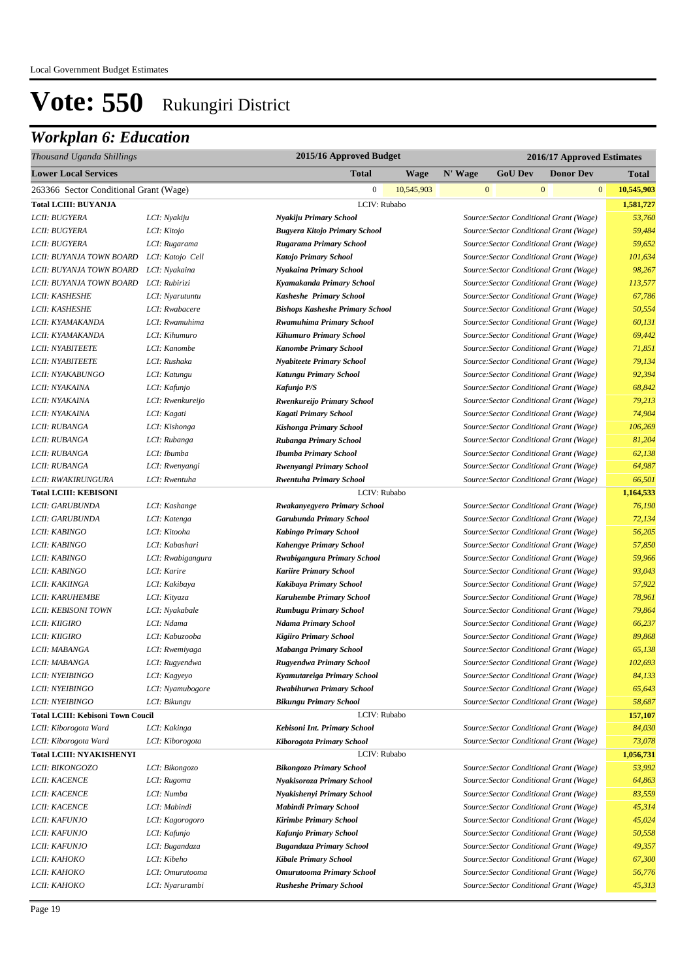| Thousand Uganda Shillings                | 2015/16 Approved Budget<br>2016/17 Approved Estimates |                                        |            |              |                                         |                  |                  |            |
|------------------------------------------|-------------------------------------------------------|----------------------------------------|------------|--------------|-----------------------------------------|------------------|------------------|------------|
| <b>Lower Local Services</b>              |                                                       | <b>Total</b>                           | Wage       | N' Wage      | <b>GoU Dev</b>                          |                  | <b>Donor Dev</b> | Total      |
| 263366 Sector Conditional Grant (Wage)   |                                                       | $\overline{0}$                         | 10,545,903 | $\mathbf{0}$ |                                         | $\boldsymbol{0}$ | $\mathbf{0}$     | 10,545,903 |
| <b>Total LCIII: BUYANJA</b>              |                                                       | LCIV: Rubabo                           |            |              |                                         |                  |                  | 1,581,727  |
| LCII: BUGYERA                            | LCI: Nyakiju                                          | Nyakiju Primary School                 |            |              | Source: Sector Conditional Grant (Wage) |                  |                  | 53,760     |
| LCII: BUGYERA                            | LCI: Kitojo                                           | <b>Bugyera Kitojo Primary School</b>   |            |              | Source: Sector Conditional Grant (Wage) |                  |                  | 59,484     |
| LCII: BUGYERA                            | LCI: Rugarama                                         | Rugarama Primary School                |            |              | Source: Sector Conditional Grant (Wage) |                  |                  | 59,652     |
| LCII: BUYANJA TOWN BOARD                 | LCI: Katojo Cell                                      | <b>Katojo Primary School</b>           |            |              | Source: Sector Conditional Grant (Wage) |                  |                  | 101,634    |
| LCII: BUYANJA TOWN BOARD                 | LCI: Nyakaina                                         | Nyakaina Primary School                |            |              | Source: Sector Conditional Grant (Wage) |                  |                  | 98,267     |
| LCII: BUYANJA TOWN BOARD                 | LCI: Rubirizi                                         | Kyamakanda Primary School              |            |              | Source: Sector Conditional Grant (Wage) |                  |                  | 113,577    |
| LCII: KASHESHE                           | LCI: Nyarutuntu                                       | <b>Kasheshe Primary School</b>         |            |              | Source: Sector Conditional Grant (Wage) |                  |                  | 67,786     |
| LCII: KASHESHE                           | LCI: Rwabacere                                        | <b>Bishops Kasheshe Primary School</b> |            |              | Source: Sector Conditional Grant (Wage) |                  |                  | 50,554     |
| LCII: KYAMAKANDA                         | LCI: Rwamuhima                                        | <b>Rwamuhima Primary School</b>        |            |              | Source: Sector Conditional Grant (Wage) |                  |                  | 60,131     |
| LCII: KYAMAKANDA                         | LCI: Kihumuro                                         | <b>Kihumuro Primary School</b>         |            |              | Source: Sector Conditional Grant (Wage) |                  |                  | 69,442     |
| LCII: NYABITEETE                         | LCI: Kanombe                                          | <b>Kanombe Primary School</b>          |            |              | Source: Sector Conditional Grant (Wage) |                  |                  | 71,851     |
| LCII: NYABITEETE                         | LCI: Rushaka                                          | <b>Nyabiteete Primary School</b>       |            |              | Source: Sector Conditional Grant (Wage) |                  |                  | 79,134     |
| LCII: NYAKABUNGO                         | LCI: Katungu                                          | <b>Katungu Primary School</b>          |            |              | Source: Sector Conditional Grant (Wage) |                  |                  | 92,394     |
| LCII: NYAKAINA                           | LCI: Kafunjo                                          | Kafunjo P/S                            |            |              | Source: Sector Conditional Grant (Wage) |                  |                  | 68,842     |
| LCII: NYAKAINA                           | LCI: Rwenkureijo                                      | Rwenkureijo Primary School             |            |              | Source: Sector Conditional Grant (Wage) |                  |                  | 79,213     |
| LCII: NYAKAINA                           | LCI: Kagati                                           | <b>Kagati Primary School</b>           |            |              | Source: Sector Conditional Grant (Wage) |                  |                  | 74,904     |
| LCII: RUBANGA                            | LCI: Kishonga                                         | Kishonga Primary School                |            |              | Source: Sector Conditional Grant (Wage) |                  |                  | 106,269    |
| LCII: RUBANGA                            | LCI: Rubanga                                          | Rubanga Primary School                 |            |              | Source: Sector Conditional Grant (Wage) |                  |                  | 81,204     |
| LCII: RUBANGA                            | LCI: Ibumba                                           | <b>Ibumba Primary School</b>           |            |              | Source: Sector Conditional Grant (Wage) |                  |                  | 62,138     |
| LCII: RUBANGA                            | LCI: Rwenyangi                                        | Rwenyangi Primary School               |            |              | Source: Sector Conditional Grant (Wage) |                  |                  | 64,987     |
| LCII: RWAKIRUNGURA                       | LCI: Rwentuha                                         | <b>Rwentuha Primary School</b>         |            |              | Source: Sector Conditional Grant (Wage) |                  |                  | 66,501     |
| <b>Total LCIII: KEBISONI</b>             |                                                       | LCIV: Rubabo                           |            |              |                                         |                  |                  | 1,164,533  |
| LCII: GARUBUNDA                          | LCI: Kashange                                         | Rwakanyegyero Primary School           |            |              | Source: Sector Conditional Grant (Wage) |                  |                  | 76,190     |
| LCII: GARUBUNDA                          | LCI: Katenga                                          | Garubunda Primary School               |            |              | Source: Sector Conditional Grant (Wage) |                  |                  | 72,134     |
| LCII: KABINGO                            | LCI: Kitooha                                          | <b>Kabingo Primary School</b>          |            |              | Source: Sector Conditional Grant (Wage) |                  |                  | 56,205     |
| LCII: KABINGO                            | LCI: Kabashari                                        | <b>Kahengye Primary School</b>         |            |              | Source: Sector Conditional Grant (Wage) |                  |                  | 57,850     |
| LCII: KABINGO                            | LCI: Rwabigangura                                     | Rwabigangura Primary School            |            |              | Source: Sector Conditional Grant (Wage) |                  |                  | 59,966     |
| LCII: KABINGO                            | LCI: Karire                                           | <b>Kariire Primary School</b>          |            |              | Source: Sector Conditional Grant (Wage) |                  |                  | 93,043     |
| LCII: KAKIINGA                           | LCI: Kakibaya                                         | Kakibaya Primary School                |            |              | Source: Sector Conditional Grant (Wage) |                  |                  | 57,922     |
| <b>LCII: KARUHEMBE</b>                   | LCI: Kityaza                                          | <b>Karuhembe Primary School</b>        |            |              | Source: Sector Conditional Grant (Wage) |                  |                  | 78,961     |
| <b>LCII: KEBISONI TOWN</b>               | LCI: Nyakabale                                        | <b>Rumbugu Primary School</b>          |            |              | Source: Sector Conditional Grant (Wage) |                  |                  | 79,864     |
| <b>LCII: KIIGIRO</b>                     | LCI: Ndama                                            | <b>Ndama Primary School</b>            |            |              | Source: Sector Conditional Grant (Wage) |                  |                  | 66,237     |
| LCII: KIIGIRO                            | LCI: Kabuzooba                                        | <b>Kigiiro Primary School</b>          |            |              | Source: Sector Conditional Grant (Wage) |                  |                  | 89,868     |
| LCII: MABANGA                            | LCI: Rwemiyaga                                        | Mabanga Primary School                 |            |              | Source: Sector Conditional Grant (Wage) |                  |                  | 65,138     |
| LCII: MABANGA                            | LCI: Rugyendwa                                        | Rugyendwa Primary School               |            |              | Source: Sector Conditional Grant (Wage) |                  |                  | 102,693    |
| <i>LCII: NYEIBINGO</i>                   | LCI: Kagyeyo                                          | Kyamutareiga Primary School            |            |              | Source: Sector Conditional Grant (Wage) |                  |                  | 84,133     |
| LCII: NYEIBINGO                          | LCI: Nyamubogore                                      | Rwabihurwa Primary School              |            |              | Source: Sector Conditional Grant (Wage) |                  |                  | 65,643     |
| LCII: NYEIBINGO                          | LCI: Bikungu                                          | <b>Bikungu Primary School</b>          |            |              | Source: Sector Conditional Grant (Wage) |                  |                  | 58,687     |
| <b>Total LCIII: Kebisoni Town Coucil</b> |                                                       | LCIV: Rubabo                           |            |              |                                         |                  |                  | 157,107    |
| LCII: Kiborogota Ward                    | LCI: Kakinga                                          | Kebisoni Int. Primary School           |            |              | Source: Sector Conditional Grant (Wage) |                  |                  | 84,030     |
| LCII: Kiborogota Ward                    | LCI: Kiborogota                                       | Kiborogota Primary School              |            |              | Source: Sector Conditional Grant (Wage) |                  |                  | 73,078     |
| <b>Total LCIII: NYAKISHENYI</b>          |                                                       | LCIV: Rubabo                           |            |              |                                         |                  |                  | 1,056,731  |
| LCII: BIKONGOZO                          | LCI: Bikongozo                                        | <b>Bikongozo Primary School</b>        |            |              | Source: Sector Conditional Grant (Wage) |                  |                  | 53,992     |
| <b>LCII: KACENCE</b>                     | LCI: Rugoma                                           | Nyakisoroza Primary School             |            |              | Source: Sector Conditional Grant (Wage) |                  |                  | 64,863     |
| <b>LCII: KACENCE</b>                     | LCI: Numba                                            | Nyakishenyi Primary School             |            |              | Source: Sector Conditional Grant (Wage) |                  |                  | 83,559     |
| <b>LCII: KACENCE</b>                     | LCI: Mabindi                                          | <b>Mabindi Primary School</b>          |            |              | Source: Sector Conditional Grant (Wage) |                  |                  | 45,314     |
| LCII: KAFUNJO                            | LCI: Kagorogoro                                       | <b>Kirimbe Primary School</b>          |            |              | Source: Sector Conditional Grant (Wage) |                  |                  | 45,024     |
| LCII: KAFUNJO                            | LCI: Kafunjo                                          | Kafunjo Primary School                 |            |              | Source: Sector Conditional Grant (Wage) |                  |                  | 50,558     |
| LCII: KAFUNJO                            | LCI: Bugandaza                                        | <b>Bugandaza Primary School</b>        |            |              | Source: Sector Conditional Grant (Wage) |                  |                  | 49,357     |
| LCII: KAHOKO                             | LCI: Kibeho                                           | <b>Kibale Primary School</b>           |            |              | Source: Sector Conditional Grant (Wage) |                  |                  | 67,300     |
| LCII: KAHOKO                             | LCI: Omurutooma                                       | <b>Omurutooma Primary School</b>       |            |              | Source: Sector Conditional Grant (Wage) |                  |                  | 56,776     |
| <i>LCII: KAHOKO</i>                      | LCI: Nyarurambi                                       | <b>Rusheshe Primary School</b>         |            |              | Source: Sector Conditional Grant (Wage) |                  |                  | 45,313     |
|                                          |                                                       |                                        |            |              |                                         |                  |                  |            |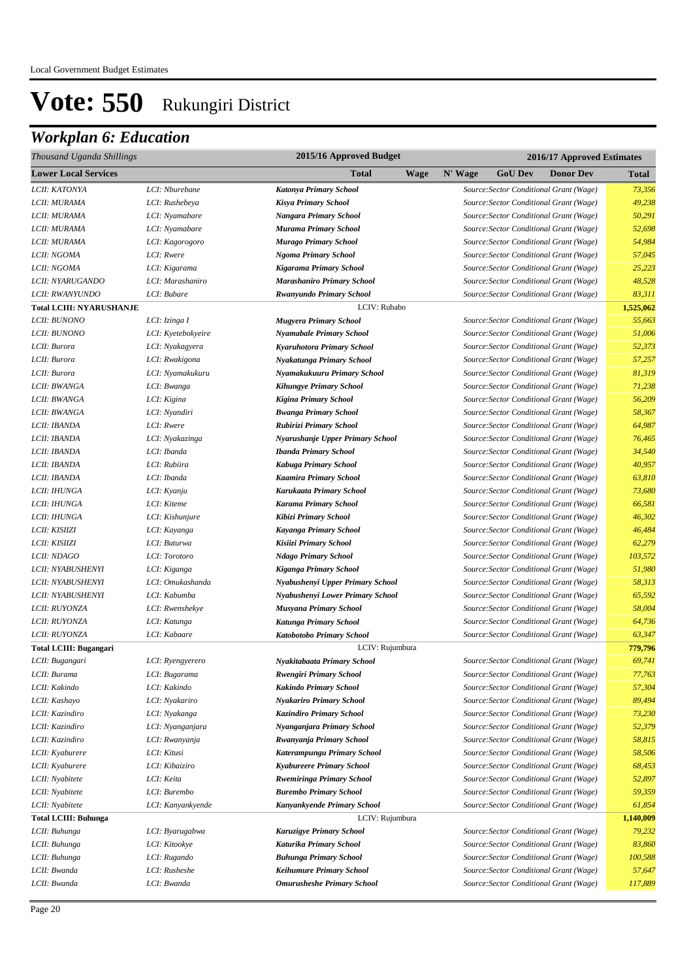| 2015/16 Approved Budget<br>Thousand Uganda Shillings |                    | 2016/17 Approved Estimates        |                                               |           |
|------------------------------------------------------|--------------------|-----------------------------------|-----------------------------------------------|-----------|
| <b>Lower Local Services</b>                          |                    | Total<br><b>Wage</b>              | N' Wage<br><b>GoU Dev</b><br><b>Donor Dev</b> | Total     |
| LCII: KATONYA                                        | LCI: Nburebane     | Katonya Primary School            | Source: Sector Conditional Grant (Wage)       | 73,356    |
| LCII: MURAMA                                         | LCI: Rushebeya     | <b>Kisya Primary School</b>       | Source: Sector Conditional Grant (Wage)       | 49,238    |
| LCII: MURAMA                                         | LCI: Nyamabare     | <b>Nangara Primary School</b>     | Source: Sector Conditional Grant (Wage)       | 50,291    |
| LCII: MURAMA                                         | LCI: Nyamabare     | Murama Primary School             | Source: Sector Conditional Grant (Wage)       | 52,698    |
| LCII: MURAMA                                         | LCI: Kagorogoro    | <b>Murago Primary School</b>      | Source: Sector Conditional Grant (Wage)       | 54,984    |
| LCII: NGOMA                                          | LCI: Rwere         | Ngoma Primary School              | Source: Sector Conditional Grant (Wage)       | 57,045    |
| LCII: NGOMA                                          | LCI: Kigarama      | <b>Kigarama Primary School</b>    | Source: Sector Conditional Grant (Wage)       | 25,223    |
| LCII: NYARUGANDO                                     | LCI: Marashaniro   | <b>Marashaniro Primary School</b> | Source: Sector Conditional Grant (Wage)       | 48,528    |
| LCII: RWANYUNDO                                      | LCI: Bubare        | <b>Rwanyundo Primary School</b>   | Source: Sector Conditional Grant (Wage)       | 83,311    |
| <b>Total LCIII: NYARUSHANJE</b>                      |                    | LCIV: Rubabo                      |                                               | 1,525,062 |
| <b>LCII: BUNONO</b>                                  | LCI: Izinga I      | <b>Mugyera Primary School</b>     | Source: Sector Conditional Grant (Wage)       | 55,663    |
| LCII: BUNONO                                         | LCI: Kyetebokyeire | <b>Nyamabale Primary School</b>   | Source: Sector Conditional Grant (Wage)       | 51,006    |
| LCII: Burora                                         | LCI: Nyakagyera    | Kyaruhotora Primary School        | Source: Sector Conditional Grant (Wage)       | 52,373    |
| LCII: Burora                                         | LCI: Rwakigona     | Nyakatunga Primary School         | Source: Sector Conditional Grant (Wage)       | 57,257    |
| LCII: Burora                                         | LCI: Nyamakukuru   | Nyamakukuuru Primary School       | Source: Sector Conditional Grant (Wage)       | 81,319    |
| LCII: BWANGA                                         | LCI: Bwanga        | <b>Kihungye Primary School</b>    | Source: Sector Conditional Grant (Wage)       | 71,238    |
| LCII: BWANGA                                         | LCI: Kigina        | <b>Kigina Primary School</b>      | Source: Sector Conditional Grant (Wage)       | 56,209    |
| LCII: BWANGA                                         | LCI: Nyandiri      | <b>Bwanga Primary School</b>      | Source: Sector Conditional Grant (Wage)       | 58,367    |
| LCII: IBANDA                                         | LCI: Rwere         | Rubirizi Primary School           | Source: Sector Conditional Grant (Wage)       | 64,987    |
| LCII: IBANDA                                         | LCI: Nyakazinga    | Nyarushanje Upper Primary School  | Source: Sector Conditional Grant (Wage)       | 76,465    |
| LCII: IBANDA                                         | LCI: Ibanda        | <b>Ibanda Primary School</b>      | Source: Sector Conditional Grant (Wage)       | 34,540    |
| LCII: IBANDA                                         | LCI: Rubiira       | Kabuga Primary School             | Source: Sector Conditional Grant (Wage)       | 40,957    |
| LCII: IBANDA                                         | LCI: Ibanda        | <b>Kaamira Primary School</b>     | Source: Sector Conditional Grant (Wage)       | 63,810    |
| LCII: IHUNGA                                         | LCI: Kyanju        | Karukaata Primary School          | Source: Sector Conditional Grant (Wage)       | 73,680    |
| LCII: IHUNGA                                         | LCI: Kiteme        | <b>Karama Primary School</b>      | Source: Sector Conditional Grant (Wage)       | 66,581    |
| LCII: IHUNGA                                         | LCI: Kishunjure    | Kibizi Primary School             | Source: Sector Conditional Grant (Wage)       | 46,302    |
| LCII: KISIIZI                                        | LCI: Kayanga       | Kayanga Primary School            | Source: Sector Conditional Grant (Wage)       | 46,484    |
| LCII: KISIIZI                                        | LCI: Buturwa       | Kisiizi Primary School            | Source: Sector Conditional Grant (Wage)       | 62,279    |
| LCII: NDAGO                                          | LCI: Torotoro      | <b>Ndago Primary School</b>       | Source: Sector Conditional Grant (Wage)       | 103,572   |
| LCII: NYABUSHENYI                                    | LCI: Kiganga       | <b>Kiganga Primary School</b>     | Source: Sector Conditional Grant (Wage)       | 51,980    |
| LCII: NYABUSHENYI                                    | LCI: Omukashanda   | Nyabushenyi Upper Primary School  | Source: Sector Conditional Grant (Wage)       | 58,313    |
| LCII: NYABUSHENYI                                    | LCI: Kabumba       | Nyabushenyi Lower Primary School  | Source: Sector Conditional Grant (Wage)       | 65,592    |
| LCII: RUYONZA                                        | LCI: Rwenshekye    | <b>Musyana Primary School</b>     | Source: Sector Conditional Grant (Wage)       | 58,004    |
| LCII: RUYONZA                                        | LCI: Katunga       | Katunga Primary School            | Source: Sector Conditional Grant (Wage)       | 64,736    |
| LCII: RUYONZA                                        | LCI: Kabaare       | Katobotobo Primary School         | Source: Sector Conditional Grant (Wage)       | 63,347    |
| Total LCIII: Bugangari                               |                    | LCIV: Rujumbura                   |                                               | 779,796   |
| LCII: Bugangari                                      | LCI: Ryengyerero   | Nyakitabaata Primary School       | Source: Sector Conditional Grant (Wage)       | 69,741    |
| LCII: Burama                                         | LCI: Bugarama      | <b>Rwengiri Primary School</b>    | Source: Sector Conditional Grant (Wage)       | 77,763    |
| LCII: Kakindo                                        | LCI: Kakindo       | <b>Kakindo Primary School</b>     | Source: Sector Conditional Grant (Wage)       | 57,304    |
| LCII: Kashayo                                        | LCI: Nyakariro     | <b>Nyakariro Primary School</b>   | Source: Sector Conditional Grant (Wage)       | 89,494    |
| LCII: Kazindiro                                      | LCI: Nyakanga      | <b>Kazindiro Primary School</b>   | Source: Sector Conditional Grant (Wage)       | 73,230    |
| LCII: Kazindiro                                      | LCI: Nyanganjara   | Nyanganjara Primary School        | Source: Sector Conditional Grant (Wage)       | 52,379    |
| LCII: Kazindiro                                      | LCI: Rwanyanja     | Rwanyanja Primary School          | Source: Sector Conditional Grant (Wage)       | 58,815    |
| LCII: Kyaburere                                      | LCI: Kitusi        | Katerampungu Primary School       | Source: Sector Conditional Grant (Wage)       | 58,506    |
| LCII: Kyaburere                                      | LCI: Kibaiziro     | <b>Kyabureere Primary School</b>  | Source: Sector Conditional Grant (Wage)       | 68,453    |
| LCII: Nyabitete                                      | LCI: Keita         | <b>Rwemiringa Primary School</b>  | Source: Sector Conditional Grant (Wage)       | 52,897    |
| LCII: Nyabitete                                      | LCI: Burembo       | <b>Burembo Primary School</b>     | Source: Sector Conditional Grant (Wage)       | 59,359    |
| LCII: Nyabitete                                      | LCI: Kanyankyende  | Kanyankyende Primary School       | Source: Sector Conditional Grant (Wage)       | 61,854    |
| <b>Total LCIII: Buhunga</b>                          |                    | LCIV: Rujumbura                   |                                               | 1,140,009 |
| LCII: Buhunga                                        | LCI: Byarugabwa    | Karuzigye Primary School          | Source: Sector Conditional Grant (Wage)       | 79,232    |
| LCII: Buhunga                                        | LCI: Kitookye      | Katurika Primary School           | Source: Sector Conditional Grant (Wage)       | 83,860    |
| LCII: Buhunga                                        | LCI: Rugando       | <b>Buhunga Primary School</b>     | Source: Sector Conditional Grant (Wage)       | 100,588   |
| LCII: Bwanda                                         | LCI: Rusheshe      | <b>Keihumure Primary School</b>   | Source: Sector Conditional Grant (Wage)       | 57,647    |
| LCII: Bwanda                                         | LCI: Bwanda        | <b>Omurusheshe Primary School</b> | Source: Sector Conditional Grant (Wage)       | 117,889   |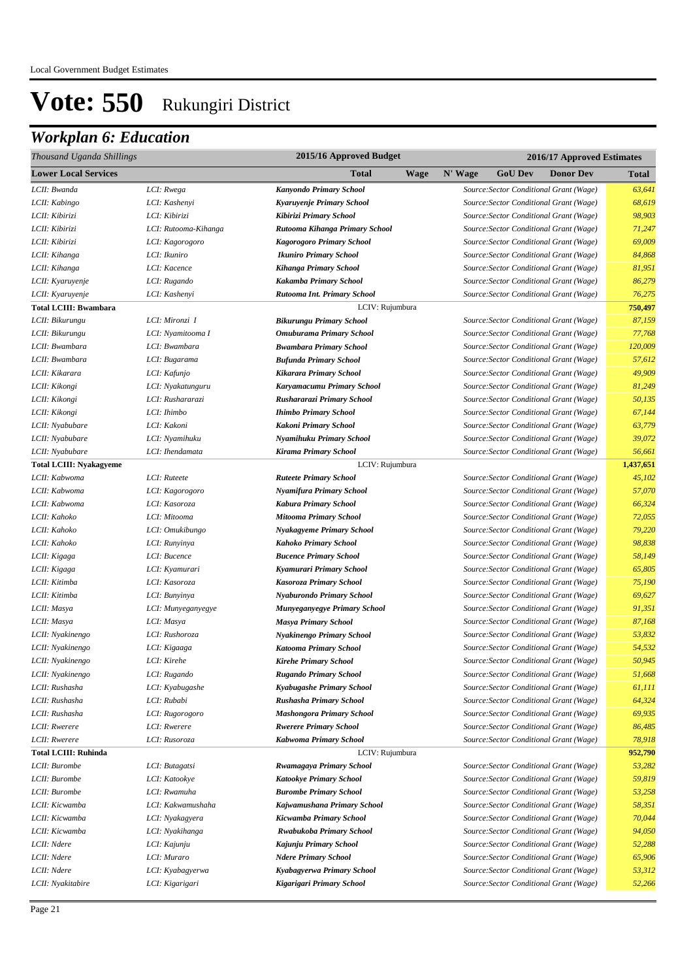| Thousand Uganda Shillings      |                      | 2015/16 Approved Budget          |             | 2016/17 Approved Estimates |                |                                                                                    |              |
|--------------------------------|----------------------|----------------------------------|-------------|----------------------------|----------------|------------------------------------------------------------------------------------|--------------|
| <b>Lower Local Services</b>    |                      | Total                            | <b>Wage</b> | N' Wage                    | <b>GoU Dev</b> | <b>Donor Dev</b>                                                                   | <b>Total</b> |
| LCII: Bwanda                   | LCI: Rwega           | Kanyondo Primary School          |             |                            |                | Source: Sector Conditional Grant (Wage)                                            | 63,641       |
| LCII: Kabingo                  | LCI: Kashenyi        | Kyaruyenje Primary School        |             |                            |                | Source: Sector Conditional Grant (Wage)                                            | 68,619       |
| LCII: Kibirizi                 | LCI: Kibirizi        | Kibirizi Primary School          |             |                            |                | Source: Sector Conditional Grant (Wage)                                            | 98,903       |
| LCII: Kibirizi                 | LCI: Rutooma-Kihanga | Rutooma Kihanga Primary School   |             |                            |                | Source: Sector Conditional Grant (Wage)                                            | 71,247       |
| LCII: Kibirizi                 | LCI: Kagorogoro      | <b>Kagorogoro Primary School</b> |             |                            |                | Source: Sector Conditional Grant (Wage)                                            | 69,009       |
| LCII: Kihanga                  | LCI: Ikuniro         | <b>Ikuniro Primary School</b>    |             |                            |                | Source: Sector Conditional Grant (Wage)                                            | 84,868       |
| LCII: Kihanga                  | LCI: Kacence         | <b>Kihanga Primary School</b>    |             |                            |                | Source: Sector Conditional Grant (Wage)                                            | 81,951       |
| LCII: Kyaruyenje               | LCI: Rugando         | Kakamba Primary School           |             |                            |                | Source: Sector Conditional Grant (Wage)                                            | 86,279       |
| LCII: Kyaruyenje               | LCI: Kashenyi        | Rutooma Int. Primary School      |             |                            |                | Source: Sector Conditional Grant (Wage)                                            | 76,275       |
| <b>Total LCIII: Bwambara</b>   |                      | LCIV: Rujumbura                  |             |                            |                |                                                                                    | 750,497      |
| LCII: Bikurungu                | LCI: Mironzi I       | <b>Bikurungu Primary School</b>  |             |                            |                | Source: Sector Conditional Grant (Wage)                                            | 87,159       |
| LCII: Bikurungu                | LCI: Nyamitooma I    | <b>Omuburama Primary School</b>  |             |                            |                | Source: Sector Conditional Grant (Wage)                                            | 77,768       |
| LCII: Bwambara                 | LCI: Bwambara        | <b>Bwambara Primary School</b>   |             |                            |                | Source: Sector Conditional Grant (Wage)                                            | 120,009      |
| LCII: Bwambara                 | LCI: Bugarama        | <b>Bufunda Primary School</b>    |             |                            |                | Source: Sector Conditional Grant (Wage)                                            | 57,612       |
| LCII: Kikarara                 | LCI: Kafunjo         | Kikarara Primary School          |             |                            |                | Source: Sector Conditional Grant (Wage)                                            | 49,909       |
| LCII: Kikongi                  | LCI: Nyakatunguru    | Karyamacumu Primary School       |             |                            |                | Source: Sector Conditional Grant (Wage)                                            | 81,249       |
| LCII: Kikongi                  | LCI: Rushararazi     | Rushararazi Primary School       |             |                            |                | Source: Sector Conditional Grant (Wage)                                            | 50,135       |
| LCII: Kikongi                  | LCI: Ihimbo          | <b>Ihimbo Primary School</b>     |             |                            |                | Source: Sector Conditional Grant (Wage)                                            | 67,144       |
| LCII: Nyabubare                | LCI: Kakoni          | Kakoni Primary School            |             |                            |                | Source: Sector Conditional Grant (Wage)                                            | 63,779       |
| LCII: Nyabubare                | LCI: Nyamihuku       | Nyamihuku Primary School         |             |                            |                | Source: Sector Conditional Grant (Wage)                                            | 39,072       |
| LCII: Nyabubare                | LCI: Ihendamata      | <b>Kirama Primary School</b>     |             |                            |                | Source: Sector Conditional Grant (Wage)                                            | 56,661       |
| <b>Total LCIII: Nyakagyeme</b> |                      | LCIV: Rujumbura                  |             |                            |                |                                                                                    | 1,437,651    |
| LCII: Kabwoma                  | LCI: Ruteete         | <b>Ruteete Primary School</b>    |             |                            |                | Source: Sector Conditional Grant (Wage)                                            | 45,102       |
| LCII: Kabwoma                  | LCI: Kagorogoro      | Nyamifura Primary School         |             |                            |                | Source: Sector Conditional Grant (Wage)                                            | 57,070       |
| LCII: Kabwoma                  | LCI: Kasoroza        | <b>Kabura Primary School</b>     |             |                            |                | Source: Sector Conditional Grant (Wage)                                            | 66,324       |
| LCII: Kahoko                   | LCI: Mitooma         | <b>Mitooma Primary School</b>    |             |                            |                | Source: Sector Conditional Grant (Wage)                                            | 72,055       |
| LCII: Kahoko                   | LCI: Omukibungo      | <b>Nyakagyeme Primary School</b> |             |                            |                | Source: Sector Conditional Grant (Wage)                                            | 79,220       |
| LCII: Kahoko                   | LCI: Runyinya        | Kahoko Primary School            |             |                            |                | Source: Sector Conditional Grant (Wage)                                            | 98,838       |
| LCII: Kigaga                   | LCI: Bucence         | <b>Bucence Primary School</b>    |             |                            |                | Source: Sector Conditional Grant (Wage)                                            | 58,149       |
| LCII: Kigaga                   | LCI: Kyamurari       | Kyamurari Primary School         |             |                            |                | Source: Sector Conditional Grant (Wage)                                            | 65,805       |
| LCII: Kitimba                  | LCI: Kasoroza        | Kasoroza Primary School          |             |                            |                | Source: Sector Conditional Grant (Wage)                                            | 75,190       |
| LCII: Kitimba                  | LCI: Bunyinya        | Nyaburondo Primary School        |             |                            |                | Source: Sector Conditional Grant (Wage)                                            | 69,627       |
| LCII: Masya                    | LCI: Munyeganyegye   | Munyeganyegye Primary School     |             |                            |                | Source: Sector Conditional Grant (Wage)                                            | 91,351       |
| LCII: Masya                    | LCI: Masya           | <b>Masya Primary School</b>      |             |                            |                | Source: Sector Conditional Grant (Wage)                                            | 87,168       |
| LCII: Nyakinengo               | LCI: Rushoroza       | Nyakinengo Primary School        |             |                            |                | Source: Sector Conditional Grant (Wage)                                            | 53,832       |
| LCII: Nyakinengo               | LCI: Kigaaga         | <b>Katooma Primary School</b>    |             |                            |                | Source: Sector Conditional Grant (Wage)                                            | 54,532       |
| LCII: Nyakinengo               | LCI: Kirehe          | <b>Kirehe Primary School</b>     |             |                            |                | Source: Sector Conditional Grant (Wage)                                            | 50,945       |
| LCII: Nyakinengo               | LCI: Rugando         | <b>Rugando Primary School</b>    |             |                            |                | Source: Sector Conditional Grant (Wage)                                            | 51,668       |
| LCII: Rushasha                 | LCI: Kyabugashe      | Kyabugashe Primary School        |             |                            |                | Source: Sector Conditional Grant (Wage)                                            | 61,111       |
| LCII: Rushasha                 | LCI: Rubabi          | Rushasha Primary School          |             |                            |                | Source: Sector Conditional Grant (Wage)                                            | 64,324       |
| LCII: Rushasha                 | LCI: Rugorogoro      | <b>Mashongora Primary School</b> |             |                            |                | Source: Sector Conditional Grant (Wage)                                            | 69,935       |
| LCII: Rwerere                  | LCI: Rwerere         | <b>Rwerere Primary School</b>    |             |                            |                | Source: Sector Conditional Grant (Wage)                                            | 86,485       |
| LCII: Rwerere                  | LCI: Rusoroza        | Kabwoma Primary School           |             |                            |                | Source: Sector Conditional Grant (Wage)                                            | 78,918       |
| <b>Total LCIII: Ruhinda</b>    |                      | LCIV: Rujumbura                  |             |                            |                |                                                                                    | 952,790      |
| LCII: Burombe                  | LCI: Butagatsi       | Rwamagaya Primary School         |             |                            |                | Source: Sector Conditional Grant (Wage)                                            | 53,282       |
| LCII: Burombe                  | LCI: Katookye        | <b>Katookye Primary School</b>   |             |                            |                | Source: Sector Conditional Grant (Wage)                                            | 59,819       |
| LCII: Burombe                  | LCI: Rwamuha         | <b>Burombe Primary School</b>    |             |                            |                | Source: Sector Conditional Grant (Wage)                                            | 53,258       |
| LCII: Kicwamba                 | LCI: Kakwamushaha    | Kajwamushana Primary School      |             |                            |                | Source: Sector Conditional Grant (Wage)                                            | 58,351       |
| LCII: Kicwamba                 | LCI: Nyakagyera      | Kicwamba Primary School          |             |                            |                | Source: Sector Conditional Grant (Wage)                                            | 70,044       |
| LCII: Kicwamba                 | LCI: Nyakihanga      | Rwabukoba Primary School         |             |                            |                | Source: Sector Conditional Grant (Wage)                                            | 94,050       |
| LCII: Ndere                    | LCI: Kajunju         | Kajunju Primary School           |             |                            |                | Source: Sector Conditional Grant (Wage)                                            | 52,288       |
| LCII: Ndere                    | LCI: Muraro          | <b>Ndere Primary School</b>      |             |                            |                | Source: Sector Conditional Grant (Wage)                                            | 65,906       |
| LCII: Ndere                    | LCI: Kyabagyerwa     | Kyabagyerwa Primary School       |             |                            |                | Source: Sector Conditional Grant (Wage)<br>Source: Sector Conditional Grant (Wage) | 53,312       |
| LCII: Nyakitabire              | LCI: Kigarigari      | Kigarigari Primary School        |             |                            |                |                                                                                    | 52,266       |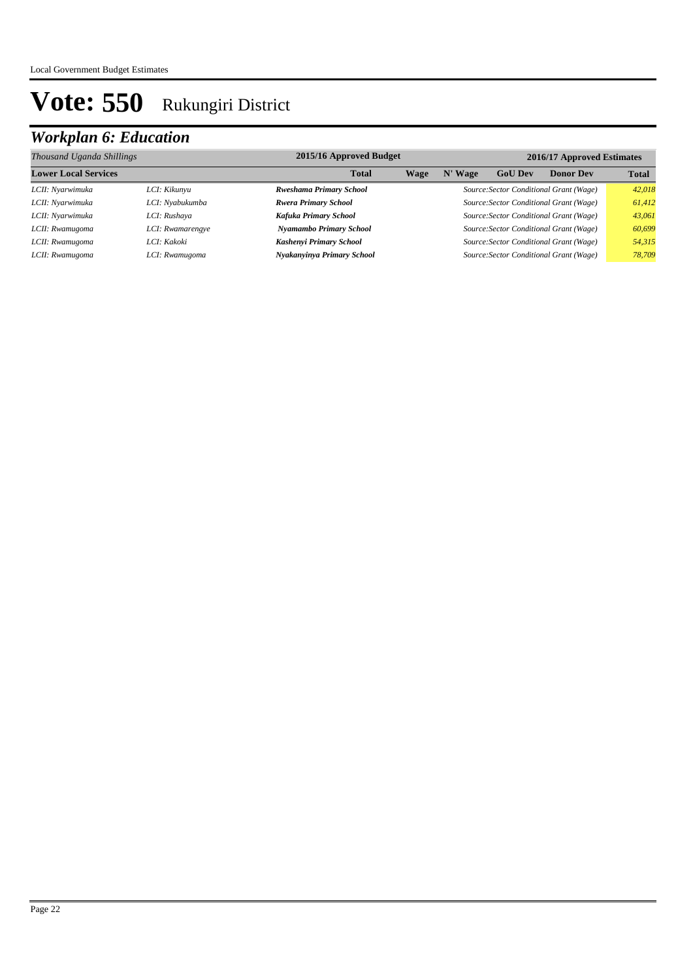| Thousand Uganda Shillings   |                  | 2015/16 Approved Budget        |                                         |             |                | 2016/17 Approved Estimates              |              |  |
|-----------------------------|------------------|--------------------------------|-----------------------------------------|-------------|----------------|-----------------------------------------|--------------|--|
| <b>Lower Local Services</b> |                  | <b>Total</b>                   | Wage                                    | <b>Wage</b> | <b>GoU Dev</b> | <b>Donor Dev</b>                        | <b>Total</b> |  |
| LCII: Nyarwimuka            | LCI: Kikunyu     | <b>Rweshama Primary School</b> |                                         | 42.018      |                |                                         |              |  |
| LCII: Nyarwimuka            | LCI: Nyabukumba  | <b>Rwera Primary School</b>    | Source: Sector Conditional Grant (Wage) |             |                | 61.412                                  |              |  |
| LCII: Nyarwimuka            | LCI: Rushaya     | Kafuka Primary School          |                                         |             |                | Source: Sector Conditional Grant (Wage) | 43.061       |  |
| LCII: Rwamugoma             | LCI: Rwamarengye | Nyamambo Primary School        |                                         |             |                | Source: Sector Conditional Grant (Wage) | 60,699       |  |
| LCII: Rwamugoma             | LCI: Kakoki      | Kashenyi Primary School        |                                         |             |                | Source: Sector Conditional Grant (Wage) | 54,315       |  |
| LCII: Rwamugoma             | LCI: Rwamugoma   | Nyakanyinya Primary School     |                                         |             |                | Source: Sector Conditional Grant (Wage) | 78,709       |  |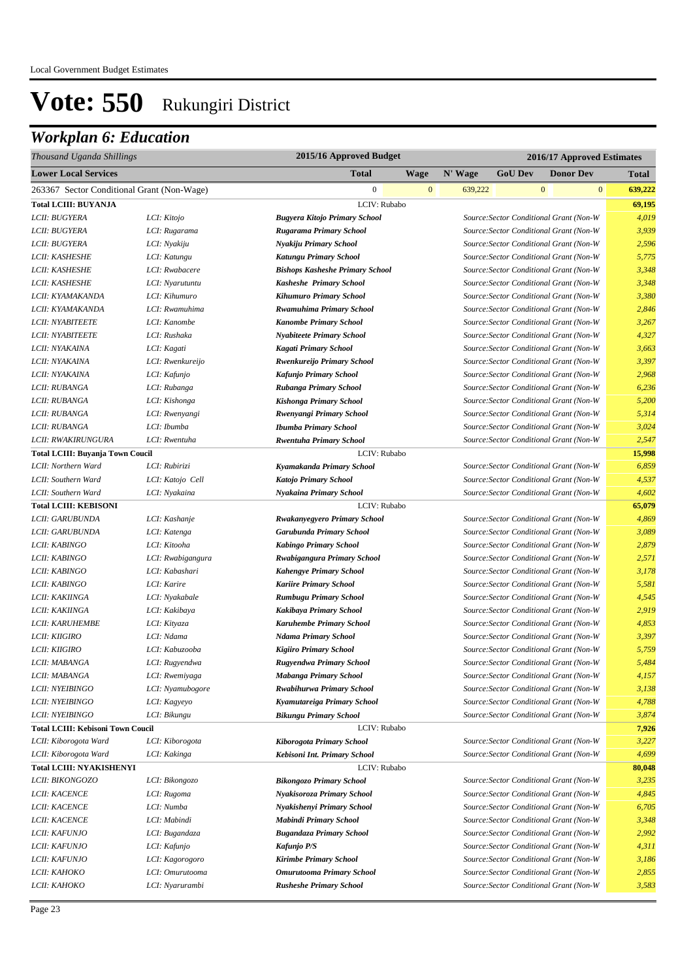| Thousand Uganda Shillings                  |                   | 2015/16 Approved Budget                |                                         | 2016/17 Approved Estimates |                |              |                                         |              |
|--------------------------------------------|-------------------|----------------------------------------|-----------------------------------------|----------------------------|----------------|--------------|-----------------------------------------|--------------|
| <b>Lower Local Services</b>                |                   | Total                                  | <b>Wage</b>                             | N' Wage                    | <b>GoU Dev</b> |              | <b>Donor Dev</b>                        | <b>Total</b> |
| 263367 Sector Conditional Grant (Non-Wage) |                   | $\boldsymbol{0}$                       | $\mathbf{0}$                            | 639,222                    |                | $\mathbf{0}$ | $\mathbf{0}$                            | 639,222      |
| <b>Total LCIII: BUYANJA</b>                |                   | LCIV: Rubabo                           |                                         |                            |                |              |                                         | 69,195       |
| LCII: BUGYERA                              | LCI: Kitojo       | <b>Bugyera Kitojo Primary School</b>   |                                         |                            |                |              | Source: Sector Conditional Grant (Non-W | 4,019        |
| LCII: BUGYERA                              | LCI: Rugarama     | Rugarama Primary School                | Source: Sector Conditional Grant (Non-W |                            |                |              |                                         | 3,939        |
| LCII: BUGYERA                              | LCI: Nyakiju      | Nyakiju Primary School                 |                                         |                            |                |              | Source: Sector Conditional Grant (Non-W | 2,596        |
| LCII: KASHESHE                             | LCI: Katungu      | <b>Katungu Primary School</b>          |                                         |                            |                |              | Source: Sector Conditional Grant (Non-W | 5,775        |
| LCII: KASHESHE                             | LCI: Rwabacere    | <b>Bishops Kasheshe Primary School</b> |                                         |                            |                |              | Source: Sector Conditional Grant (Non-W | 3,348        |
| LCII: KASHESHE                             | LCI: Nyarutuntu   | Kasheshe Primary School                |                                         |                            |                |              | Source: Sector Conditional Grant (Non-W | 3,348        |
| LCII: KYAMAKANDA                           | LCI: Kihumuro     | <b>Kihumuro Primary School</b>         |                                         |                            |                |              | Source: Sector Conditional Grant (Non-W | 3,380        |
| LCII: KYAMAKANDA                           | LCI: Rwamuhima    | <b>Rwamuhima Primary School</b>        |                                         |                            |                |              | Source: Sector Conditional Grant (Non-W | 2,846        |
| <b>LCII: NYABITEETE</b>                    | LCI: Kanombe      | <b>Kanombe Primary School</b>          |                                         |                            |                |              | Source: Sector Conditional Grant (Non-W | 3,267        |
| LCII: NYABITEETE                           | LCI: Rushaka      | <b>Nyabiteete Primary School</b>       |                                         |                            |                |              | Source: Sector Conditional Grant (Non-W | 4,327        |
| LCII: NYAKAINA                             | LCI: Kagati       | <b>Kagati Primary School</b>           |                                         |                            |                |              | Source: Sector Conditional Grant (Non-W | 3,663        |
| LCII: NYAKAINA                             | LCI: Rwenkureijo  | Rwenkureijo Primary School             |                                         |                            |                |              | Source: Sector Conditional Grant (Non-W | 3,397        |
| LCII: NYAKAINA                             | LCI: Kafunjo      | Kafunjo Primary School                 |                                         |                            |                |              | Source: Sector Conditional Grant (Non-W | 2,968        |
| LCII: RUBANGA                              | LCI: Rubanga      | Rubanga Primary School                 |                                         |                            |                |              | Source: Sector Conditional Grant (Non-W | 6,236        |
| LCII: RUBANGA                              | LCI: Kishonga     | Kishonga Primary School                |                                         |                            |                |              | Source: Sector Conditional Grant (Non-W | 5,200        |
| LCII: RUBANGA                              | LCI: Rwenyangi    | Rwenyangi Primary School               |                                         |                            |                |              | Source: Sector Conditional Grant (Non-W | 5,314        |
| LCII: RUBANGA                              | LCI: Ibumba       | <b>Ibumba Primary School</b>           |                                         |                            |                |              | Source: Sector Conditional Grant (Non-W | 3,024        |
| LCII: RWAKIRUNGURA                         | LCI: Rwentuha     | <b>Rwentuha Primary School</b>         |                                         |                            |                |              | Source: Sector Conditional Grant (Non-W | 2,547        |
| <b>Total LCIII: Buyanja Town Coucil</b>    |                   | LCIV: Rubabo                           |                                         |                            |                |              |                                         | 15,998       |
| LCII: Northern Ward                        | LCI: Rubirizi     | Kyamakanda Primary School              |                                         |                            |                |              | Source: Sector Conditional Grant (Non-W | 6,859        |
| LCII: Southern Ward                        | LCI: Katojo Cell  | Katojo Primary School                  |                                         |                            |                |              | Source: Sector Conditional Grant (Non-W | 4,537        |
| LCII: Southern Ward                        | LCI: Nyakaina     | <b>Nyakaina Primary School</b>         |                                         |                            |                |              | Source: Sector Conditional Grant (Non-W | 4,602        |
| <b>Total LCIII: KEBISONI</b>               |                   | LCIV: Rubabo                           |                                         |                            |                |              |                                         | 65,079       |
| LCII: GARUBUNDA                            | LCI: Kashanje     | <b>Rwakanyegyero Primary School</b>    |                                         |                            |                |              | Source: Sector Conditional Grant (Non-W | 4,869        |
| LCII: GARUBUNDA                            | LCI: Katenga      | <b>Garubunda Primary School</b>        |                                         |                            |                |              | Source: Sector Conditional Grant (Non-W | 3,089        |
| LCII: KABINGO                              | LCI: Kitooha      | <b>Kabingo Primary School</b>          |                                         |                            |                |              | Source: Sector Conditional Grant (Non-W | 2,879        |
| LCII: KABINGO                              | LCI: Rwabigangura | Rwabigangura Primary School            |                                         |                            |                |              | Source: Sector Conditional Grant (Non-W | 2,571        |
| LCII: KABINGO                              | LCI: Kabashari    | <b>Kahengye Primary School</b>         |                                         |                            |                |              | Source: Sector Conditional Grant (Non-W | 3,178        |
| LCII: KABINGO                              | LCI: Karire       | <b>Kariire Primary School</b>          |                                         |                            |                |              | Source: Sector Conditional Grant (Non-W | 5,581        |
| LCII: KAKIINGA                             | LCI: Nyakabale    | <b>Rumbugu Primary School</b>          |                                         |                            |                |              | Source: Sector Conditional Grant (Non-W | 4,545        |
| LCII: KAKIINGA                             | LCI: Kakibaya     | Kakibaya Primary School                |                                         |                            |                |              | Source: Sector Conditional Grant (Non-W | 2,919        |
| <b>LCII: KARUHEMBE</b>                     | LCI: Kityaza      | <b>Karuhembe Primary School</b>        |                                         |                            |                |              | Source: Sector Conditional Grant (Non-W | 4,853        |
| LCII: KIIGIRO                              | LCI: Ndama        | <b>Ndama Primary School</b>            |                                         |                            |                |              | Source: Sector Conditional Grant (Non-W | 3,397        |
| LCII: KIIGIRO                              | LCI: Kabuzooba    | <b>Kigiiro Primary School</b>          |                                         |                            |                |              | Source: Sector Conditional Grant (Non-W | 5,759        |
| LCII: MABANGA                              | LCI: Rugyendwa    | Rugyendwa Primary School               |                                         |                            |                |              | Source: Sector Conditional Grant (Non-W | 5,484        |
| <i>LCII: MABANGA</i>                       | LCI: Rwemiyaga    | Mabanga Primary School                 |                                         |                            |                |              | Source: Sector Conditional Grant (Non-W | 4,157        |
| LCII: NYEIBINGO                            | LCI: Nyamubogore  | Rwabihurwa Primary School              |                                         |                            |                |              | Source:Sector Conditional Grant (Non-W  | 3,138        |
| LCII: NYEIBINGO                            | LCI: Kagyeyo      | Kyamutareiga Primary School            |                                         |                            |                |              | Source: Sector Conditional Grant (Non-W | 4,788        |
| LCII: NYEIBINGO                            | LCI: Bikungu      | <b>Bikungu Primary School</b>          |                                         |                            |                |              | Source: Sector Conditional Grant (Non-W | 3,874        |
| <b>Total LCIII: Kebisoni Town Coucil</b>   |                   | LCIV: Rubabo                           |                                         |                            |                |              |                                         | 7,926        |
| LCII: Kiborogota Ward                      | LCI: Kiborogota   | Kiborogota Primary School              |                                         |                            |                |              | Source: Sector Conditional Grant (Non-W | 3,227        |
| LCII: Kiborogota Ward                      | LCI: Kakinga      | Kebisoni Int. Primary School           |                                         |                            |                |              | Source: Sector Conditional Grant (Non-W | 4,699        |
| <b>Total LCIII: NYAKISHENYI</b>            |                   | LCIV: Rubabo                           |                                         |                            |                |              |                                         | 80,048       |
| LCII: BIKONGOZO                            | LCI: Bikongozo    | <b>Bikongozo Primary School</b>        |                                         |                            |                |              | Source: Sector Conditional Grant (Non-W | 3,235        |
| <b>LCII: KACENCE</b>                       | LCI: Rugoma       | Nyakisoroza Primary School             |                                         |                            |                |              | Source: Sector Conditional Grant (Non-W | 4,845        |
| <b>LCII: KACENCE</b>                       | LCI: Numba        | Nyakishenyi Primary School             |                                         |                            |                |              | Source: Sector Conditional Grant (Non-W | 6,705        |
| <b>LCII: KACENCE</b>                       | LCI: Mabindi      | <b>Mabindi Primary School</b>          |                                         |                            |                |              | Source: Sector Conditional Grant (Non-W | 3,348        |
| LCII: KAFUNJO                              | LCI: Bugandaza    | <b>Bugandaza Primary School</b>        |                                         |                            |                |              | Source: Sector Conditional Grant (Non-W | 2,992        |
| LCII: KAFUNJO                              | LCI: Kafunjo      | Kafunjo P/S                            |                                         |                            |                |              | Source: Sector Conditional Grant (Non-W | 4,311        |
| LCII: KAFUNJO                              | LCI: Kagorogoro   | <b>Kirimbe Primary School</b>          |                                         |                            |                |              | Source: Sector Conditional Grant (Non-W | 3,186        |
| LCII: KAHOKO                               | LCI: Omurutooma   | Omurutooma Primary School              |                                         |                            |                |              | Source: Sector Conditional Grant (Non-W | 2,855        |
| <i>LCII: KAHOKO</i>                        | LCI: Nyarurambi   | <b>Rusheshe Primary School</b>         |                                         |                            |                |              | Source:Sector Conditional Grant (Non-W  | 3,583        |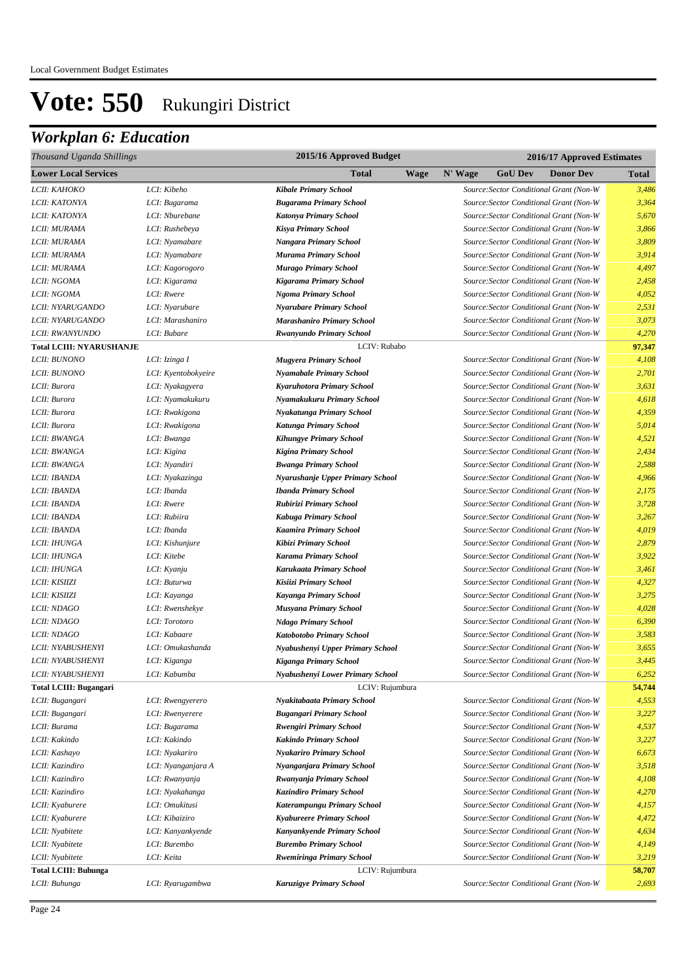| 2015/16 Approved Budget<br>Thousand Uganda Shillings |                     |                                   |             | 2016/17 Approved Estimates |                |                                         |        |
|------------------------------------------------------|---------------------|-----------------------------------|-------------|----------------------------|----------------|-----------------------------------------|--------|
| <b>Lower Local Services</b>                          |                     | Total                             | <b>Wage</b> | N' Wage                    | <b>GoU Dev</b> | <b>Donor Dev</b>                        | Total  |
| LCII: KAHOKO                                         | LCI: Kibeho         | <b>Kibale Primary School</b>      |             |                            |                | Source: Sector Conditional Grant (Non-W | 3,486  |
| LCII: KATONYA                                        | LCI: Bugarama       | <b>Bugarama Primary School</b>    |             |                            |                | Source: Sector Conditional Grant (Non-W | 3,364  |
| LCII: KATONYA                                        | LCI: Nburebane      | Katonya Primary School            |             |                            |                | Source: Sector Conditional Grant (Non-W | 5,670  |
| LCII: MURAMA                                         | LCI: Rushebeya      | <b>Kisya Primary School</b>       |             |                            |                | Source: Sector Conditional Grant (Non-W | 3,866  |
| LCII: MURAMA                                         | LCI: Nyamabare      | Nangara Primary School            |             |                            |                | Source: Sector Conditional Grant (Non-W | 3,809  |
| LCII: MURAMA                                         | LCI: Nyamabare      | <b>Murama Primary School</b>      |             |                            |                | Source: Sector Conditional Grant (Non-W | 3,914  |
| LCII: MURAMA                                         | LCI: Kagorogoro     | <b>Murago Primary School</b>      |             |                            |                | Source: Sector Conditional Grant (Non-W | 4,497  |
| LCII: NGOMA                                          | LCI: Kigarama       | Kigarama Primary School           |             |                            |                | Source: Sector Conditional Grant (Non-W | 2,458  |
| LCII: NGOMA                                          | LCI: Rwere          | <b>Ngoma Primary School</b>       |             |                            |                | Source: Sector Conditional Grant (Non-W | 4,052  |
| LCII: NYARUGANDO                                     | LCI: Nyarubare      | <b>Nyarubare Primary School</b>   |             |                            |                | Source: Sector Conditional Grant (Non-W | 2,531  |
| LCII: NYARUGANDO                                     | LCI: Marashaniro    | <b>Marashaniro Primary School</b> |             |                            |                | Source: Sector Conditional Grant (Non-W | 3,073  |
| LCII: RWANYUNDO                                      | LCI: Bubare         | Rwanyundo Primary School          |             |                            |                | Source: Sector Conditional Grant (Non-W | 4,270  |
| <b>Total LCIII: NYARUSHANJE</b>                      |                     | LCIV: Rubabo                      |             |                            |                |                                         | 97,347 |
| LCII: BUNONO                                         | LCI: Izinga I       | <b>Mugyera Primary School</b>     |             |                            |                | Source: Sector Conditional Grant (Non-W | 4,108  |
| <b>LCII: BUNONO</b>                                  | LCI: Kyentobokyeire | <b>Nyamabale Primary School</b>   |             |                            |                | Source: Sector Conditional Grant (Non-W | 2,701  |
| LCII: Burora                                         | LCI: Nyakagyera     | Kyaruhotora Primary School        |             |                            |                | Source: Sector Conditional Grant (Non-W | 3,631  |
| LCII: Burora                                         | LCI: Nyamakukuru    | Nyamakukuru Primary School        |             |                            |                | Source: Sector Conditional Grant (Non-W | 4,618  |
| LCII: Burora                                         | LCI: Rwakigona      | Nyakatunga Primary School         |             |                            |                | Source: Sector Conditional Grant (Non-W | 4,359  |
| LCII: Burora                                         | LCI: Rwakigona      | Katunga Primary School            |             |                            |                | Source: Sector Conditional Grant (Non-W | 5,014  |
| LCII: BWANGA                                         | LCI: Bwanga         | <b>Kihungye Primary School</b>    |             |                            |                | Source: Sector Conditional Grant (Non-W | 4,521  |
| LCII: BWANGA                                         | LCI: Kigina         | <b>Kigina Primary School</b>      |             |                            |                | Source: Sector Conditional Grant (Non-W | 2,434  |
| LCII: BWANGA                                         | LCI: Nyandiri       | <b>Bwanga Primary School</b>      |             |                            |                | Source: Sector Conditional Grant (Non-W | 2,588  |
| LCII: IBANDA                                         | LCI: Nyakazinga     | Nyarushanje Upper Primary School  |             |                            |                | Source: Sector Conditional Grant (Non-W | 4,966  |
| LCII: IBANDA                                         | LCI: Ibanda         | <b>Ibanda Primary School</b>      |             |                            |                | Source: Sector Conditional Grant (Non-W | 2,175  |
| LCII: IBANDA                                         | LCI: Rwere          | Rubirizi Primary School           |             |                            |                | Source: Sector Conditional Grant (Non-W | 3,728  |
| LCII: IBANDA                                         | LCI: Rubiira        | Kabuga Primary School             |             |                            |                | Source: Sector Conditional Grant (Non-W | 3,267  |
| LCII: IBANDA                                         | LCI: Ibanda         | <b>Kaamira Primary School</b>     |             |                            |                | Source: Sector Conditional Grant (Non-W | 4,019  |
| LCII: IHUNGA                                         | LCI: Kishunjure     | Kibizi Primary School             |             |                            |                | Source: Sector Conditional Grant (Non-W | 2,879  |
| LCII: IHUNGA                                         | LCI: Kitebe         | <b>Karama Primary School</b>      |             |                            |                | Source: Sector Conditional Grant (Non-W | 3,922  |
| LCII: IHUNGA                                         | LCI: Kyanju         | Karukaata Primary School          |             |                            |                | Source: Sector Conditional Grant (Non-W | 3,461  |
| LCII: KISIIZI                                        | LCI: Buturwa        | Kisiizi Primary School            |             |                            |                | Source: Sector Conditional Grant (Non-W | 4,327  |
| LCII: KISIIZI                                        | LCI: Kayanga        | Kayanga Primary School            |             |                            |                | Source: Sector Conditional Grant (Non-W | 3,275  |
| LCII: NDAGO                                          | LCI: Rwenshekye     | <b>Musyana Primary School</b>     |             |                            |                | Source: Sector Conditional Grant (Non-W | 4,028  |
| LCII: NDAGO                                          | LCI: Torotoro       | <b>Ndago Primary School</b>       |             |                            |                | Source: Sector Conditional Grant (Non-W | 6,390  |
| LCII: NDAGO                                          | LCI: Kabaare        | Katobotobo Primary School         |             |                            |                | Source: Sector Conditional Grant (Non-W | 3,583  |
| LCII: NYABUSHENYI                                    | LCI: Omukashanda    | Nyabushenyi Upper Primary School  |             |                            |                | Source: Sector Conditional Grant (Non-W | 3,655  |
| LCII: NYABUSHENYI                                    | LCI: Kiganga        | Kiganga Primary School            |             |                            |                | Source: Sector Conditional Grant (Non-W | 3,445  |
| LCII: NYABUSHENYI                                    | LCI: Kabumba        | Nyabushenyi Lower Primary School  |             |                            |                | Source:Sector Conditional Grant (Non-W  | 6,252  |
| <b>Total LCIII: Bugangari</b>                        |                     | LCIV: Rujumbura                   |             |                            |                |                                         | 54,744 |
| LCII: Bugangari                                      | LCI: Rwengyerero    | Nyakitabaata Primary School       |             |                            |                | Source: Sector Conditional Grant (Non-W | 4,553  |
| LCII: Bugangari                                      | LCI: Rwenyerere     | <b>Bugangari Primary School</b>   |             |                            |                | Source: Sector Conditional Grant (Non-W | 3,227  |
| LCII: Burama                                         | LCI: Bugarama       | <b>Rwengiri Primary School</b>    |             |                            |                | Source: Sector Conditional Grant (Non-W | 4,537  |
| LCII: Kakindo                                        | LCI: Kakindo        | <b>Kakindo Primary School</b>     |             |                            |                | Source: Sector Conditional Grant (Non-W | 3,227  |
| LCII: Kashayo                                        | LCI: Nyakariro      | <b>Nyakariro Primary School</b>   |             |                            |                | Source: Sector Conditional Grant (Non-W | 6,673  |
| LCII: Kazindiro                                      | LCI: Nyanganjara A  | Nyanganjara Primary School        |             |                            |                | Source: Sector Conditional Grant (Non-W | 3,518  |
| LCII: Kazindiro                                      | LCI: Rwanyanja      | Rwanyanja Primary School          |             |                            |                | Source: Sector Conditional Grant (Non-W | 4,108  |
| LCII: Kazindiro                                      | LCI: Nyakahanga     | <b>Kazindiro Primary School</b>   |             |                            |                | Source: Sector Conditional Grant (Non-W | 4,270  |
| LCII: Kyaburere                                      | LCI: Omukitusi      | Katerampungu Primary School       |             |                            |                | Source: Sector Conditional Grant (Non-W | 4,157  |
| LCII: Kyaburere                                      | LCI: Kibaiziro      | <b>Kyabureere Primary School</b>  |             |                            |                | Source: Sector Conditional Grant (Non-W | 4,472  |
| LCII: Nyabitete                                      | LCI: Kanyankyende   | Kanyankyende Primary School       |             |                            |                | Source: Sector Conditional Grant (Non-W | 4,634  |
| LCII: Nyabitete                                      | LCI: Burembo        | <b>Burembo Primary School</b>     |             |                            |                | Source: Sector Conditional Grant (Non-W | 4,149  |
| LCII: Nyabitete                                      | LCI: Keita          | <b>Rwemiringa Primary School</b>  |             |                            |                | Source: Sector Conditional Grant (Non-W | 3,219  |
| <b>Total LCIII: Buhunga</b>                          |                     | LCIV: Rujumbura                   |             |                            |                |                                         | 58,707 |
| LCII: Buhunga                                        | LCI: Ryarugambwa    | Karuzigye Primary School          |             |                            |                | Source: Sector Conditional Grant (Non-W | 2,693  |
|                                                      |                     |                                   |             |                            |                |                                         |        |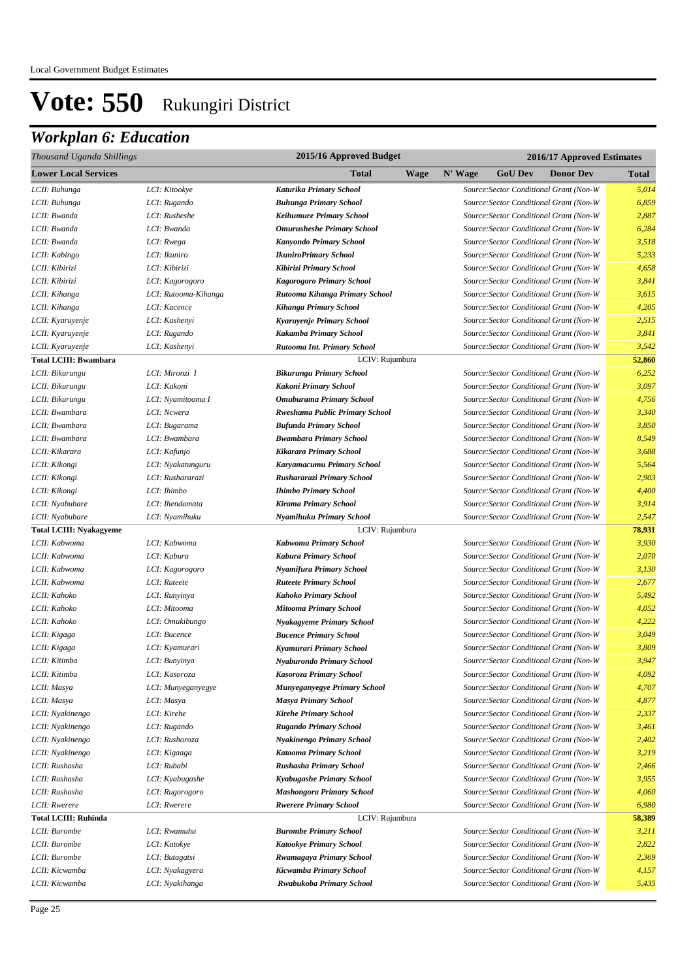| Thousand Uganda Shillings      |                      | 2015/16 Approved Budget             | 2016/17 Approved Estimates                    |              |
|--------------------------------|----------------------|-------------------------------------|-----------------------------------------------|--------------|
| <b>Lower Local Services</b>    |                      | Total<br>Wage                       | N' Wage<br><b>GoU Dev</b><br><b>Donor Dev</b> | <b>Total</b> |
| LCII: Buhunga                  | LCI: Kitookye        | Katurika Primary School             | Source: Sector Conditional Grant (Non-W       | 5,014        |
| LCII: Buhunga                  | LCI: Rugando         | <b>Buhunga Primary School</b>       | Source: Sector Conditional Grant (Non-W       | 6,859        |
| LCII: Bwanda                   | LCI: Rusheshe        | <b>Keihumure Primary School</b>     | Source: Sector Conditional Grant (Non-W       | 2,887        |
| LCII: Bwanda                   | LCI: Bwanda          | <b>Omurusheshe Primary School</b>   | Source: Sector Conditional Grant (Non-W       | 6,284        |
| LCII: Bwanda                   | LCI: Rwega           | <b>Kanyondo Primary School</b>      | Source: Sector Conditional Grant (Non-W       | 3,518        |
| LCII: Kabingo                  | LCI: Ikuniro         | <b>IkuniroPrimary School</b>        | Source: Sector Conditional Grant (Non-W       | 5,233        |
| LCII: Kibirizi                 | LCI: Kibirizi        | Kibirizi Primary School             | Source: Sector Conditional Grant (Non-W       | 4,658        |
| LCII: Kibirizi                 | LCI: Kagorogoro      | Kagorogoro Primary School           | Source: Sector Conditional Grant (Non-W       | 3,841        |
| LCII: Kihanga                  | LCI: Rutooma-Kihanga | Rutooma Kihanga Primary School      | Source: Sector Conditional Grant (Non-W       | 3,615        |
| LCII: Kihanga                  | LCI: Kacence         | <b>Kihanga Primary School</b>       | Source: Sector Conditional Grant (Non-W       | 4,205        |
| LCII: Kyaruyenje               | LCI: Kashenyi        | Kyaruyenje Primary School           | Source: Sector Conditional Grant (Non-W       | 2,515        |
| LCII: Kyaruyenje               | LCI: Rugando         | Kakamba Primary School              | Source: Sector Conditional Grant (Non-W       | 3,841        |
| LCII: Kyaruyenje               | LCI: Kashenyi        | Rutooma Int. Primary School         | Source: Sector Conditional Grant (Non-W       | 3,542        |
| <b>Total LCIII: Bwambara</b>   |                      | LCIV: Rujumbura                     |                                               | 52,860       |
| LCII: Bikurungu                | LCI: Mironzi I       | <b>Bikurungu Primary School</b>     | Source: Sector Conditional Grant (Non-W       | 6,252        |
| LCII: Bikurungu                | LCI: Kakoni          | Kakoni Primary School               | Source: Sector Conditional Grant (Non-W       | 3,097        |
| LCII: Bikurungu                | LCI: Nyamitooma I    | Omuburama Primary School            | Source: Sector Conditional Grant (Non-W       | 4,756        |
| LCII: Bwambara                 | LCI: Ncwera          | Rweshama Public Primary School      | Source: Sector Conditional Grant (Non-W       | 3,340        |
| LCII: Bwambara                 | LCI: Bugarama        | <b>Bufunda Primary School</b>       | Source: Sector Conditional Grant (Non-W       | 3,850        |
| LCII: Bwambara                 | LCI: Bwambara        | <b>Bwambara Primary School</b>      | Source: Sector Conditional Grant (Non-W       | 8,549        |
| LCII: Kikarara                 | LCI: Kafunjo         | Kikarara Primary School             | Source: Sector Conditional Grant (Non-W       | 3,688        |
| LCII: Kikongi                  | LCI: Nyakatunguru    | Karyamacumu Primary School          | Source: Sector Conditional Grant (Non-W       | 5,564        |
| LCII: Kikongi                  | LCI: Rushararazi     | Rushararazi Primary School          | Source: Sector Conditional Grant (Non-W       | 2,903        |
| LCII: Kikongi                  | LCI: Ihimbo          | <b>Ihimbo Primary School</b>        | Source: Sector Conditional Grant (Non-W       | 4,400        |
| LCII: Nyabubare                | LCI: Ihendamata      | Kirama Primary School               | Source: Sector Conditional Grant (Non-W       | 3,914        |
| LCII: Nyabubare                | LCI: Nyamihuku       | Nyamihuku Primary School            | Source: Sector Conditional Grant (Non-W       | 2,547        |
| <b>Total LCIII: Nyakagyeme</b> |                      | LCIV: Rujumbura                     |                                               | 78,931       |
| LCII: Kabwoma                  | LCI: Kabwoma         | Kabwoma Primary School              | Source: Sector Conditional Grant (Non-W       | 3,930        |
| LCII: Kabwoma                  | LCI: Kabura          | Kabura Primary School               | Source: Sector Conditional Grant (Non-W       | 2,070        |
| LCII: Kabwoma                  | LCI: Kagorogoro      | Nyamifura Primary School            | Source: Sector Conditional Grant (Non-W       | 3,130        |
| LCII: Kabwoma                  | LCI: Ruteete         | <b>Ruteete Primary School</b>       | Source: Sector Conditional Grant (Non-W       | 2,677        |
| LCII: Kahoko                   | LCI: Runyinya        | Kahoko Primary School               | Source: Sector Conditional Grant (Non-W       | 5,492        |
| LCII: Kahoko                   | LCI: Mitooma         | <b>Mitooma Primary School</b>       | Source: Sector Conditional Grant (Non-W       | 4,052        |
| LCII: Kahoko                   | LCI: Omukibungo      | Nyakagyeme Primary School           | Source: Sector Conditional Grant (Non-W       | 4,222        |
| LCII: Kigaga                   | LCI: Bucence         | <b>Bucence Primary School</b>       | Source: Sector Conditional Grant (Non-W       | 3,049        |
| LCII: Kigaga                   | LCI: Kyamurari       | Kyamurari Primary School            | Source: Sector Conditional Grant (Non-W       | 3,809        |
| LCII: Kitimba                  | LCI: Bunyinya        | Nyaburondo Primary School           | Source: Sector Conditional Grant (Non-W       | 3,947        |
| LCII: Kitimba                  | LCI: Kasoroza        | Kasoroza Primary School             | Source:Sector Conditional Grant (Non-W        | 4,092        |
| LCII: Masya                    | LCI: Munyeganyegye   | <b>Munyeganyegye Primary School</b> | Source: Sector Conditional Grant (Non-W       | 4,707        |
| LCII: Masya                    | LCI: Masya           | <b>Masya Primary School</b>         | Source: Sector Conditional Grant (Non-W       | 4,877        |
| LCII: Nyakinengo               | LCI: Kirehe          | <b>Kirehe Primary School</b>        | Source: Sector Conditional Grant (Non-W       | 2,337        |
| LCII: Nyakinengo               | LCI: Rugando         | <b>Rugando Primary School</b>       | Source: Sector Conditional Grant (Non-W       | 3,461        |
| LCII: Nyakinengo               | LCI: Rushoroza       | Nyakinengo Primary School           | Source: Sector Conditional Grant (Non-W       | 2,402        |
| LCII: Nyakinengo               | LCI: Kigaaga         | Katooma Primary School              | Source: Sector Conditional Grant (Non-W       | 3,219        |
| LCII: Rushasha                 | LCI: Rubabi          | Rushasha Primary School             | Source: Sector Conditional Grant (Non-W       | 2,466        |
| LCII: Rushasha                 | LCI: Kyabugashe      | Kyabugashe Primary School           | Source: Sector Conditional Grant (Non-W       | 3,955        |
| LCII: Rushasha                 | LCI: Rugorogoro      | <b>Mashongora Primary School</b>    | Source: Sector Conditional Grant (Non-W       | 4,060        |
| LCII: Rwerere                  | LCI: Rwerere         | <b>Rwerere Primary School</b>       | Source: Sector Conditional Grant (Non-W       | 6,980        |
| <b>Total LCIII: Ruhinda</b>    |                      | LCIV: Rujumbura                     |                                               | 58,389       |
| LCII: Burombe                  | LCI: Rwamuha         | <b>Burombe Primary School</b>       | Source: Sector Conditional Grant (Non-W       | 3,211        |
| LCII: Burombe                  | LCI: Katokye         | <b>Katookye Primary School</b>      | Source: Sector Conditional Grant (Non-W       | 2,822        |
| LCII: Burombe                  | LCI: Butagatsi       | Rwamagaya Primary School            | Source: Sector Conditional Grant (Non-W       | 2,369        |
| LCII: Kicwamba                 | LCI: Nyakagyera      | Kicwamba Primary School             | Source: Sector Conditional Grant (Non-W       | 4,157        |
| LCII: Kicwamba                 | LCI: Nyakihanga      | Rwabukoba Primary School            | Source: Sector Conditional Grant (Non-W       | 5,435        |
|                                |                      |                                     |                                               |              |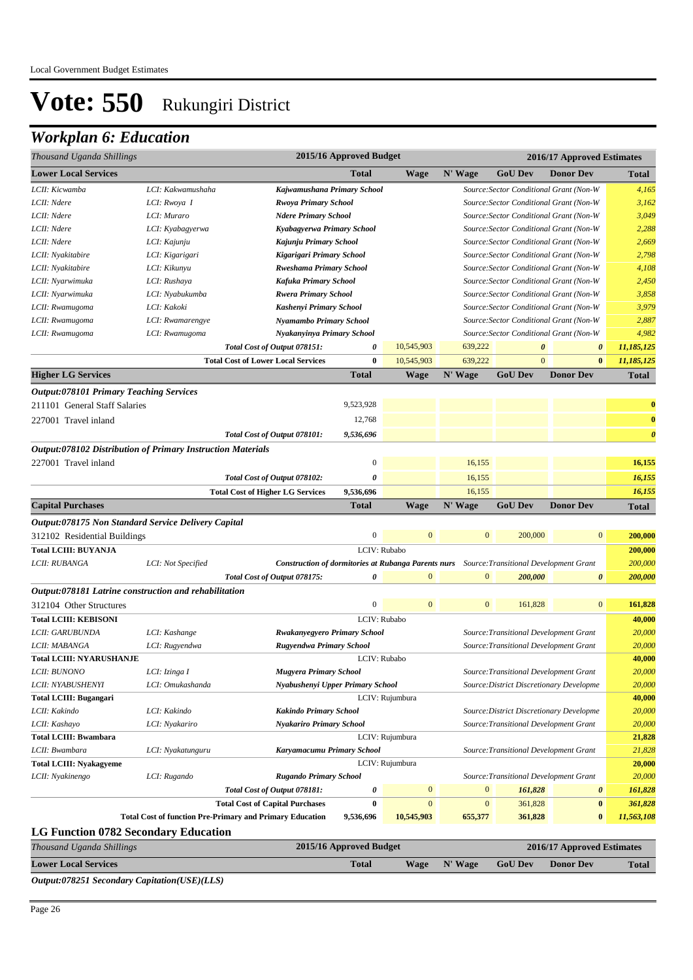## *Workplan 6: Education*

| Thousand Uganda Shillings                                          |                    |                                                                 | 2015/16 Approved Budget     |                  | 2016/17 Approved Estimates                                                                        |                                          |                       |                       |  |
|--------------------------------------------------------------------|--------------------|-----------------------------------------------------------------|-----------------------------|------------------|---------------------------------------------------------------------------------------------------|------------------------------------------|-----------------------|-----------------------|--|
| <b>Lower Local Services</b>                                        |                    |                                                                 | <b>Total</b>                | <b>Wage</b>      | N' Wage                                                                                           | <b>GoU Dev</b>                           | <b>Donor Dev</b>      | <b>Total</b>          |  |
| LCII: Kicwamba                                                     | LCI: Kakwamushaha  | Kajwamushana Primary School                                     |                             |                  |                                                                                                   | Source: Sector Conditional Grant (Non-W  |                       | 4,165                 |  |
| LCII: Ndere                                                        | LCI: Rwoya I       | Rwoya Primary School                                            |                             |                  |                                                                                                   | Source: Sector Conditional Grant (Non-W  |                       | 3,162                 |  |
| LCII: Ndere                                                        | LCI: Muraro        | <b>Ndere Primary School</b>                                     |                             |                  |                                                                                                   | Source: Sector Conditional Grant (Non-W  |                       | 3,049                 |  |
| LCII: Ndere                                                        | LCI: Kyabagyerwa   | Kyabagyerwa Primary School                                      |                             |                  |                                                                                                   | Source: Sector Conditional Grant (Non-W  |                       | 2,288                 |  |
| LCII: Ndere                                                        | LCI: Kajunju       | Kajunju Primary School                                          |                             |                  |                                                                                                   | Source: Sector Conditional Grant (Non-W  |                       | 2,669                 |  |
| LCII: Nyakitabire                                                  | LCI: Kigarigari    | Kigarigari Primary School                                       |                             |                  |                                                                                                   | Source: Sector Conditional Grant (Non-W  |                       | 2,798                 |  |
| LCII: Nyakitabire                                                  | LCI: Kikunyu       | <b>Rweshama Primary School</b>                                  |                             |                  | Source: Sector Conditional Grant (Non-W                                                           | 4,108                                    |                       |                       |  |
| LCII: Nyarwimuka                                                   | LCI: Rushaya       | Kafuka Primary School                                           |                             |                  |                                                                                                   | Source: Sector Conditional Grant (Non-W  |                       |                       |  |
| LCII: Nyarwimuka                                                   | LCI: Nyabukumba    |                                                                 | <b>Rwera Primary School</b> |                  | Source: Sector Conditional Grant (Non-W                                                           | 3,858                                    |                       |                       |  |
| LCII: Rwamugoma                                                    | LCI: Kakoki        | Kashenyi Primary School                                         |                             |                  |                                                                                                   | Source: Sector Conditional Grant (Non-W  |                       | 3,979                 |  |
| LCII: Rwamugoma                                                    | LCI: Rwamarengye   | Nyamambo Primary School                                         |                             |                  |                                                                                                   | Source: Sector Conditional Grant (Non-W  |                       | 2,887                 |  |
| LCII: Rwamugoma                                                    | LCI: Rwamugoma     | Nyakanyinya Primary School                                      |                             |                  |                                                                                                   | Source: Sector Conditional Grant (Non-W  |                       | 4,982                 |  |
|                                                                    |                    | Total Cost of Output 078151:                                    | 0                           | 10,545,903       | 639,222                                                                                           | $\boldsymbol{\theta}$                    | $\boldsymbol{\theta}$ | 11,185,125            |  |
|                                                                    |                    | <b>Total Cost of Lower Local Services</b>                       | $\bf{0}$                    | 10,545,903       | 639,222                                                                                           | $\mathbf{0}$                             | $\bf{0}$              | 11,185,125            |  |
| <b>Higher LG Services</b>                                          |                    |                                                                 | <b>Total</b>                | <b>Wage</b>      | N' Wage                                                                                           | <b>GoU Dev</b>                           | <b>Donor Dev</b>      | <b>Total</b>          |  |
| <b>Output:078101 Primary Teaching Services</b>                     |                    |                                                                 |                             |                  |                                                                                                   |                                          |                       |                       |  |
| 211101 General Staff Salaries                                      |                    |                                                                 | 9,523,928                   |                  |                                                                                                   |                                          |                       | $\bf{0}$              |  |
| 227001 Travel inland                                               |                    |                                                                 | 12,768                      |                  |                                                                                                   |                                          |                       | $\bf{0}$              |  |
|                                                                    |                    | Total Cost of Output 078101:                                    | 9,536,696                   |                  |                                                                                                   |                                          |                       | $\boldsymbol{\theta}$ |  |
|                                                                    |                    |                                                                 |                             |                  |                                                                                                   |                                          |                       |                       |  |
| <b>Output:078102 Distribution of Primary Instruction Materials</b> |                    |                                                                 | $\mathbf{0}$                |                  |                                                                                                   |                                          |                       |                       |  |
| 227001 Travel inland                                               |                    |                                                                 |                             |                  | 16,155                                                                                            |                                          |                       | 16,155                |  |
|                                                                    |                    | Total Cost of Output 078102:                                    | 0                           |                  | 16,155                                                                                            |                                          |                       | 16,155                |  |
|                                                                    |                    | <b>Total Cost of Higher LG Services</b>                         | 9,536,696                   |                  | 16,155                                                                                            |                                          |                       | 16,155                |  |
| <b>Capital Purchases</b>                                           |                    |                                                                 | <b>Total</b>                | <b>Wage</b>      | N' Wage                                                                                           | <b>GoU Dev</b>                           | <b>Donor Dev</b>      | <b>Total</b>          |  |
| <i><b>Output:078175 Non Standard Service Delivery Capital</b></i>  |                    |                                                                 |                             |                  |                                                                                                   |                                          |                       |                       |  |
| 312102 Residential Buildings                                       |                    |                                                                 | $\boldsymbol{0}$            | $\mathbf{0}$     | $\mathbf{0}$                                                                                      | 200,000                                  | $\mathbf{0}$          | 200,000               |  |
| <b>Total LCIII: BUYANJA</b>                                        |                    |                                                                 |                             | LCIV: Rubabo     |                                                                                                   |                                          |                       | 200,000               |  |
| LCII: RUBANGA                                                      | LCI: Not Specified |                                                                 |                             |                  | <b>Construction of dormitories at Rubanga Parents nurs</b> Source: Transitional Development Grant |                                          |                       | 200,000               |  |
|                                                                    |                    | Total Cost of Output 078175:                                    | 0                           | $\mathbf{0}$     | $\mathbf{0}$                                                                                      | 200,000                                  | $\pmb{\theta}$        | 200,000               |  |
| Output:078181 Latrine construction and rehabilitation              |                    |                                                                 |                             |                  |                                                                                                   |                                          |                       |                       |  |
| 312104 Other Structures                                            |                    |                                                                 | $\boldsymbol{0}$            | $\mathbf{0}$     | $\mathbf{0}$                                                                                      | 161,828                                  | $\bf{0}$              | 161,828               |  |
| <b>Total LCIII: KEBISONI</b>                                       |                    |                                                                 |                             | LCIV: Rubabo     |                                                                                                   |                                          |                       | 40,000                |  |
| LCII: GARUBUNDA                                                    | LCI: Kashange      | <b>Rwakanyegyero Primary School</b>                             |                             |                  |                                                                                                   | Source: Transitional Development Grant   |                       | 20,000                |  |
| LCII: MABANGA                                                      | LCI: Rugyendwa     | Rugyendwa Primary School                                        |                             |                  |                                                                                                   | Source: Transitional Development Grant   |                       | 20,000                |  |
| <b>Total LCIII: NYARUSHANJE</b>                                    |                    |                                                                 |                             | LCIV: Rubabo     |                                                                                                   |                                          |                       | 40,000                |  |
| LCII: BUNONO                                                       | LCI: Izinga I      | Mugyera Primary School                                          |                             |                  |                                                                                                   | Source: Transitional Development Grant   |                       | 20,000                |  |
| LCII: NYABUSHENYI                                                  | LCI: Omukashanda   | Nyabushenyi Upper Primary School                                |                             |                  |                                                                                                   | Source: District Discretionary Developme |                       | 20,000                |  |
| <b>Total LCIII: Bugangari</b>                                      |                    |                                                                 |                             | LCIV: Rujumbura  |                                                                                                   |                                          |                       | 40,000                |  |
| LCII: Kakindo                                                      | LCI: Kakindo       | <b>Kakindo Primary School</b>                                   |                             |                  |                                                                                                   | Source: District Discretionary Developme |                       | 20,000                |  |
| LCII: Kashayo                                                      | LCI: Nyakariro     | <b>Nyakariro Primary School</b>                                 |                             |                  |                                                                                                   | Source: Transitional Development Grant   |                       | 20,000                |  |
| <b>Total LCIII: Bwambara</b>                                       |                    |                                                                 |                             | LCIV: Rujumbura  |                                                                                                   |                                          |                       | 21,828                |  |
| LCII: Bwambara                                                     | LCI: Nyakatunguru  | Karyamacumu Primary School                                      |                             |                  |                                                                                                   | Source: Transitional Development Grant   |                       | 21,828                |  |
| <b>Total LCIII: Nyakagyeme</b>                                     | LCIV: Rujumbura    |                                                                 |                             |                  |                                                                                                   | 20,000                                   |                       |                       |  |
| LCII: Nyakinengo                                                   | LCI: Rugando       | <b>Rugando Primary School</b>                                   |                             |                  |                                                                                                   | Source: Transitional Development Grant   |                       | 20,000                |  |
|                                                                    |                    | Total Cost of Output 078181:                                    | 0                           | $\boldsymbol{0}$ | $\boldsymbol{0}$                                                                                  | 161,828                                  | $\pmb{\theta}$        | 161,828               |  |
|                                                                    |                    | <b>Total Cost of Capital Purchases</b>                          | $\bf{0}$                    | $\mathbf{0}$     | $\mathbf{0}$                                                                                      | 361,828                                  | $\bf{0}$              | 361,828               |  |
|                                                                    |                    | <b>Total Cost of function Pre-Primary and Primary Education</b> | 9,536,696                   | 10,545,903       | 655,377                                                                                           | 361,828                                  | $\bf{0}$              | 11,563,108            |  |
| <b>LG Function 0782 Secondary Education</b>                        |                    |                                                                 |                             |                  |                                                                                                   |                                          |                       |                       |  |
|                                                                    |                    |                                                                 |                             |                  |                                                                                                   |                                          |                       |                       |  |

| Thousand Uganda Shillings                           | 2015/16 Approved Budget |  | 2016/17 Approved Estimates |                |                  |              |
|-----------------------------------------------------|-------------------------|--|----------------------------|----------------|------------------|--------------|
| <b>Lower Local Services</b>                         | <b>Total</b>            |  | Wage N' Wage               | <b>GoU Dev</b> | <b>Donor Dev</b> | <b>Total</b> |
| <i>Output:078251 Secondary Capitation(USE)(LLS)</i> |                         |  |                            |                |                  |              |

Page 26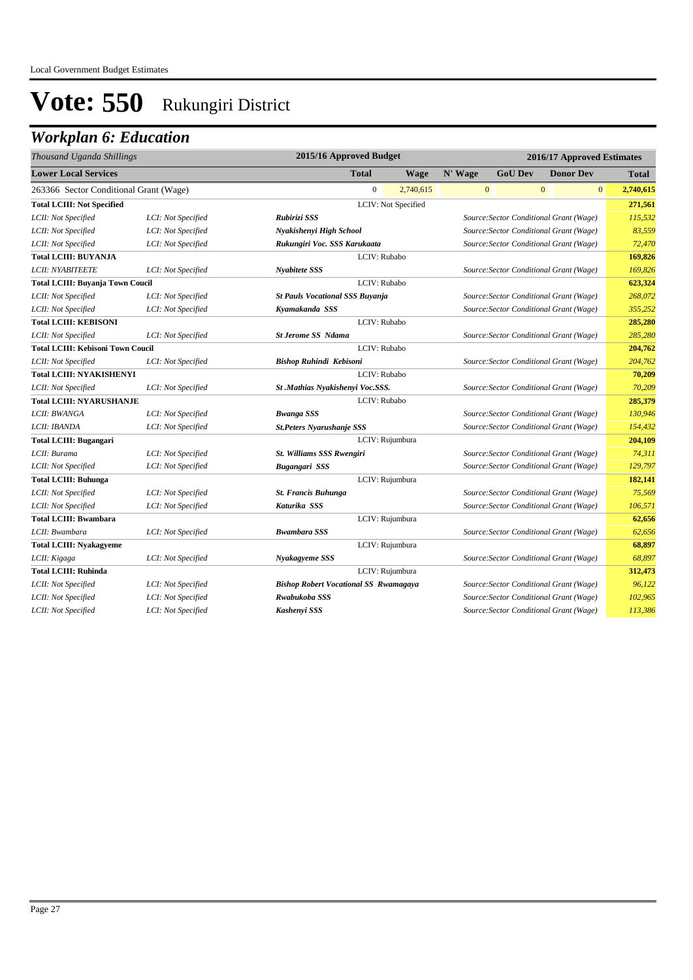| 2015/16 Approved Budget<br>Thousand Uganda Shillings |                    | 2016/17 Approved Estimates                   |                     |              |                |                                         |              |
|------------------------------------------------------|--------------------|----------------------------------------------|---------------------|--------------|----------------|-----------------------------------------|--------------|
| <b>Lower Local Services</b>                          |                    | <b>Total</b>                                 | <b>Wage</b>         | N' Wage      | <b>GoU Dev</b> | <b>Donor Dev</b>                        | <b>Total</b> |
| 263366 Sector Conditional Grant (Wage)               |                    | $\boldsymbol{0}$                             | 2,740,615           | $\mathbf{0}$ |                | $\mathbf{0}$<br>$\mathbf{0}$            | 2,740,615    |
| <b>Total LCIII: Not Specified</b>                    |                    |                                              | LCIV: Not Specified |              |                |                                         | 271,561      |
| LCII: Not Specified                                  | LCI: Not Specified | Rubirizi SSS                                 |                     |              |                | Source: Sector Conditional Grant (Wage) | 115,532      |
| LCII: Not Specified                                  | LCI: Not Specified | Nyakishenyi High School                      |                     |              |                | Source: Sector Conditional Grant (Wage) | 83,559       |
| LCII: Not Specified                                  | LCI: Not Specified | Rukungiri Voc. SSS Karukaata                 |                     |              |                | Source: Sector Conditional Grant (Wage) | 72,470       |
| <b>Total LCIII: BUYANJA</b>                          |                    |                                              | LCIV: Rubabo        |              |                |                                         | 169,826      |
| <b>LCII: NYABITEETE</b>                              | LCI: Not Specified | Nyabitete SSS                                |                     |              |                | Source: Sector Conditional Grant (Wage) | 169,826      |
| <b>Total LCIII: Buyanja Town Coucil</b>              |                    |                                              | LCIV: Rubabo        |              |                |                                         | 623,324      |
| LCII: Not Specified                                  | LCI: Not Specified | <b>St Pauls Vocational SSS Buyanja</b>       |                     |              |                | Source: Sector Conditional Grant (Wage) | 268,072      |
| LCII: Not Specified                                  | LCI: Not Specified | Kyamakanda SSS                               |                     |              |                | Source: Sector Conditional Grant (Wage) | 355,252      |
| <b>Total LCIII: KEBISONI</b>                         |                    |                                              | LCIV: Rubabo        |              |                |                                         | 285,280      |
| LCII: Not Specified                                  | LCI: Not Specified | <b>St Jerome SS Ndama</b>                    |                     |              |                | Source: Sector Conditional Grant (Wage) | 285,280      |
| <b>Total LCIII: Kebisoni Town Coucil</b>             |                    |                                              | LCIV: Rubabo        |              |                |                                         | 204,762      |
| LCII: Not Specified                                  | LCI: Not Specified | Bishop Ruhindi Kebisoni                      |                     |              |                | Source: Sector Conditional Grant (Wage) | 204,762      |
| <b>Total LCIII: NYAKISHENYI</b>                      |                    |                                              | LCIV: Rubabo        |              |                |                                         | 70,209       |
| LCII: Not Specified                                  | LCI: Not Specified | St .Mathias Nyakishenyi Voc.SSS.             |                     |              |                | Source: Sector Conditional Grant (Wage) | 70,209       |
| <b>Total LCIII: NYARUSHANJE</b>                      |                    |                                              | LCIV: Rubabo        |              |                |                                         | 285,379      |
| LCII: BWANGA                                         | LCI: Not Specified | <b>Bwanga SSS</b>                            |                     |              |                | Source: Sector Conditional Grant (Wage) | 130,946      |
| LCII: IBANDA                                         | LCI: Not Specified | <b>St.Peters Nyarushanje SSS</b>             |                     |              |                | Source: Sector Conditional Grant (Wage) | 154,432      |
| <b>Total LCIII: Bugangari</b>                        |                    |                                              | LCIV: Rujumbura     |              |                |                                         | 204,109      |
| LCII: Burama                                         | LCI: Not Specified | St. Williams SSS Rwengiri                    |                     |              |                | Source: Sector Conditional Grant (Wage) | 74,311       |
| LCII: Not Specified                                  | LCI: Not Specified | Bugangari SSS                                |                     |              |                | Source: Sector Conditional Grant (Wage) | 129,797      |
| <b>Total LCIII: Buhunga</b>                          |                    |                                              | LCIV: Rujumbura     |              |                |                                         | 182,141      |
| LCII: Not Specified                                  | LCI: Not Specified | <b>St. Francis Buhunga</b>                   |                     |              |                | Source: Sector Conditional Grant (Wage) | 75,569       |
| LCII: Not Specified                                  | LCI: Not Specified | Katurika SSS                                 |                     |              |                | Source: Sector Conditional Grant (Wage) | 106,571      |
| <b>Total LCIII: Bwambara</b>                         |                    |                                              | LCIV: Rujumbura     |              |                |                                         | 62,656       |
| LCII: Bwambara                                       | LCI: Not Specified | <b>Bwambara SSS</b>                          |                     |              |                | Source: Sector Conditional Grant (Wage) | 62,656       |
| <b>Total LCIII: Nyakagyeme</b>                       |                    |                                              | LCIV: Rujumbura     |              |                |                                         | 68,897       |
| LCII: Kigaga                                         | LCI: Not Specified | Nyakagyeme SSS                               |                     |              |                | Source: Sector Conditional Grant (Wage) | 68,897       |
| <b>Total LCIII: Ruhinda</b>                          |                    |                                              | LCIV: Rujumbura     |              |                |                                         | 312,473      |
| LCII: Not Specified                                  | LCI: Not Specified | <b>Bishop Robert Vocational SS Rwamagaya</b> |                     |              |                | Source: Sector Conditional Grant (Wage) | 96,122       |
| LCII: Not Specified                                  | LCI: Not Specified | Rwabukoba SSS                                |                     |              |                | Source: Sector Conditional Grant (Wage) | 102,965      |
| LCII: Not Specified                                  | LCI: Not Specified | Kashenyi SSS                                 |                     |              |                | Source: Sector Conditional Grant (Wage) | 113,386      |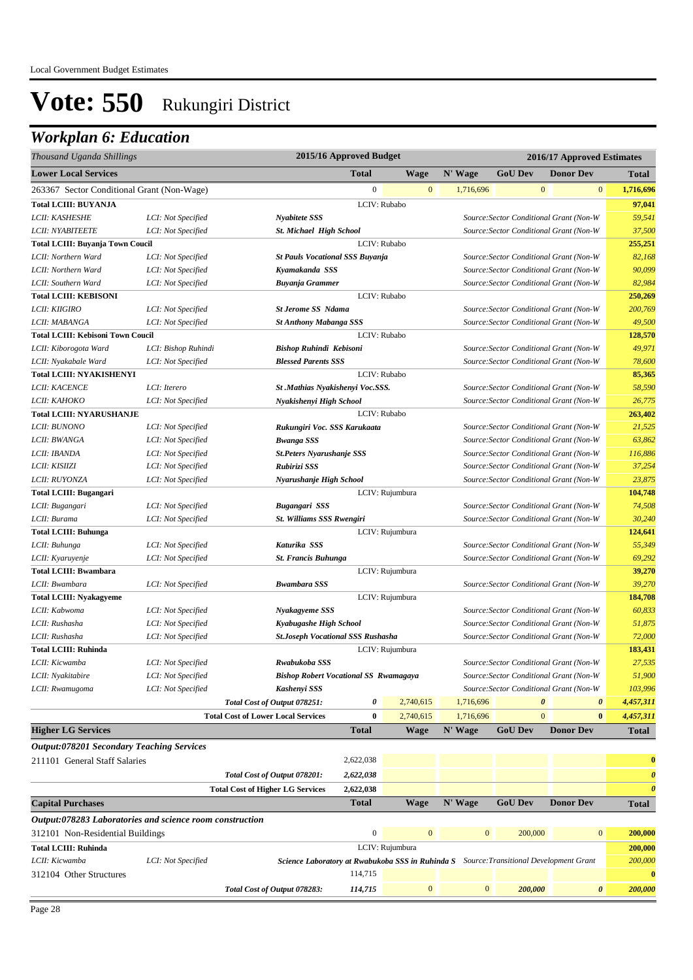| Thousand Uganda Shillings                                |                     |                                              | 2015/16 Approved Budget |                 |                                                                                         |                | 2016/17 Approved Estimates              |          |                       |
|----------------------------------------------------------|---------------------|----------------------------------------------|-------------------------|-----------------|-----------------------------------------------------------------------------------------|----------------|-----------------------------------------|----------|-----------------------|
| <b>Lower Local Services</b>                              |                     |                                              | <b>Total</b>            | <b>Wage</b>     | N' Wage                                                                                 | <b>GoU Dev</b> | <b>Donor Dev</b>                        |          | <b>Total</b>          |
| 263367 Sector Conditional Grant (Non-Wage)               |                     |                                              | $\mathbf{0}$            | $\mathbf{0}$    | 1,716,696                                                                               |                | $\mathbf{0}$                            | $\bf{0}$ | 1,716,696             |
| <b>Total LCIII: BUYANJA</b>                              |                     |                                              |                         | LCIV: Rubabo    |                                                                                         |                |                                         |          | 97,041                |
| LCII: KASHESHE                                           | LCI: Not Specified  | Nyabitete SSS                                |                         |                 |                                                                                         |                | Source: Sector Conditional Grant (Non-W |          | 59,541                |
| LCII: NYABITEETE                                         | LCI: Not Specified  | <b>St. Michael High School</b>               |                         |                 |                                                                                         |                | Source: Sector Conditional Grant (Non-W |          | 37,500                |
| <b>Total LCIII: Buyanja Town Coucil</b>                  |                     |                                              |                         | LCIV: Rubabo    |                                                                                         |                |                                         |          | 255,251               |
| LCII: Northern Ward                                      | LCI: Not Specified  | <b>St Pauls Vocational SSS Buyanja</b>       |                         |                 |                                                                                         |                | Source: Sector Conditional Grant (Non-W |          | 82,168                |
| LCII: Northern Ward                                      | LCI: Not Specified  | Kyamakanda SSS                               |                         |                 |                                                                                         |                | Source: Sector Conditional Grant (Non-W |          | 90,099                |
| LCII: Southern Ward                                      | LCI: Not Specified  | <b>Buyanja Grammer</b>                       |                         |                 |                                                                                         |                | Source: Sector Conditional Grant (Non-W |          | 82,984                |
| <b>Total LCIII: KEBISONI</b>                             |                     |                                              |                         | LCIV: Rubabo    |                                                                                         |                |                                         |          | 250,269               |
| LCII: KIIGIRO                                            | LCI: Not Specified  | <b>St Jerome SS Ndama</b>                    |                         |                 |                                                                                         |                | Source: Sector Conditional Grant (Non-W |          | 200,769               |
| LCII: MABANGA                                            | LCI: Not Specified  | <b>St Anthony Mabanga SSS</b>                |                         |                 |                                                                                         |                | Source: Sector Conditional Grant (Non-W |          | 49,500                |
| <b>Total LCIII: Kebisoni Town Coucil</b>                 |                     |                                              |                         | LCIV: Rubabo    |                                                                                         |                |                                         |          | 128,570               |
| LCII: Kiborogota Ward                                    | LCI: Bishop Ruhindi | Bishop Ruhindi Kebisoni                      |                         |                 |                                                                                         |                | Source: Sector Conditional Grant (Non-W |          | 49,971                |
| LCII: Nyakabale Ward                                     | LCI: Not Specified  | <b>Blessed Parents SSS</b>                   |                         |                 |                                                                                         |                | Source: Sector Conditional Grant (Non-W |          | 78,600                |
| <b>Total LCIII: NYAKISHENYI</b>                          |                     |                                              |                         | LCIV: Rubabo    |                                                                                         |                |                                         |          | 85,365                |
| LCII: KACENCE                                            | LCI: Iterero        | St .Mathias Nyakishenyi Voc.SSS.             |                         |                 |                                                                                         |                | Source: Sector Conditional Grant (Non-W |          | 58,590                |
| LCII: KAHOKO                                             | LCI: Not Specified  | Nyakishenyi High School                      |                         |                 |                                                                                         |                | Source: Sector Conditional Grant (Non-W |          | 26,775                |
| <b>Total LCIII: NYARUSHANJE</b>                          |                     |                                              |                         | LCIV: Rubabo    |                                                                                         |                |                                         |          | 263,402               |
| LCII: BUNONO                                             | LCI: Not Specified  | Rukungiri Voc. SSS Karukaata                 |                         |                 |                                                                                         |                | Source: Sector Conditional Grant (Non-W |          | 21,525                |
| LCII: BWANGA                                             | LCI: Not Specified  | <b>Bwanga SSS</b>                            |                         |                 |                                                                                         |                | Source: Sector Conditional Grant (Non-W |          | 63,862                |
| LCII: IBANDA                                             | LCI: Not Specified  | <b>St.Peters Nyarushanje SSS</b>             |                         |                 |                                                                                         |                | Source: Sector Conditional Grant (Non-W |          | 116,886               |
| LCII: KISIIZI                                            | LCI: Not Specified  | Rubirizi SSS                                 |                         |                 |                                                                                         |                | Source: Sector Conditional Grant (Non-W |          | 37,254                |
| LCII: RUYONZA                                            | LCI: Not Specified  | Nyarushanje High School                      |                         |                 |                                                                                         |                | Source: Sector Conditional Grant (Non-W |          | 23,875                |
| <b>Total LCIII: Bugangari</b>                            |                     |                                              |                         | LCIV: Rujumbura |                                                                                         |                |                                         |          | 104,748               |
| LCII: Bugangari                                          | LCI: Not Specified  | Bugangari SSS                                |                         |                 |                                                                                         |                | Source: Sector Conditional Grant (Non-W |          | 74,508                |
| LCII: Burama                                             | LCI: Not Specified  | St. Williams SSS Rwengiri                    |                         |                 |                                                                                         |                | Source: Sector Conditional Grant (Non-W |          | 30,240                |
| <b>Total LCIII: Buhunga</b>                              |                     |                                              |                         | LCIV: Rujumbura |                                                                                         |                |                                         |          | 124,641               |
| LCII: Buhunga                                            | LCI: Not Specified  | Katurika SSS                                 |                         |                 |                                                                                         |                | Source: Sector Conditional Grant (Non-W |          | 55,349                |
| LCII: Kyaruyenje                                         | LCI: Not Specified  |                                              |                         |                 |                                                                                         |                | Source: Sector Conditional Grant (Non-W |          | 69,292                |
| <b>Total LCIII: Bwambara</b>                             |                     | <b>St. Francis Buhunga</b>                   |                         | LCIV: Rujumbura |                                                                                         |                |                                         |          | 39,270                |
| LCII: Bwambara                                           | LCI: Not Specified  | <b>Bwambara SSS</b>                          |                         |                 |                                                                                         |                | Source: Sector Conditional Grant (Non-W |          | 39,270                |
| <b>Total LCIII: Nyakagyeme</b>                           |                     |                                              |                         | LCIV: Rujumbura |                                                                                         |                |                                         |          | 184,708               |
| LCII: Kabwoma                                            |                     |                                              |                         |                 |                                                                                         |                | Source: Sector Conditional Grant (Non-W |          | 60,833                |
| LCII: Rushasha                                           | LCI: Not Specified  | Nyakagyeme SSS<br>Kyabugashe High School     |                         |                 |                                                                                         |                | Source: Sector Conditional Grant (Non-W |          | 51,875                |
| LCII: Rushasha                                           | LCI: Not Specified  | <b>St.Joseph Vocational SSS Rushasha</b>     |                         |                 |                                                                                         |                | Source: Sector Conditional Grant (Non-W |          | 72,000                |
|                                                          | LCI: Not Specified  |                                              |                         |                 |                                                                                         |                |                                         |          |                       |
| <b>Total LCIII: Ruhinda</b>                              |                     |                                              |                         | LCIV: Rujumbura |                                                                                         |                |                                         |          | 183,431               |
| LCII: Kicwamba                                           | LCI: Not Specified  | Rwabukoba SSS                                |                         |                 |                                                                                         |                | Source: Sector Conditional Grant (Non-W |          | 27,535                |
| LCII: Nyakitabire                                        | LCI: Not Specified  | <b>Bishop Robert Vocational SS Rwamagaya</b> |                         |                 |                                                                                         |                | Source: Sector Conditional Grant (Non-W |          | 51,900                |
| LCII: Rwamugoma                                          | LCI: Not Specified  | Kashenyi SSS                                 |                         |                 |                                                                                         |                | Source: Sector Conditional Grant (Non-W |          | 103,996               |
|                                                          |                     | Total Cost of Output 078251:                 | 0                       | 2,740,615       | 1,716,696                                                                               |                | $\boldsymbol{\theta}$                   | 0        | 4,457,311             |
|                                                          |                     | <b>Total Cost of Lower Local Services</b>    | $\bf{0}$                | 2,740,615       | 1,716,696                                                                               |                | $\mathbf{0}$                            | $\bf{0}$ | 4,457,311             |
| <b>Higher LG Services</b>                                |                     |                                              | <b>Total</b>            | <b>Wage</b>     | N' Wage                                                                                 | <b>GoU Dev</b> | <b>Donor Dev</b>                        |          | <b>Total</b>          |
| <b>Output:078201 Secondary Teaching Services</b>         |                     |                                              |                         |                 |                                                                                         |                |                                         |          |                       |
| 211101 General Staff Salaries                            |                     |                                              | 2,622,038               |                 |                                                                                         |                |                                         |          | $\bf{0}$              |
|                                                          |                     | Total Cost of Output 078201:                 | 2,622,038               |                 |                                                                                         |                |                                         |          | $\boldsymbol{\theta}$ |
|                                                          |                     | <b>Total Cost of Higher LG Services</b>      | 2,622,038               |                 |                                                                                         |                |                                         |          | $\boldsymbol{\theta}$ |
| <b>Capital Purchases</b>                                 |                     |                                              | <b>Total</b>            | Wage            | N' Wage                                                                                 | <b>GoU Dev</b> | <b>Donor Dev</b>                        |          | <b>Total</b>          |
| Output:078283 Laboratories and science room construction |                     |                                              |                         |                 |                                                                                         |                |                                         |          |                       |
| 312101 Non-Residential Buildings                         |                     |                                              | $\boldsymbol{0}$        | $\bf{0}$        | $\boldsymbol{0}$                                                                        | 200,000        |                                         | $\bf{0}$ | 200,000               |
| <b>Total LCIII: Ruhinda</b>                              |                     |                                              |                         | LCIV: Rujumbura |                                                                                         |                |                                         |          | 200,000               |
| LCII: Kicwamba                                           | LCI: Not Specified  |                                              |                         |                 | Science Laboratory at Rwabukoba SSS in Ruhinda S Source: Transitional Development Grant |                |                                         |          | 200,000               |
| 312104 Other Structures                                  |                     |                                              | 114,715                 |                 |                                                                                         |                |                                         |          | $\bf{0}$              |
|                                                          |                     | Total Cost of Output 078283:                 | 114,715                 | $\mathbf{0}$    | $\mathbf{0}$                                                                            | 200,000        |                                         | 0        | 200,000               |
|                                                          |                     |                                              |                         |                 |                                                                                         |                |                                         |          |                       |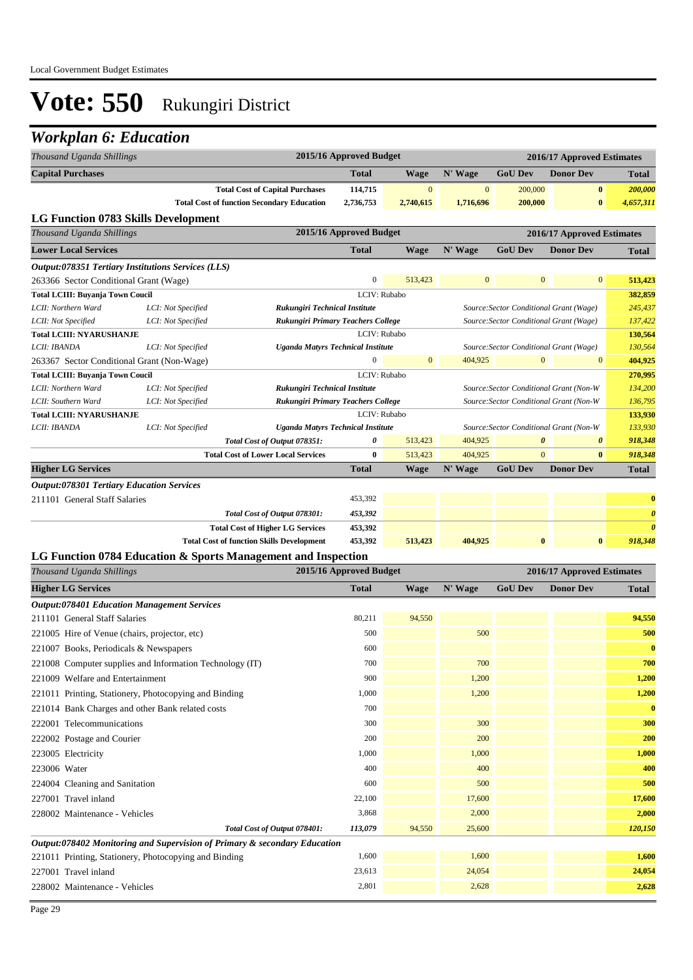| Thousand Uganda Shillings                                                 |                    |                                                   | 2015/16 Approved Budget                                  |                  |              |                                         | 2016/17 Approved Estimates |                       |
|---------------------------------------------------------------------------|--------------------|---------------------------------------------------|----------------------------------------------------------|------------------|--------------|-----------------------------------------|----------------------------|-----------------------|
| <b>Capital Purchases</b>                                                  |                    |                                                   | <b>Total</b>                                             | Wage             | N' Wage      | <b>GoU Dev</b>                          | <b>Donor Dev</b>           | <b>Total</b>          |
|                                                                           |                    | <b>Total Cost of Capital Purchases</b>            | 114,715                                                  | $\mathbf{0}$     | $\mathbf{0}$ | 200,000                                 | $\bf{0}$                   | 200,000               |
|                                                                           |                    | <b>Total Cost of function Secondary Education</b> | 2,736,753                                                | 2,740,615        | 1,716,696    | 200,000                                 | $\bf{0}$                   | 4,657,311             |
| <b>LG Function 0783 Skills Development</b>                                |                    |                                                   |                                                          |                  |              |                                         |                            |                       |
| Thousand Uganda Shillings                                                 |                    |                                                   | 2015/16 Approved Budget                                  |                  |              |                                         | 2016/17 Approved Estimates |                       |
| <b>Lower Local Services</b>                                               |                    |                                                   | <b>Total</b>                                             | <b>Wage</b>      | N' Wage      | <b>GoU Dev</b>                          | <b>Donor Dev</b>           | <b>Total</b>          |
| Output:078351 Tertiary Institutions Services (LLS)                        |                    |                                                   |                                                          |                  |              |                                         |                            |                       |
| 263366 Sector Conditional Grant (Wage)                                    |                    |                                                   | $\overline{0}$                                           | 513,423          | $\mathbf{0}$ | $\mathbf{0}$                            | $\mathbf{0}$               | 513,423               |
| <b>Total LCIII: Buyanja Town Coucil</b>                                   |                    |                                                   | LCIV: Rubabo                                             |                  |              |                                         |                            | 382,859               |
| LCII: Northern Ward                                                       | LCI: Not Specified | Rukungiri Technical Institute                     |                                                          |                  |              | Source: Sector Conditional Grant (Wage) |                            | 245,437               |
| LCII: Not Specified                                                       | LCI: Not Specified |                                                   | <b>Rukungiri Primary Teachers College</b>                |                  |              | Source: Sector Conditional Grant (Wage) |                            | 137,422               |
| <b>Total LCIII: NYARUSHANJE</b>                                           |                    |                                                   | LCIV: Rubabo                                             |                  |              |                                         |                            | 130,564               |
| LCII: IBANDA                                                              | LCI: Not Specified |                                                   | <b>Uganda Matyrs Technical Institute</b>                 |                  |              | Source: Sector Conditional Grant (Wage) |                            | 130,564               |
| 263367 Sector Conditional Grant (Non-Wage)                                |                    |                                                   | $\boldsymbol{0}$                                         | $\boldsymbol{0}$ | 404,925      | $\boldsymbol{0}$                        | $\mathbf{0}$               | 404,925               |
| <b>Total LCIII: Buyanja Town Coucil</b>                                   |                    |                                                   | LCIV: Rubabo                                             |                  |              |                                         |                            | 270,995               |
| LCII: Northern Ward                                                       | LCI: Not Specified | Rukungiri Technical Institute                     |                                                          |                  |              | Source: Sector Conditional Grant (Non-W |                            | 134,200               |
| LCII: Southern Ward                                                       | LCI: Not Specified |                                                   | <b>Rukungiri Primary Teachers College</b>                |                  |              | Source: Sector Conditional Grant (Non-W |                            | 136,795               |
| <b>Total LCIII: NYARUSHANJE</b><br>LCII: IBANDA                           | LCI: Not Specified |                                                   | LCIV: Rubabo<br><b>Uganda Matyrs Technical Institute</b> |                  |              | Source: Sector Conditional Grant (Non-W |                            | 133,930<br>133,930    |
|                                                                           |                    | Total Cost of Output 078351:                      | 0                                                        | 513,423          | 404,925      | 0                                       | 0                          | 918,348               |
|                                                                           |                    | <b>Total Cost of Lower Local Services</b>         | $\bf{0}$                                                 | 513,423          | 404,925      | $\overline{0}$                          | $\bf{0}$                   | 918,348               |
| <b>Higher LG Services</b>                                                 |                    |                                                   | <b>Total</b>                                             | <b>Wage</b>      | N' Wage      | <b>GoU Dev</b>                          | <b>Donor Dev</b>           | <b>Total</b>          |
| <b>Output:078301 Tertiary Education Services</b>                          |                    |                                                   |                                                          |                  |              |                                         |                            |                       |
| 211101 General Staff Salaries                                             |                    |                                                   | 453,392                                                  |                  |              |                                         |                            | $\bf{0}$              |
|                                                                           |                    | Total Cost of Output 078301:                      | 453,392                                                  |                  |              |                                         |                            | $\boldsymbol{\theta}$ |
|                                                                           |                    | <b>Total Cost of Higher LG Services</b>           | 453,392                                                  |                  |              |                                         |                            | $\boldsymbol{\theta}$ |
|                                                                           |                    | <b>Total Cost of function Skills Development</b>  | 453,392                                                  | 513,423          | 404,925      | $\bf{0}$                                | $\bf{0}$                   | 918,348               |
| LG Function 0784 Education & Sports Management and Inspection             |                    |                                                   |                                                          |                  |              |                                         |                            |                       |
| Thousand Uganda Shillings                                                 |                    |                                                   | 2015/16 Approved Budget                                  |                  |              |                                         | 2016/17 Approved Estimates |                       |
| <b>Higher LG Services</b>                                                 |                    |                                                   | <b>Total</b>                                             | <b>Wage</b>      | N' Wage      | <b>GoU Dev</b>                          | <b>Donor Dev</b>           | <b>Total</b>          |
| <b>Output:078401 Education Management Services</b>                        |                    |                                                   |                                                          |                  |              |                                         |                            |                       |
| 211101 General Staff Salaries                                             |                    |                                                   | 80,211                                                   | 94,550           |              |                                         |                            | 94,550                |
| 221005 Hire of Venue (chairs, projector, etc)                             |                    |                                                   | 500                                                      |                  | 500          |                                         |                            | 500                   |
| 221007 Books, Periodicals & Newspapers                                    |                    |                                                   | 600                                                      |                  |              |                                         |                            | $\bf{0}$              |
| 221008 Computer supplies and Information Technology (IT)                  |                    |                                                   | 700                                                      |                  | 700          |                                         |                            | 700                   |
| 221009 Welfare and Entertainment                                          |                    |                                                   | 900                                                      |                  | 1,200        |                                         |                            | 1,200                 |
| 221011 Printing, Stationery, Photocopying and Binding                     |                    |                                                   | 1,000                                                    |                  | 1,200        |                                         |                            | 1,200                 |
| 221014 Bank Charges and other Bank related costs                          |                    |                                                   | 700                                                      |                  |              |                                         |                            | $\bf{0}$              |
| 222001 Telecommunications                                                 |                    |                                                   | 300                                                      |                  | 300          |                                         |                            | 300                   |
| 222002 Postage and Courier                                                |                    |                                                   | 200                                                      |                  | 200          |                                         |                            | 200                   |
|                                                                           |                    |                                                   | 1,000                                                    |                  | 1,000        |                                         |                            | 1,000                 |
| 223005 Electricity                                                        |                    |                                                   |                                                          |                  |              |                                         |                            |                       |
| 223006 Water                                                              |                    |                                                   | 400                                                      |                  | 400          |                                         |                            | 400                   |
| 224004 Cleaning and Sanitation                                            |                    |                                                   | 600                                                      |                  | 500          |                                         |                            | 500                   |
| 227001 Travel inland                                                      |                    |                                                   | 22,100                                                   |                  | 17,600       |                                         |                            | 17,600                |
| 228002 Maintenance - Vehicles                                             |                    |                                                   | 3,868                                                    |                  | 2,000        |                                         |                            | 2,000                 |
|                                                                           |                    | Total Cost of Output 078401:                      | 113,079                                                  | 94,550           | 25,600       |                                         |                            | 120,150               |
| Output:078402 Monitoring and Supervision of Primary & secondary Education |                    |                                                   |                                                          |                  |              |                                         |                            |                       |
| 221011 Printing, Stationery, Photocopying and Binding                     |                    |                                                   | 1,600                                                    |                  | 1,600        |                                         |                            | 1,600                 |
| 227001 Travel inland                                                      |                    |                                                   | 23,613                                                   |                  | 24,054       |                                         |                            | 24,054                |
| 228002 Maintenance - Vehicles                                             |                    |                                                   | 2,801                                                    |                  | 2,628        |                                         |                            | 2,628                 |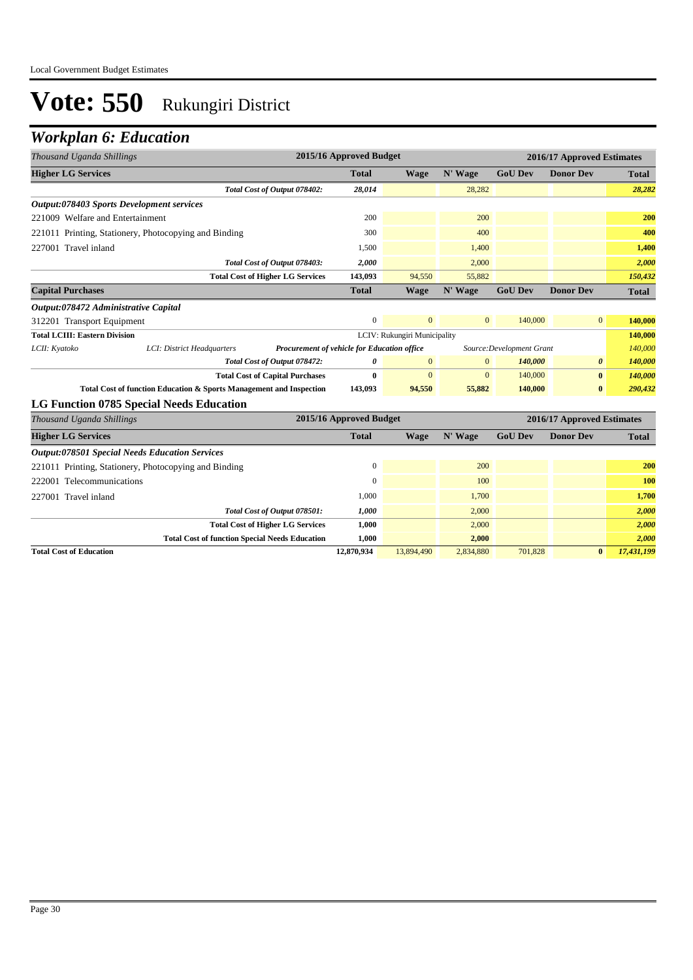| Thousand Uganda Shillings                                           |                                             | 2015/16 Approved Budget |                              |                |                           | 2016/17 Approved Estimates |              |  |
|---------------------------------------------------------------------|---------------------------------------------|-------------------------|------------------------------|----------------|---------------------------|----------------------------|--------------|--|
| <b>Higher LG Services</b>                                           |                                             | <b>Total</b>            | <b>Wage</b>                  | N' Wage        | <b>GoU Dev</b>            | <b>Donor Dev</b>           | <b>Total</b> |  |
| Total Cost of Output 078402:                                        |                                             | 28,014                  |                              | 28,282         |                           |                            | 28,282       |  |
| <b>Output:078403 Sports Development services</b>                    |                                             |                         |                              |                |                           |                            |              |  |
| 221009 Welfare and Entertainment                                    |                                             | 200                     |                              | 200            |                           |                            | 200          |  |
| 221011 Printing, Stationery, Photocopying and Binding               |                                             | 300                     |                              | 400            |                           |                            | 400          |  |
| 227001 Travel inland                                                |                                             | 1,500                   |                              | 1,400          |                           |                            | 1,400        |  |
| Total Cost of Output 078403:                                        |                                             | 2,000                   |                              | 2,000          |                           |                            | 2,000        |  |
| <b>Total Cost of Higher LG Services</b>                             |                                             | 143,093                 | 94,550                       | 55,882         |                           |                            | 150,432      |  |
| <b>Capital Purchases</b>                                            |                                             | <b>Total</b>            | <b>Wage</b>                  | N' Wage        | <b>GoU Dev</b>            | <b>Donor Dev</b>           | <b>Total</b> |  |
| Output:078472 Administrative Capital                                |                                             |                         |                              |                |                           |                            |              |  |
| 312201 Transport Equipment                                          |                                             | $\mathbf{0}$            | $\mathbf{0}$                 | $\mathbf{0}$   | 140,000                   | $\overline{0}$             | 140,000      |  |
| <b>Total LCIII: Eastern Division</b>                                |                                             |                         | LCIV: Rukungiri Municipality |                |                           |                            | 140,000      |  |
| LCII: Kyatoko<br>LCI: District Headquarters                         | Procurement of vehicle for Education office |                         |                              |                | Source: Development Grant | 140,000                    |              |  |
| Total Cost of Output 078472:                                        |                                             | o                       | $\mathbf{0}$                 | $\overline{0}$ | 140,000                   | $\boldsymbol{\theta}$      | 140,000      |  |
| <b>Total Cost of Capital Purchases</b>                              |                                             | $\bf{0}$                | $\overline{0}$               | $\overline{0}$ | 140,000                   | $\bf{0}$                   | 140,000      |  |
| Total Cost of function Education & Sports Management and Inspection |                                             | 143,093                 | 94,550                       | 55,882         | 140,000                   | $\bf{0}$                   | 290,432      |  |
| LG Function 0785 Special Needs Education                            |                                             |                         |                              |                |                           |                            |              |  |
| Thousand Uganda Shillings                                           |                                             | 2015/16 Approved Budget |                              |                |                           | 2016/17 Approved Estimates |              |  |
| <b>Higher LG Services</b>                                           |                                             | <b>Total</b>            | <b>Wage</b>                  | N' Wage        | <b>GoU Dev</b>            | <b>Donor Dev</b>           | <b>Total</b> |  |
| <b>Output:078501 Special Needs Education Services</b>               |                                             |                         |                              |                |                           |                            |              |  |
| 221011 Printing, Stationery, Photocopying and Binding               |                                             | $\mathbf{0}$            |                              | 200            |                           |                            | 200          |  |
| 222001 Telecommunications                                           |                                             | $\theta$                |                              | 100            |                           |                            | 100          |  |
| 227001 Travel inland                                                |                                             | 1,000                   |                              | 1,700          |                           |                            | 1,700        |  |

| Total Cost of Output 078501:                          | 1.000      |            | 2.000     |         |          | 2.000      |
|-------------------------------------------------------|------------|------------|-----------|---------|----------|------------|
| <b>Total Cost of Higher LG Services</b>               | 1,000      |            | 2,000     |         |          | 2.000      |
| <b>Total Cost of function Special Needs Education</b> | 1,000      |            | 2,000     |         |          | 2.000      |
| <b>Total Cost of Education</b>                        | 12.870.934 | 13,894,490 | 2.834.880 | 701.828 | $\bf{0}$ | 17,431,199 |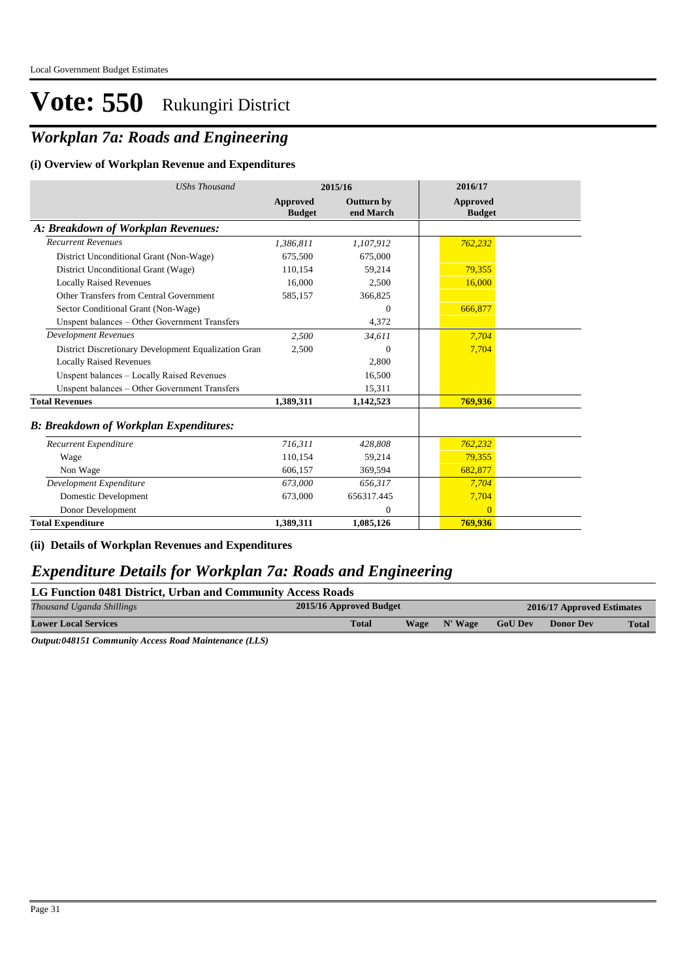## *Workplan 7a: Roads and Engineering*

#### **(i) Overview of Workplan Revenue and Expenditures**

| <b>UShs Thousand</b>                                 |                           | 2015/16                        | 2016/17                   |
|------------------------------------------------------|---------------------------|--------------------------------|---------------------------|
|                                                      | Approved<br><b>Budget</b> | <b>Outturn by</b><br>end March | Approved<br><b>Budget</b> |
| A: Breakdown of Workplan Revenues:                   |                           |                                |                           |
| <b>Recurrent Revenues</b>                            | 1,386,811                 | 1,107,912                      | 762,232                   |
| District Unconditional Grant (Non-Wage)              | 675,500                   | 675,000                        |                           |
| District Unconditional Grant (Wage)                  | 110,154                   | 59,214                         | 79,355                    |
| <b>Locally Raised Revenues</b>                       | 16.000                    | 2,500                          | 16,000                    |
| Other Transfers from Central Government              | 585,157                   | 366,825                        |                           |
| Sector Conditional Grant (Non-Wage)                  |                           | 0                              | 666,877                   |
| Unspent balances - Other Government Transfers        |                           | 4,372                          |                           |
| <b>Development Revenues</b>                          | 2,500                     | 34,611                         | 7,704                     |
| District Discretionary Development Equalization Gran | 2,500                     | $\mathbf{0}$                   | 7,704                     |
| <b>Locally Raised Revenues</b>                       |                           | 2,800                          |                           |
| Unspent balances - Locally Raised Revenues           |                           | 16,500                         |                           |
| Unspent balances - Other Government Transfers        |                           | 15,311                         |                           |
| <b>Total Revenues</b>                                | 1,389,311                 | 1,142,523                      | 769,936                   |
| <b>B: Breakdown of Workplan Expenditures:</b>        |                           |                                |                           |
| Recurrent Expenditure                                | 716,311                   | 428,808                        | 762,232                   |
| Wage                                                 | 110,154                   | 59,214                         | 79,355                    |
| Non Wage                                             | 606.157                   | 369,594                        | 682,877                   |
| Development Expenditure                              | 673,000                   | 656,317                        | 7,704                     |
| Domestic Development                                 | 673,000                   | 656317.445                     | 7,704                     |
| Donor Development                                    |                           | 0                              | $\overline{0}$            |
| <b>Total Expenditure</b>                             | 1,389,311                 | 1,085,126                      | 769,936                   |

#### **(ii) Details of Workplan Revenues and Expenditures**

#### *Expenditure Details for Workplan 7a: Roads and Engineering*

| LG Function 0481 District, Urban and Community Access Roads |  |
|-------------------------------------------------------------|--|
|                                                             |  |

| Thousand Uganda Shillings   | 2015/16 Approved Budget |              | 2016/17 Approved Estimates<br><b>GoU Dev</b><br><b>Donor Dev</b> |  |              |
|-----------------------------|-------------------------|--------------|------------------------------------------------------------------|--|--------------|
| <b>Lower Local Services</b> | <b>Total</b>            | Wage N' Wage |                                                                  |  | <b>Total</b> |
|                             |                         |              |                                                                  |  |              |

*Output:048151 Community Access Road Maintenance (LLS)*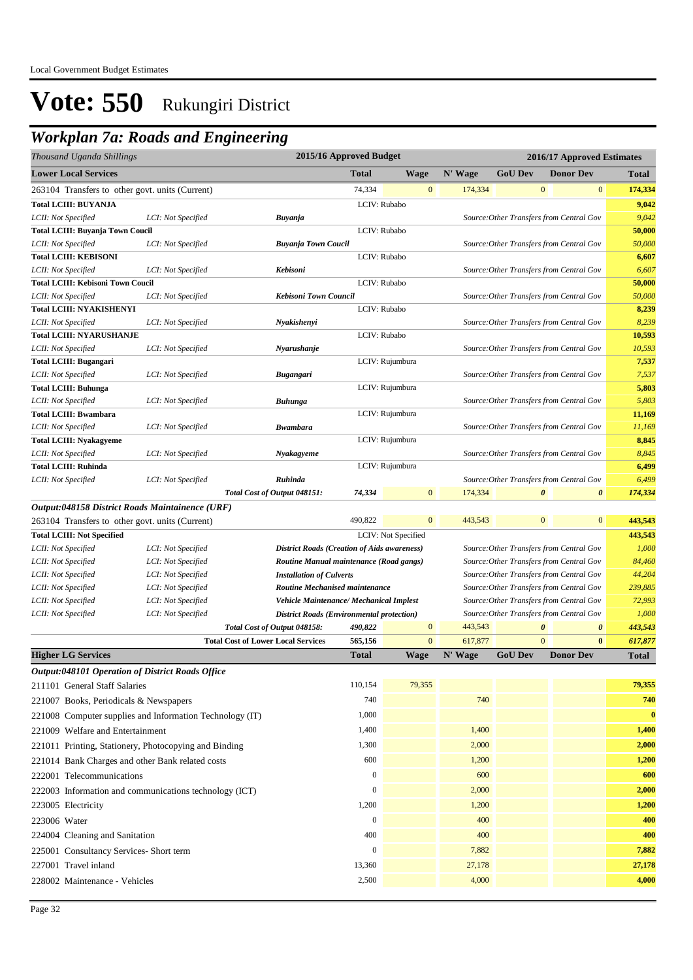### *Workplan 7a: Roads and Engineering*

| Thousand Uganda Shillings                             |                                                          | 2015/16 Approved Budget                                                    |                  |                     |         |                | 2016/17 Approved Estimates                                                           |                                  |
|-------------------------------------------------------|----------------------------------------------------------|----------------------------------------------------------------------------|------------------|---------------------|---------|----------------|--------------------------------------------------------------------------------------|----------------------------------|
| <b>Lower Local Services</b>                           |                                                          |                                                                            | <b>Total</b>     | <b>Wage</b>         | N' Wage | <b>GoU Dev</b> | <b>Donor Dev</b>                                                                     | <b>Total</b>                     |
| 263104 Transfers to other govt. units (Current)       |                                                          |                                                                            | 74,334           | $\mathbf{0}$        | 174,334 |                | $\boldsymbol{0}$                                                                     | $\mathbf{0}$<br>174,334          |
| <b>Total LCIII: BUYANJA</b>                           |                                                          |                                                                            | LCIV: Rubabo     |                     |         |                |                                                                                      | 9,042                            |
| LCII: Not Specified                                   | LCI: Not Specified                                       | Buyanja                                                                    |                  |                     |         |                | Source: Other Transfers from Central Gov                                             | 9,042                            |
| Total LCIII: Buyanja Town Coucil                      |                                                          |                                                                            | LCIV: Rubabo     |                     |         |                |                                                                                      | 50,000                           |
| LCII: Not Specified                                   | LCI: Not Specified                                       | <b>Buyanja Town Coucil</b>                                                 |                  |                     |         |                | Source: Other Transfers from Central Gov                                             | 50,000                           |
| <b>Total LCIII: KEBISONI</b>                          |                                                          |                                                                            | LCIV: Rubabo     |                     |         |                |                                                                                      | 6,607                            |
| LCII: Not Specified                                   | LCI: Not Specified                                       | Kebisoni                                                                   |                  |                     |         |                | Source: Other Transfers from Central Gov                                             | 6,607                            |
| <b>Total LCIII: Kebisoni Town Coucil</b>              |                                                          |                                                                            | LCIV: Rubabo     |                     |         |                |                                                                                      | 50,000                           |
| LCII: Not Specified                                   | LCI: Not Specified                                       | Kebisoni Town Council                                                      |                  |                     |         |                | Source: Other Transfers from Central Gov                                             | 50,000                           |
| <b>Total LCIII: NYAKISHENYI</b>                       |                                                          |                                                                            | LCIV: Rubabo     |                     |         |                |                                                                                      | 8,239                            |
| LCII: Not Specified                                   | LCI: Not Specified                                       | Nyakishenyi                                                                |                  |                     |         |                | Source: Other Transfers from Central Gov                                             | 8,239                            |
| <b>Total LCIII: NYARUSHANJE</b>                       |                                                          |                                                                            | LCIV: Rubabo     |                     |         |                |                                                                                      | 10,593                           |
| LCII: Not Specified                                   | LCI: Not Specified                                       | Nyarushanje                                                                |                  |                     |         |                | Source: Other Transfers from Central Gov                                             | 10,593                           |
| <b>Total LCIII: Bugangari</b>                         |                                                          |                                                                            |                  | LCIV: Rujumbura     |         |                |                                                                                      | 7,537                            |
| LCII: Not Specified                                   | LCI: Not Specified                                       | Bugangari                                                                  |                  |                     |         |                | Source: Other Transfers from Central Gov                                             | 7,537                            |
| <b>Total LCIII: Buhunga</b>                           |                                                          |                                                                            |                  | LCIV: Rujumbura     |         |                |                                                                                      | 5,803                            |
| LCII: Not Specified                                   | LCI: Not Specified                                       | Buhunga                                                                    |                  |                     |         |                | Source: Other Transfers from Central Gov                                             | 5,803                            |
| <b>Total LCIII: Bwambara</b>                          |                                                          |                                                                            |                  | LCIV: Rujumbura     |         |                |                                                                                      | 11,169                           |
| LCII: Not Specified                                   | LCI: Not Specified                                       | Bwambara                                                                   |                  |                     |         |                | Source: Other Transfers from Central Gov                                             | 11,169                           |
| <b>Total LCIII: Nyakagyeme</b>                        |                                                          |                                                                            |                  | LCIV: Rujumbura     |         |                |                                                                                      | 8,845<br>8,845                   |
| LCII: Not Specified<br><b>Total LCIII: Ruhinda</b>    | LCI: Not Specified                                       | Nyakagyeme                                                                 |                  | LCIV: Rujumbura     |         |                | Source: Other Transfers from Central Gov                                             | 6,499                            |
| LCII: Not Specified                                   | LCI: Not Specified                                       | Ruhinda                                                                    |                  |                     |         |                | Source: Other Transfers from Central Gov                                             | 6,499                            |
|                                                       |                                                          | Total Cost of Output 048151:                                               | 74,334           | $\overline{0}$      | 174,334 |                | $\boldsymbol{\theta}$                                                                | $\boldsymbol{\theta}$<br>174,334 |
|                                                       |                                                          |                                                                            |                  |                     |         |                |                                                                                      |                                  |
| Output:048158 District Roads Maintainence (URF)       |                                                          |                                                                            | 490,822          | $\overline{0}$      | 443,543 |                | $\boldsymbol{0}$                                                                     | $\mathbf{0}$<br>443,543          |
| 263104 Transfers to other govt. units (Current)       |                                                          |                                                                            |                  |                     |         |                |                                                                                      |                                  |
| <b>Total LCIII: Not Specified</b>                     |                                                          |                                                                            |                  | LCIV: Not Specified |         |                |                                                                                      | 443,543<br>1,000                 |
| LCII: Not Specified<br>LCII: Not Specified            | LCI: Not Specified<br>LCI: Not Specified                 | <b>District Roads (Creation of Aids awareness)</b>                         |                  |                     |         |                | Source: Other Transfers from Central Gov<br>Source: Other Transfers from Central Gov | 84,460                           |
| LCII: Not Specified                                   | LCI: Not Specified                                       | Routine Manual maintenance (Road gangs)<br><b>Installation of Culverts</b> |                  |                     |         |                | Source: Other Transfers from Central Gov                                             | 44,204                           |
| LCII: Not Specified                                   | LCI: Not Specified                                       | Routine Mechanised maintenance                                             |                  |                     |         |                | Source: Other Transfers from Central Gov                                             | 239,885                          |
| LCII: Not Specified                                   | LCI: Not Specified                                       | <b>Vehicle Maintenance/ Mechanical Implest</b>                             |                  |                     |         |                | Source: Other Transfers from Central Gov                                             | 72,993                           |
| LCII: Not Specified                                   | LCI: Not Specified                                       | <b>District Roads (Environmental protection)</b>                           |                  |                     |         |                | Source: Other Transfers from Central Gov                                             | 1,000                            |
|                                                       |                                                          | Total Cost of Output 048158:                                               | 490,822          | $\boldsymbol{0}$    | 443,543 |                | $\boldsymbol{\theta}$                                                                | 443,543<br>$\boldsymbol{\theta}$ |
|                                                       | <b>Total Cost of Lower Local Services</b>                |                                                                            | 565,156          | $\mathbf{0}$        | 617,877 |                | $\mathbf{0}$                                                                         | $\bf{0}$<br>617,877              |
| <b>Higher LG Services</b>                             |                                                          |                                                                            | <b>Total</b>     | <b>Wage</b>         | N' Wage | <b>GoU Dev</b> | <b>Donor Dev</b>                                                                     | Total                            |
| Output:048101 Operation of District Roads Office      |                                                          |                                                                            |                  |                     |         |                |                                                                                      |                                  |
| 211101 General Staff Salaries                         |                                                          |                                                                            | 110,154          | 79,355              |         |                |                                                                                      | 79,355                           |
| 221007 Books, Periodicals & Newspapers                |                                                          |                                                                            | 740              |                     | 740     |                |                                                                                      | 740                              |
|                                                       | 221008 Computer supplies and Information Technology (IT) |                                                                            | 1,000            |                     |         |                |                                                                                      | $\bf{0}$                         |
| 221009 Welfare and Entertainment                      |                                                          |                                                                            | 1,400            |                     | 1,400   |                |                                                                                      | 1,400                            |
|                                                       |                                                          |                                                                            |                  |                     |         |                |                                                                                      |                                  |
| 221011 Printing, Stationery, Photocopying and Binding |                                                          |                                                                            | 1,300            |                     | 2,000   |                |                                                                                      | 2,000                            |
| 221014 Bank Charges and other Bank related costs      |                                                          |                                                                            | 600              |                     | 1,200   |                |                                                                                      | 1,200                            |
| 222001 Telecommunications                             |                                                          |                                                                            | $\boldsymbol{0}$ |                     | 600     |                |                                                                                      | 600                              |
|                                                       | 222003 Information and communications technology (ICT)   |                                                                            | $\boldsymbol{0}$ |                     | 2,000   |                |                                                                                      | 2,000                            |
| 223005 Electricity                                    |                                                          |                                                                            | 1,200            |                     | 1,200   |                |                                                                                      | 1,200                            |
| 223006 Water                                          |                                                          |                                                                            | $\boldsymbol{0}$ |                     | 400     |                |                                                                                      | 400                              |
| 224004 Cleaning and Sanitation                        |                                                          |                                                                            | 400              |                     | 400     |                |                                                                                      | 400                              |
| 225001 Consultancy Services- Short term               |                                                          |                                                                            | $\boldsymbol{0}$ |                     | 7,882   |                |                                                                                      | 7,882                            |
| 227001 Travel inland                                  |                                                          |                                                                            | 13,360           |                     | 27,178  |                |                                                                                      | 27,178                           |
| 228002 Maintenance - Vehicles                         |                                                          |                                                                            | 2,500            |                     | 4,000   |                |                                                                                      | 4,000                            |
|                                                       |                                                          |                                                                            |                  |                     |         |                |                                                                                      |                                  |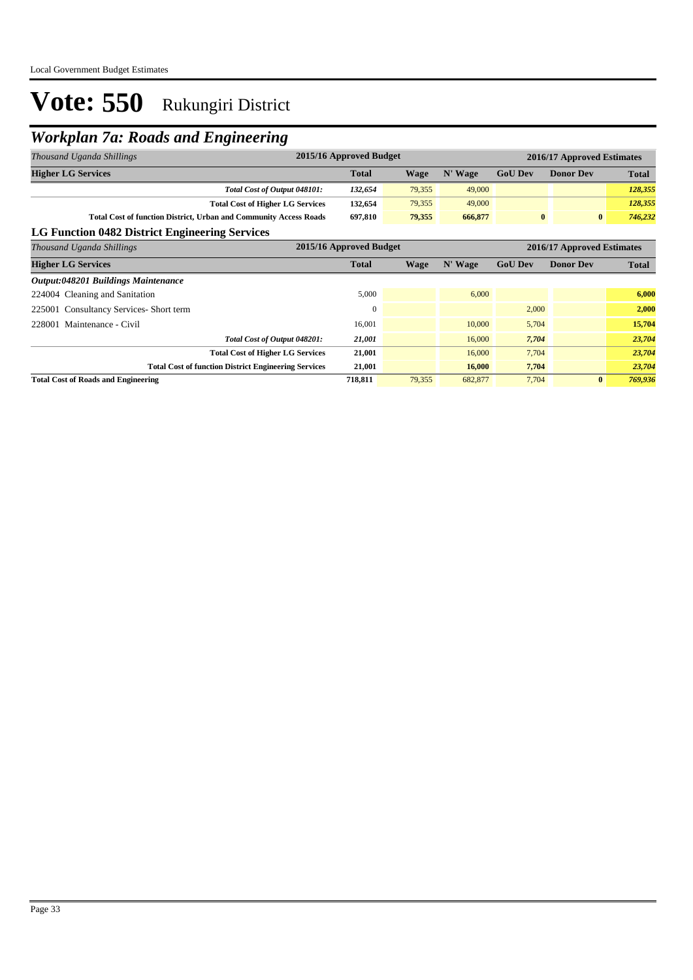## *Workplan 7a: Roads and Engineering*

| Thousand Uganda Shillings                                                | 2015/16 Approved Budget |             |         |                | 2016/17 Approved Estimates |              |
|--------------------------------------------------------------------------|-------------------------|-------------|---------|----------------|----------------------------|--------------|
| <b>Higher LG Services</b>                                                | Total                   | <b>Wage</b> | N' Wage | <b>GoU Dev</b> | <b>Donor Dev</b>           | <b>Total</b> |
| Total Cost of Output 048101:                                             | 132,654                 | 79,355      | 49,000  |                |                            | 128,355      |
| <b>Total Cost of Higher LG Services</b>                                  | 132,654                 | 79,355      | 49,000  |                |                            | 128,355      |
| <b>Total Cost of function District, Urban and Community Access Roads</b> | 697,810                 | 79,355      | 666,877 | $\bf{0}$       | $\bf{0}$                   | 746,232      |
| LG Function 0482 District Engineering Services                           |                         |             |         |                |                            |              |
| Thousand Uganda Shillings                                                | 2015/16 Approved Budget |             |         |                | 2016/17 Approved Estimates |              |
| <b>Higher LG Services</b>                                                | <b>Total</b>            | Wage        | N' Wage | <b>GoU Dev</b> | <b>Donor Dev</b>           | <b>Total</b> |
| <b>Output:048201 Buildings Maintenance</b>                               |                         |             |         |                |                            |              |
| 224004 Cleaning and Sanitation                                           | 5,000                   |             | 6,000   |                |                            | 6,000        |
| 225001 Consultancy Services-Short term                                   | $\Omega$                |             |         | 2,000          |                            | 2,000        |
| 228001 Maintenance - Civil                                               | 16,001                  |             | 10,000  | 5,704          |                            | 15,704       |
| Total Cost of Output 048201:                                             | 21,001                  |             | 16,000  | 7,704          |                            | 23,704       |
| <b>Total Cost of Higher LG Services</b>                                  | 21,001                  |             | 16,000  | 7,704          |                            | 23,704       |
| <b>Total Cost of function District Engineering Services</b>              | 21,001                  |             | 16,000  | 7,704          |                            | 23,704       |
| <b>Total Cost of Roads and Engineering</b>                               | 718,811                 | 79,355      | 682,877 | 7,704          | $\bf{0}$                   | 769,936      |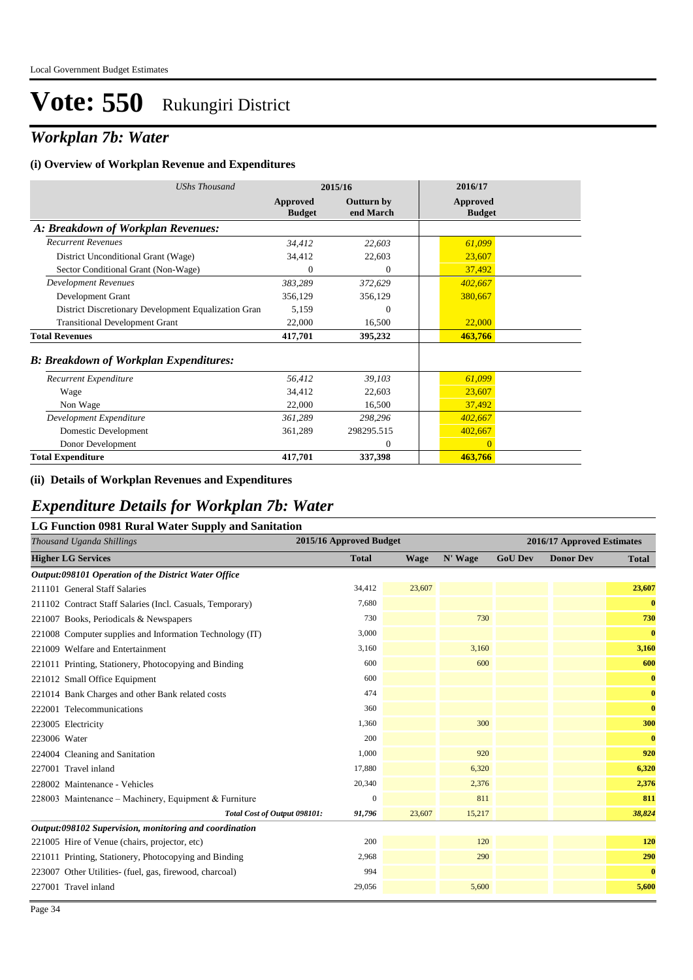### *Workplan 7b: Water*

#### **(i) Overview of Workplan Revenue and Expenditures**

| <b>UShs Thousand</b>                                 |                           | 2015/16                        | 2016/17                   |
|------------------------------------------------------|---------------------------|--------------------------------|---------------------------|
|                                                      | Approved<br><b>Budget</b> | <b>Outturn by</b><br>end March | Approved<br><b>Budget</b> |
| A: Breakdown of Workplan Revenues:                   |                           |                                |                           |
| <b>Recurrent Revenues</b>                            | 34,412                    | 22,603                         | 61,099                    |
| District Unconditional Grant (Wage)                  | 34,412                    | 22,603                         | 23,607                    |
| Sector Conditional Grant (Non-Wage)                  | 0                         | $\theta$                       | 37,492                    |
| <b>Development Revenues</b>                          | 383,289                   | 372,629                        | 402,667                   |
| Development Grant                                    | 356,129                   | 356,129                        | 380,667                   |
| District Discretionary Development Equalization Gran | 5,159                     | $\theta$                       |                           |
| <b>Transitional Development Grant</b>                | 22,000                    | 16,500                         | 22,000                    |
| <b>Total Revenues</b>                                | 417,701                   | 395,232                        | 463,766                   |
| <b>B: Breakdown of Workplan Expenditures:</b>        |                           |                                |                           |
| Recurrent Expenditure                                | 56,412                    | 39,103                         | 61,099                    |
| Wage                                                 | 34,412                    | 22,603                         | 23,607                    |
| Non Wage                                             | 22,000                    | 16,500                         | 37,492                    |
| Development Expenditure                              | 361,289                   | 298,296                        | 402,667                   |
| Domestic Development                                 | 361,289                   | 298295.515                     | 402,667                   |
| Donor Development                                    |                           | $\theta$                       | $\overline{0}$            |
| <b>Total Expenditure</b>                             | 417,701                   | 337,398                        | 463,766                   |

#### **(ii) Details of Workplan Revenues and Expenditures**

#### *Expenditure Details for Workplan 7b: Water*

#### **LG Function 0981 Rural Water Supply and Sanitation**

| Thousand Uganda Shillings                                 | 2015/16 Approved Budget |             |         |                | 2016/17 Approved Estimates |              |  |  |
|-----------------------------------------------------------|-------------------------|-------------|---------|----------------|----------------------------|--------------|--|--|
| <b>Higher LG Services</b>                                 | <b>Total</b>            | <b>Wage</b> | N' Wage | <b>GoU Dev</b> | <b>Donor Dev</b>           | <b>Total</b> |  |  |
| Output:098101 Operation of the District Water Office      |                         |             |         |                |                            |              |  |  |
| 211101 General Staff Salaries                             | 34,412                  | 23,607      |         |                |                            | 23,607       |  |  |
| 211102 Contract Staff Salaries (Incl. Casuals, Temporary) | 7,680                   |             |         |                |                            | $\bf{0}$     |  |  |
| 221007 Books, Periodicals & Newspapers                    | 730                     |             | 730     |                |                            | 730          |  |  |
| 221008 Computer supplies and Information Technology (IT)  | 3,000                   |             |         |                |                            | $\bf{0}$     |  |  |
| 221009 Welfare and Entertainment                          | 3,160                   |             | 3,160   |                |                            | 3,160        |  |  |
| 221011 Printing, Stationery, Photocopying and Binding     | 600                     |             | 600     |                |                            | 600          |  |  |
| 221012 Small Office Equipment                             | 600                     |             |         |                |                            | $\bf{0}$     |  |  |
| 221014 Bank Charges and other Bank related costs          | 474                     |             |         |                |                            | $\bf{0}$     |  |  |
| 222001 Telecommunications                                 | 360                     |             |         |                |                            | $\bf{0}$     |  |  |
| 223005 Electricity                                        | 1,360                   |             | 300     |                |                            | 300          |  |  |
| 223006 Water                                              | 200                     |             |         |                |                            | $\bf{0}$     |  |  |
| 224004 Cleaning and Sanitation                            | 1,000                   |             | 920     |                |                            | 920          |  |  |
| 227001 Travel inland                                      | 17,880                  |             | 6,320   |                |                            | 6,320        |  |  |
| 228002 Maintenance - Vehicles                             | 20,340                  |             | 2,376   |                |                            | 2,376        |  |  |
| 228003 Maintenance – Machinery, Equipment & Furniture     | $\mathbf{0}$            |             | 811     |                |                            | 811          |  |  |
| Total Cost of Output 098101:                              | 91,796                  | 23,607      | 15,217  |                |                            | 38,824       |  |  |
| Output:098102 Supervision, monitoring and coordination    |                         |             |         |                |                            |              |  |  |
| 221005 Hire of Venue (chairs, projector, etc)             | 200                     |             | 120     |                |                            | 120          |  |  |
| 221011 Printing, Stationery, Photocopying and Binding     | 2,968                   |             | 290     |                |                            | 290          |  |  |
| 223007 Other Utilities- (fuel, gas, firewood, charcoal)   | 994                     |             |         |                |                            | $\bf{0}$     |  |  |
| 227001 Travel inland                                      | 29,056                  |             | 5,600   |                |                            | 5,600        |  |  |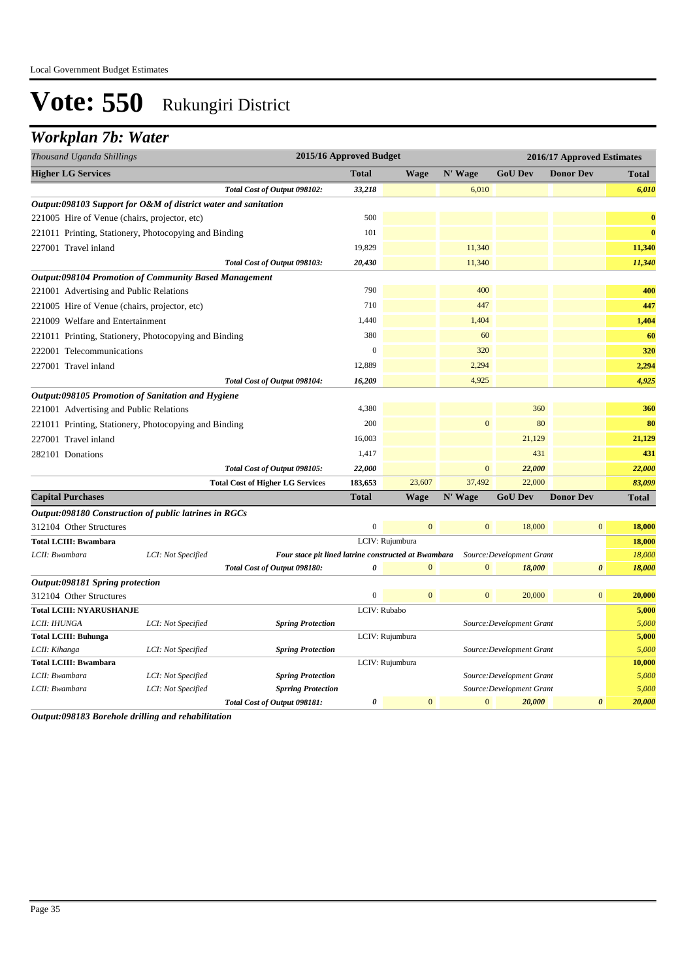### *Workplan 7b: Water*

| Thousand Uganda Shillings                     |                                                                | 2015/16 Approved Budget                              |                  |                 |                |                           | 2016/17 Approved Estimates |                |
|-----------------------------------------------|----------------------------------------------------------------|------------------------------------------------------|------------------|-----------------|----------------|---------------------------|----------------------------|----------------|
| <b>Higher LG Services</b>                     |                                                                |                                                      | <b>Total</b>     | <b>Wage</b>     | N' Wage        | <b>GoU Dev</b>            | <b>Donor Dev</b>           | <b>Total</b>   |
|                                               |                                                                | Total Cost of Output 098102:                         | 33,218           |                 | 6,010          |                           |                            | 6,010          |
|                                               | Output:098103 Support for O&M of district water and sanitation |                                                      |                  |                 |                |                           |                            |                |
| 221005 Hire of Venue (chairs, projector, etc) |                                                                |                                                      | 500              |                 |                |                           |                            | $\bf{0}$       |
|                                               | 221011 Printing, Stationery, Photocopying and Binding          |                                                      | 101              |                 |                |                           |                            | $\bf{0}$       |
| 227001 Travel inland                          |                                                                |                                                      | 19,829           |                 | 11,340         |                           |                            | 11,340         |
|                                               |                                                                | Total Cost of Output 098103:                         | 20,430           |                 | 11,340         |                           |                            | 11,340         |
|                                               | <b>Output:098104 Promotion of Community Based Management</b>   |                                                      |                  |                 |                |                           |                            |                |
| 221001 Advertising and Public Relations       |                                                                |                                                      | 790              |                 | 400            |                           |                            | 400            |
| 221005 Hire of Venue (chairs, projector, etc) |                                                                |                                                      | 710              |                 | 447            |                           |                            | 447            |
| 221009 Welfare and Entertainment              |                                                                |                                                      | 1,440            |                 | 1,404          |                           |                            | 1,404          |
|                                               | 221011 Printing, Stationery, Photocopying and Binding          |                                                      | 380              |                 | 60             |                           |                            | 60             |
| 222001 Telecommunications                     |                                                                |                                                      | $\boldsymbol{0}$ |                 | 320            |                           |                            | 320            |
| 227001 Travel inland                          |                                                                |                                                      | 12,889           |                 | 2,294          |                           |                            | 2,294          |
|                                               |                                                                | Total Cost of Output 098104:                         | 16,209           |                 | 4,925          |                           |                            | 4,925          |
|                                               | Output:098105 Promotion of Sanitation and Hygiene              |                                                      |                  |                 |                |                           |                            |                |
| 221001 Advertising and Public Relations       |                                                                |                                                      | 4,380            |                 |                | 360                       |                            | 360            |
|                                               | 221011 Printing, Stationery, Photocopying and Binding          |                                                      | 200              |                 | $\mathbf{0}$   | 80                        |                            | 80             |
| 227001 Travel inland                          |                                                                |                                                      | 16,003           |                 |                | 21,129                    |                            | 21,129         |
| 282101 Donations                              |                                                                |                                                      | 1,417            |                 |                | 431                       |                            | 431            |
|                                               |                                                                | Total Cost of Output 098105:                         | 22,000           |                 | $\mathbf{0}$   | 22,000                    |                            | 22,000         |
|                                               |                                                                | <b>Total Cost of Higher LG Services</b>              | 183,653          | 23,607          | 37,492         | 22,000                    |                            | 83,099         |
| <b>Capital Purchases</b>                      |                                                                |                                                      | <b>Total</b>     | <b>Wage</b>     | N' Wage        | <b>GoU Dev</b>            | <b>Donor Dev</b>           | <b>Total</b>   |
|                                               | Output:098180 Construction of public latrines in RGCs          |                                                      |                  |                 |                |                           |                            |                |
| 312104 Other Structures                       |                                                                |                                                      | $\mathbf{0}$     | $\overline{0}$  | $\overline{0}$ | 18,000                    | $\mathbf{0}$               | 18,000         |
| <b>Total LCIII: Bwambara</b>                  |                                                                |                                                      |                  | LCIV: Rujumbura |                |                           |                            | 18,000         |
| LCII: Bwambara                                | LCI: Not Specified                                             | Four stace pit lined latrine constructed at Bwambara |                  |                 |                | Source: Development Grant |                            | 18,000         |
|                                               |                                                                | Total Cost of Output 098180:                         | 0                | $\overline{0}$  | $\mathbf{0}$   | 18,000                    | $\boldsymbol{\theta}$      | 18,000         |
| Output:098181 Spring protection               |                                                                |                                                      |                  |                 |                |                           |                            |                |
| 312104 Other Structures                       |                                                                |                                                      | $\mathbf 0$      | $\mathbf{0}$    | $\mathbf{0}$   | 20,000                    | $\mathbf{0}$               | 20,000         |
| <b>Total LCIII: NYARUSHANJE</b>               |                                                                |                                                      | LCIV: Rubabo     |                 |                |                           |                            | 5,000          |
| LCII: IHUNGA                                  | LCI: Not Specified                                             | <b>Spring Protection</b>                             |                  |                 |                | Source: Development Grant |                            | 5,000          |
| <b>Total LCIII: Buhunga</b><br>LCII: Kihanga  | LCI: Not Specified                                             | <b>Spring Protection</b>                             |                  | LCIV: Rujumbura |                | Source: Development Grant |                            | 5,000<br>5,000 |
| <b>Total LCIII: Bwambara</b>                  |                                                                |                                                      |                  | LCIV: Rujumbura |                |                           |                            | 10,000         |
| LCII: Bwambara                                | LCI: Not Specified                                             | <b>Spring Protection</b>                             |                  |                 |                | Source: Development Grant |                            | 5,000          |
| LCII: Bwambara                                | LCI: Not Specified                                             | <b>Sprring Protection</b>                            |                  |                 |                | Source: Development Grant |                            | 5,000          |
|                                               |                                                                | Total Cost of Output 098181:                         | 0                | $\mathbf{0}$    | $\mathbf{0}$   | 20,000                    | $\boldsymbol{\theta}$      | 20,000         |

*Output:098183 Borehole drilling and rehabilitation*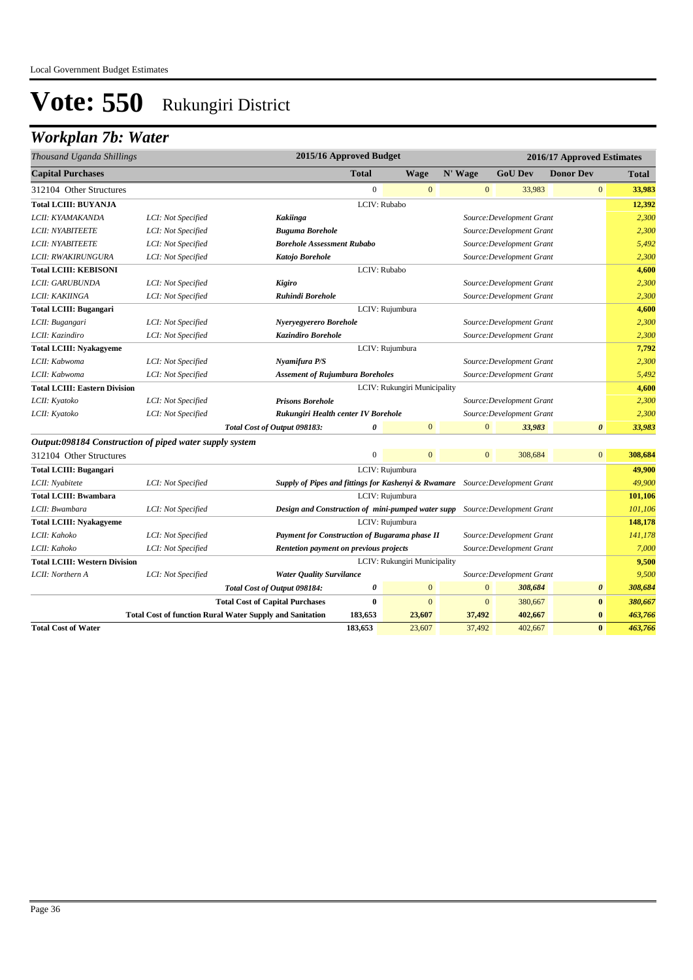## *Workplan 7b: Water*

| Thousand Uganda Shillings                               |                                                                 |                                        | 2015/16 Approved Budget                                                       |                  |                              |         |              |                           | 2016/17 Approved Estimates |         |
|---------------------------------------------------------|-----------------------------------------------------------------|----------------------------------------|-------------------------------------------------------------------------------|------------------|------------------------------|---------|--------------|---------------------------|----------------------------|---------|
| <b>Capital Purchases</b>                                |                                                                 |                                        |                                                                               | <b>Total</b>     | Wage                         | N' Wage |              | <b>GoU Dev</b>            | <b>Donor Dev</b>           | Total   |
| 312104 Other Structures                                 |                                                                 |                                        |                                                                               | $\boldsymbol{0}$ | $\mathbf{0}$                 |         | $\mathbf{0}$ | 33,983                    | $\mathbf{0}$               | 33,983  |
| <b>Total LCIII: BUYANJA</b>                             |                                                                 |                                        |                                                                               | LCIV: Rubabo     |                              |         |              |                           |                            | 12,392  |
| LCII: KYAMAKANDA                                        | LCI: Not Specified                                              |                                        | <b>Kakiinga</b>                                                               |                  |                              |         |              | Source: Development Grant |                            | 2,300   |
| LCII: NYABITEETE                                        | LCI: Not Specified                                              |                                        | <b>Buguma Borehole</b>                                                        |                  |                              |         |              | Source: Development Grant |                            | 2,300   |
| <b>LCII: NYABITEETE</b>                                 | LCI: Not Specified                                              |                                        | <b>Borehole Assessment Rubabo</b>                                             |                  |                              |         |              | Source: Development Grant |                            | 5,492   |
| LCII: RWAKIRUNGURA                                      | LCI: Not Specified                                              |                                        | Katojo Borehole                                                               |                  |                              |         |              | Source: Development Grant |                            | 2,300   |
| <b>Total LCIII: KEBISONI</b>                            |                                                                 |                                        |                                                                               | LCIV: Rubabo     |                              |         |              |                           |                            | 4,600   |
| LCII: GARUBUNDA                                         | LCI: Not Specified                                              |                                        | Kigiro                                                                        |                  |                              |         |              | Source: Development Grant |                            | 2,300   |
| LCII: KAKIINGA                                          | LCI: Not Specified                                              |                                        | Ruhindi Borehole                                                              |                  |                              |         |              | Source: Development Grant |                            | 2,300   |
| <b>Total LCIII: Bugangari</b>                           |                                                                 |                                        |                                                                               |                  | LCIV: Rujumbura              |         |              |                           |                            | 4,600   |
| LCII: Bugangari                                         | LCI: Not Specified                                              |                                        | Nyeryegyerero Borehole                                                        |                  |                              |         |              | Source: Development Grant |                            | 2,300   |
| LCII: Kazindiro                                         | LCI: Not Specified                                              |                                        | <b>Kazindiro Borehole</b>                                                     |                  |                              |         |              | Source: Development Grant |                            | 2,300   |
| <b>Total LCIII: Nyakagyeme</b>                          |                                                                 |                                        |                                                                               |                  | LCIV: Rujumbura              |         |              |                           |                            | 7,792   |
| LCII: Kabwoma                                           | LCI: Not Specified                                              |                                        | Nyamifura P/S                                                                 |                  |                              |         |              | Source: Development Grant |                            | 2,300   |
| LCII: Kabwoma                                           | LCI: Not Specified                                              |                                        | <b>Assement of Rujumbura Boreholes</b>                                        |                  |                              |         |              | Source: Development Grant |                            | 5,492   |
| <b>Total LCIII: Eastern Division</b>                    |                                                                 |                                        |                                                                               |                  | LCIV: Rukungiri Municipality |         |              |                           |                            | 4,600   |
| LCII: Kyatoko                                           | LCI: Not Specified                                              |                                        | <b>Prisons Borehole</b>                                                       |                  |                              |         |              | Source: Development Grant |                            | 2,300   |
| LCII: Kyatoko                                           | LCI: Not Specified                                              |                                        | Rukungiri Health center IV Borehole                                           |                  |                              |         |              | Source: Development Grant |                            | 2,300   |
|                                                         |                                                                 | Total Cost of Output 098183:           |                                                                               | $\theta$         | $\overline{0}$               |         | $\Omega$     | 33,983                    | $\boldsymbol{\theta}$      | 33,983  |
| Output:098184 Construction of piped water supply system |                                                                 |                                        |                                                                               |                  |                              |         |              |                           |                            |         |
| 312104 Other Structures                                 |                                                                 |                                        |                                                                               | $\boldsymbol{0}$ | $\mathbf{0}$                 |         | $\mathbf{0}$ | 308,684                   | $\mathbf{0}$               | 308,684 |
| <b>Total LCIII: Bugangari</b>                           |                                                                 |                                        |                                                                               |                  | LCIV: Rujumbura              |         |              |                           |                            | 49,900  |
| LCII: Nyabitete                                         | LCI: Not Specified                                              |                                        | Supply of Pipes and fittings for Kashenyi & Rwamare Source: Development Grant |                  |                              |         |              |                           |                            | 49,900  |
| <b>Total LCIII: Bwambara</b>                            |                                                                 |                                        |                                                                               |                  | LCIV: Rujumbura              |         |              |                           |                            | 101,106 |
| LCII: Bwambara                                          | LCI: Not Specified                                              |                                        | Design and Construction of mini-pumped water supp Source: Development Grant   |                  |                              |         |              |                           |                            | 101,106 |
| <b>Total LCIII: Nyakagyeme</b>                          |                                                                 |                                        |                                                                               |                  | LCIV: Rujumbura              |         |              |                           |                            | 148,178 |
| LCII: Kahoko                                            | LCI: Not Specified                                              |                                        | Payment for Construction of Bugarama phase II                                 |                  |                              |         |              | Source: Development Grant |                            | 141,178 |
| LCII: Kahoko                                            | LCI: Not Specified                                              |                                        | Rentetion payment on previous projects                                        |                  |                              |         |              | Source: Development Grant |                            | 7,000   |
| <b>Total LCIII: Western Division</b>                    |                                                                 |                                        |                                                                               |                  | LCIV: Rukungiri Municipality |         |              |                           |                            | 9,500   |
| LCII: Northern A                                        | LCI: Not Specified                                              |                                        | <b>Water Quality Survilance</b>                                               |                  |                              |         |              | Source: Development Grant |                            | 9,500   |
|                                                         |                                                                 | Total Cost of Output 098184:           |                                                                               | $\pmb{\theta}$   | $\mathbf{0}$                 |         | $\mathbf{0}$ | 308,684                   | $\boldsymbol{\theta}$      | 308,684 |
|                                                         |                                                                 | <b>Total Cost of Capital Purchases</b> |                                                                               | $\bf{0}$         | $\mathbf{0}$                 |         | $\mathbf{0}$ | 380,667                   | $\bf{0}$                   | 380,667 |
|                                                         | <b>Total Cost of function Rural Water Supply and Sanitation</b> |                                        |                                                                               | 183,653          | 23,607                       |         | 37,492       | 402,667                   | $\bf{0}$                   | 463,766 |
| <b>Total Cost of Water</b>                              |                                                                 |                                        |                                                                               | 183,653          | 23,607                       |         | 37,492       | 402,667                   | $\bf{0}$                   | 463,766 |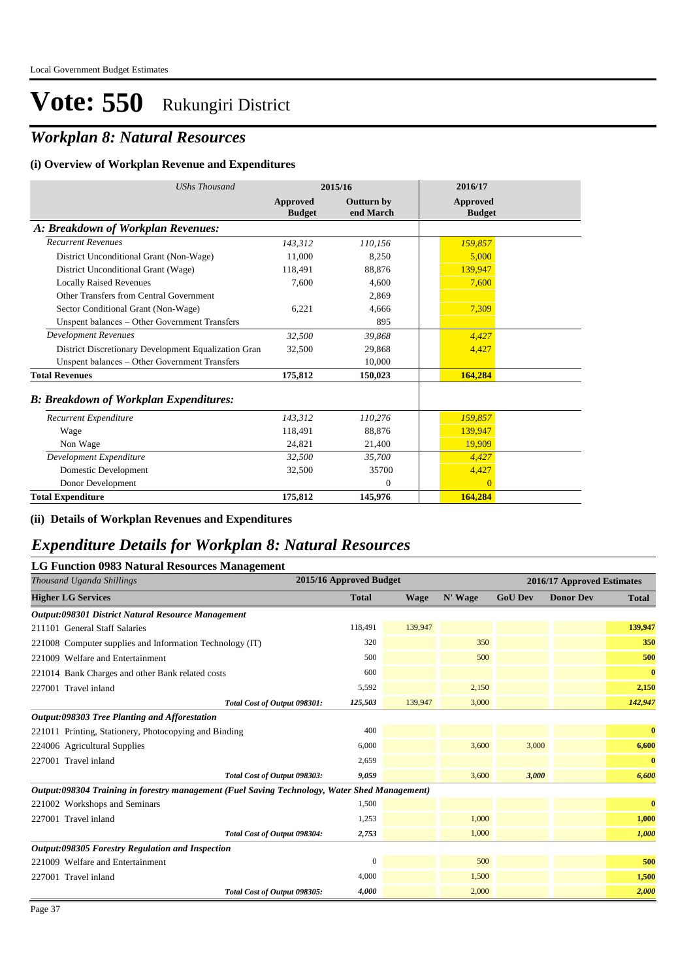## *Workplan 8: Natural Resources*

#### **(i) Overview of Workplan Revenue and Expenditures**

| <b>UShs Thousand</b>                                 | 2015/16                   |                                | 2016/17                   |
|------------------------------------------------------|---------------------------|--------------------------------|---------------------------|
|                                                      | Approved<br><b>Budget</b> | <b>Outturn by</b><br>end March | Approved<br><b>Budget</b> |
| A: Breakdown of Workplan Revenues:                   |                           |                                |                           |
| <b>Recurrent Revenues</b>                            | 143,312                   | 110,156                        | 159,857                   |
| District Unconditional Grant (Non-Wage)              | 11,000                    | 8,250                          | 5,000                     |
| District Unconditional Grant (Wage)                  | 118.491                   | 88.876                         | 139,947                   |
| <b>Locally Raised Revenues</b>                       | 7,600                     | 4,600                          | 7,600                     |
| Other Transfers from Central Government              |                           | 2.869                          |                           |
| Sector Conditional Grant (Non-Wage)                  | 6,221                     | 4,666                          | 7,309                     |
| Unspent balances - Other Government Transfers        |                           | 895                            |                           |
| <b>Development Revenues</b>                          | 32,500                    | 39,868                         | 4,427                     |
| District Discretionary Development Equalization Gran | 32,500                    | 29,868                         | 4,427                     |
| Unspent balances - Other Government Transfers        |                           | 10,000                         |                           |
| <b>Total Revenues</b>                                | 175,812                   | 150,023                        | 164,284                   |
| <b>B: Breakdown of Workplan Expenditures:</b>        |                           |                                |                           |
| Recurrent Expenditure                                | 143,312                   | 110,276                        | 159,857                   |
| Wage                                                 | 118,491                   | 88,876                         | 139.947                   |
| Non Wage                                             | 24,821                    | 21,400                         | 19.909                    |
| Development Expenditure                              | 32.500                    | 35,700                         | 4,427                     |
| Domestic Development                                 | 32,500                    | 35700                          | 4,427                     |
| Donor Development                                    |                           | $\overline{0}$                 | $\Omega$                  |
| <b>Total Expenditure</b>                             | 175.812                   | 145,976                        | 164,284                   |

**(ii) Details of Workplan Revenues and Expenditures**

#### *Expenditure Details for Workplan 8: Natural Resources*

| <b>LG Function 0983 Natural Resources Management</b>                                          |                         |         |         |                |                            |              |
|-----------------------------------------------------------------------------------------------|-------------------------|---------|---------|----------------|----------------------------|--------------|
| Thousand Uganda Shillings                                                                     | 2015/16 Approved Budget |         |         |                | 2016/17 Approved Estimates |              |
| <b>Higher LG Services</b>                                                                     | <b>Total</b>            | Wage    | N' Wage | <b>GoU Dev</b> | <b>Donor Dev</b>           | <b>Total</b> |
| Output:098301 District Natural Resource Management                                            |                         |         |         |                |                            |              |
| 211101 General Staff Salaries                                                                 | 118,491                 | 139,947 |         |                |                            | 139,947      |
| 221008 Computer supplies and Information Technology (IT)                                      | 320                     |         | 350     |                |                            | 350          |
| 221009 Welfare and Entertainment                                                              | 500                     |         | 500     |                |                            | 500          |
| 221014 Bank Charges and other Bank related costs                                              | 600                     |         |         |                |                            | $\bf{0}$     |
| 227001 Travel inland                                                                          | 5,592                   |         | 2,150   |                |                            | 2,150        |
| Total Cost of Output 098301:                                                                  | 125,503                 | 139,947 | 3,000   |                |                            | 142,947      |
| Output:098303 Tree Planting and Afforestation                                                 |                         |         |         |                |                            |              |
| 221011 Printing, Stationery, Photocopying and Binding                                         | 400                     |         |         |                |                            | $\mathbf{0}$ |
| 224006 Agricultural Supplies                                                                  | 6,000                   |         | 3,600   | 3,000          |                            | 6,600        |
| 227001 Travel inland                                                                          | 2,659                   |         |         |                |                            | $\bf{0}$     |
| Total Cost of Output 098303:                                                                  | 9,059                   |         | 3,600   | 3,000          |                            | 6,600        |
| Output:098304 Training in forestry management (Fuel Saving Technology, Water Shed Management) |                         |         |         |                |                            |              |
| 221002 Workshops and Seminars                                                                 | 1,500                   |         |         |                |                            | $\bf{0}$     |
| 227001 Travel inland                                                                          | 1,253                   |         | 1,000   |                |                            | 1,000        |
| Total Cost of Output 098304:                                                                  | 2,753                   |         | 1,000   |                |                            | 1,000        |
| Output:098305 Forestry Regulation and Inspection                                              |                         |         |         |                |                            |              |
| 221009 Welfare and Entertainment                                                              | $\Omega$                |         | 500     |                |                            | 500          |
| 227001 Travel inland                                                                          | 4,000                   |         | 1,500   |                |                            | 1,500        |
| Total Cost of Output 098305:                                                                  | 4,000                   |         | 2,000   |                |                            | 2,000        |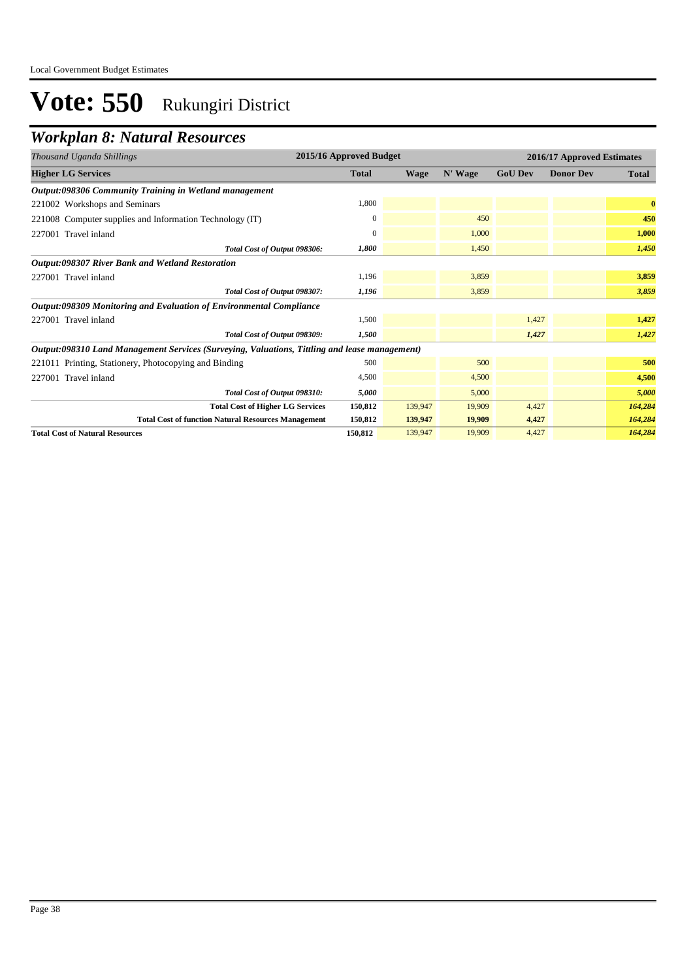### *Workplan 8: Natural Resources*

| Thousand Uganda Shillings                                                                     | 2015/16 Approved Budget |             |         |                | 2016/17 Approved Estimates |              |
|-----------------------------------------------------------------------------------------------|-------------------------|-------------|---------|----------------|----------------------------|--------------|
| <b>Higher LG Services</b>                                                                     | <b>Total</b>            | <b>Wage</b> | N' Wage | <b>GoU Dev</b> | <b>Donor Dev</b>           | <b>Total</b> |
| Output:098306 Community Training in Wetland management                                        |                         |             |         |                |                            |              |
| 221002 Workshops and Seminars                                                                 | 1,800                   |             |         |                |                            | $\mathbf{0}$ |
| 221008 Computer supplies and Information Technology (IT)                                      | $\mathbf{0}$            |             | 450     |                |                            | 450          |
| 227001 Travel inland                                                                          | $\mathbf{0}$            |             | 1,000   |                |                            | 1,000        |
| Total Cost of Output 098306:                                                                  | 1,800                   |             | 1,450   |                |                            | 1,450        |
| <b>Output:098307 River Bank and Wetland Restoration</b>                                       |                         |             |         |                |                            |              |
| 227001 Travel inland                                                                          | 1,196                   |             | 3,859   |                |                            | 3,859        |
| Total Cost of Output 098307:                                                                  | 1,196                   |             | 3,859   |                |                            | 3,859        |
| Output:098309 Monitoring and Evaluation of Environmental Compliance                           |                         |             |         |                |                            |              |
| 227001 Travel inland                                                                          | 1,500                   |             |         | 1,427          |                            | 1,427        |
| Total Cost of Output 098309:                                                                  | 1,500                   |             |         | 1,427          |                            | 1,427        |
| Output:098310 Land Management Services (Surveying, Valuations, Tittling and lease management) |                         |             |         |                |                            |              |
| 221011 Printing, Stationery, Photocopying and Binding                                         | 500                     |             | 500     |                |                            | 500          |
| 227001 Travel inland                                                                          | 4,500                   |             | 4,500   |                |                            | 4,500        |
| Total Cost of Output 098310:                                                                  | 5,000                   |             | 5,000   |                |                            | 5,000        |
| <b>Total Cost of Higher LG Services</b>                                                       | 150,812                 | 139,947     | 19,909  | 4,427          |                            | 164,284      |
| <b>Total Cost of function Natural Resources Management</b>                                    | 150,812                 | 139,947     | 19,909  | 4,427          |                            | 164,284      |
| <b>Total Cost of Natural Resources</b>                                                        | 150,812                 | 139,947     | 19,909  | 4,427          |                            | 164,284      |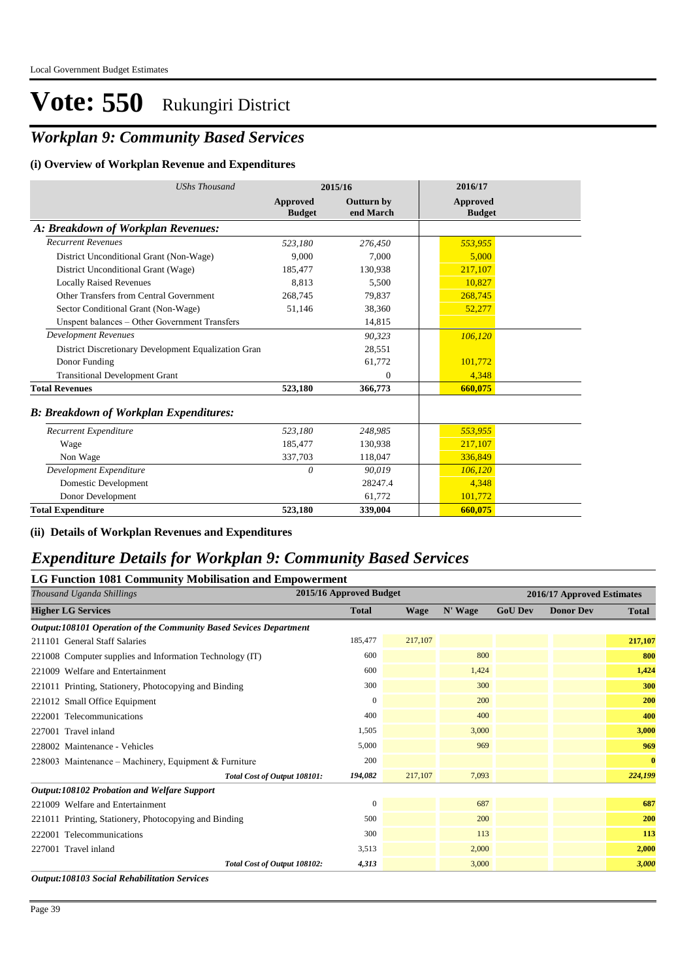### *Workplan 9: Community Based Services*

#### **(i) Overview of Workplan Revenue and Expenditures**

| <b>UShs Thousand</b>                                 |                           | 2015/16                        | 2016/17                   |  |
|------------------------------------------------------|---------------------------|--------------------------------|---------------------------|--|
|                                                      | Approved<br><b>Budget</b> | <b>Outturn by</b><br>end March | Approved<br><b>Budget</b> |  |
| A: Breakdown of Workplan Revenues:                   |                           |                                |                           |  |
| <b>Recurrent Revenues</b>                            | 523,180                   | 276,450                        | 553,955                   |  |
| District Unconditional Grant (Non-Wage)              | 9.000                     | 7.000                          | 5.000                     |  |
| District Unconditional Grant (Wage)                  | 185,477                   | 130.938                        | 217,107                   |  |
| <b>Locally Raised Revenues</b>                       | 8.813                     | 5,500                          | 10.827                    |  |
| Other Transfers from Central Government              | 268,745                   | 79,837                         | 268,745                   |  |
| Sector Conditional Grant (Non-Wage)                  | 51,146                    | 38,360                         | 52,277                    |  |
| Unspent balances - Other Government Transfers        |                           | 14,815                         |                           |  |
| <b>Development Revenues</b>                          |                           | 90,323                         | 106,120                   |  |
| District Discretionary Development Equalization Gran |                           | 28,551                         |                           |  |
| Donor Funding                                        |                           | 61,772                         | 101,772                   |  |
| <b>Transitional Development Grant</b>                |                           | $\Omega$                       | 4,348                     |  |
| <b>Total Revenues</b>                                | 523,180                   | 366,773                        | 660,075                   |  |
| <b>B: Breakdown of Workplan Expenditures:</b>        |                           |                                |                           |  |
| Recurrent Expenditure                                | 523,180                   | 248,985                        | 553,955                   |  |
| Wage                                                 | 185,477                   | 130,938                        | 217,107                   |  |
| Non Wage                                             | 337,703                   | 118,047                        | 336,849                   |  |
| Development Expenditure                              | 0                         | 90,019                         | 106,120                   |  |
| Domestic Development                                 |                           | 28247.4                        | 4,348                     |  |
| Donor Development                                    |                           | 61,772                         | 101,772                   |  |
| <b>Total Expenditure</b>                             | 523,180                   | 339,004                        | 660,075                   |  |

#### **(ii) Details of Workplan Revenues and Expenditures**

#### *Expenditure Details for Workplan 9: Community Based Services*

#### **LG Function 1081 Community Mobilisation and Empowerment**

| Thousand Uganda Shillings                                         | 2015/16 Approved Budget |             |         |                | 2016/17 Approved Estimates |              |
|-------------------------------------------------------------------|-------------------------|-------------|---------|----------------|----------------------------|--------------|
| <b>Higher LG Services</b>                                         | <b>Total</b>            | <b>Wage</b> | N' Wage | <b>GoU Dev</b> | <b>Donor Dev</b>           | <b>Total</b> |
| Output:108101 Operation of the Community Based Sevices Department |                         |             |         |                |                            |              |
| 211101 General Staff Salaries                                     | 185,477                 | 217,107     |         |                |                            | 217,107      |
| 221008 Computer supplies and Information Technology (IT)          | 600                     |             | 800     |                |                            | 800          |
| 221009 Welfare and Entertainment                                  | 600                     |             | 1,424   |                |                            | 1,424        |
| 221011 Printing, Stationery, Photocopying and Binding             | 300                     |             | 300     |                |                            | 300          |
| 221012 Small Office Equipment                                     | $\theta$                |             | 200     |                |                            | 200          |
| 222001 Telecommunications                                         | 400                     |             | 400     |                |                            | 400          |
| 227001 Travel inland                                              | 1,505                   |             | 3,000   |                |                            | 3,000        |
| 228002 Maintenance - Vehicles                                     | 5,000                   |             | 969     |                |                            | 969          |
| 228003 Maintenance – Machinery, Equipment & Furniture             | 200                     |             |         |                |                            | $\bf{0}$     |
| Total Cost of Output 108101:                                      | 194,082                 | 217,107     | 7,093   |                |                            | 224,199      |
| <b>Output:108102 Probation and Welfare Support</b>                |                         |             |         |                |                            |              |
| 221009 Welfare and Entertainment                                  | $\Omega$                |             | 687     |                |                            | 687          |
| 221011 Printing, Stationery, Photocopying and Binding             | 500                     |             | 200     |                |                            | 200          |
| 222001 Telecommunications                                         | 300                     |             | 113     |                |                            | 113          |
| 227001 Travel inland                                              | 3,513                   |             | 2,000   |                |                            | 2,000        |
| Total Cost of Output 108102:                                      | 4,313                   |             | 3,000   |                |                            | 3,000        |
| <b>Output:108103 Social Rehabilitation Services</b>               |                         |             |         |                |                            |              |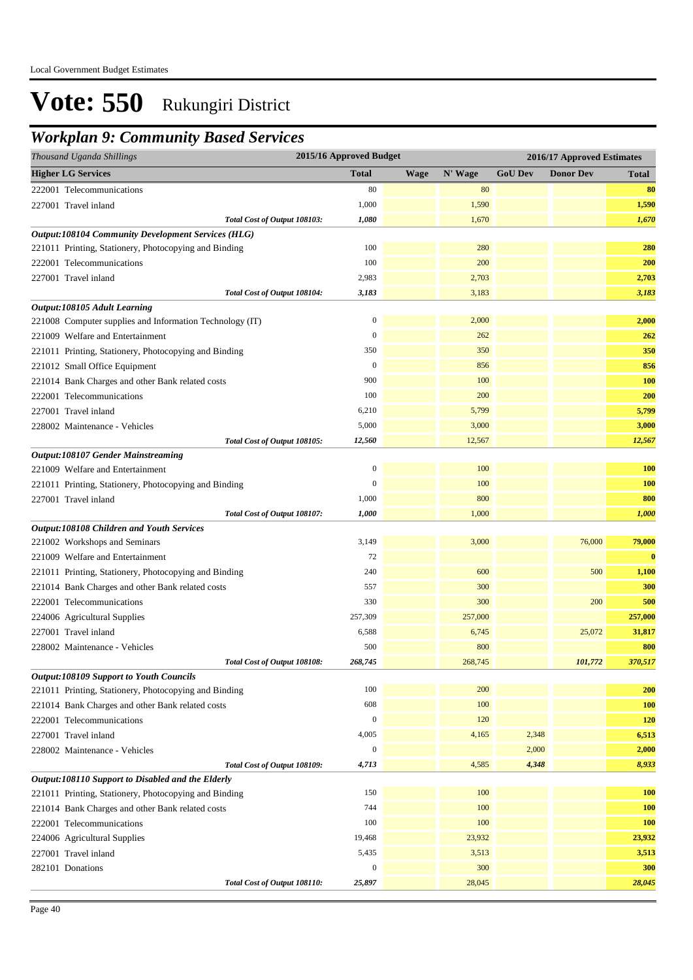### *Workplan 9: Community Based Services*

| Thousand Uganda Shillings                                 | 2015/16 Approved Budget |      |         |                | 2016/17 Approved Estimates |              |
|-----------------------------------------------------------|-------------------------|------|---------|----------------|----------------------------|--------------|
| <b>Higher LG Services</b>                                 | <b>Total</b>            | Wage | N' Wage | <b>GoU Dev</b> | <b>Donor Dev</b>           | <b>Total</b> |
| 222001 Telecommunications                                 | 80                      |      | 80      |                |                            | 80           |
| 227001 Travel inland                                      | 1,000                   |      | 1,590   |                |                            | 1,590        |
| Total Cost of Output 108103:                              | 1,080                   |      | 1,670   |                |                            | 1,670        |
| <b>Output:108104 Community Development Services (HLG)</b> |                         |      |         |                |                            |              |
| 221011 Printing, Stationery, Photocopying and Binding     | 100                     |      | 280     |                |                            | 280          |
| 222001 Telecommunications                                 | 100                     |      | 200     |                |                            | 200          |
| 227001 Travel inland                                      | 2,983                   |      | 2,703   |                |                            | 2,703        |
| Total Cost of Output 108104:                              | 3,183                   |      | 3,183   |                |                            | 3,183        |
| Output:108105 Adult Learning                              |                         |      |         |                |                            |              |
| 221008 Computer supplies and Information Technology (IT)  | $\boldsymbol{0}$        |      | 2,000   |                |                            | 2,000        |
| 221009 Welfare and Entertainment                          | $\boldsymbol{0}$        |      | 262     |                |                            | 262          |
| 221011 Printing, Stationery, Photocopying and Binding     | 350                     |      | 350     |                |                            | 350          |
| 221012 Small Office Equipment                             | $\mathbf{0}$            |      | 856     |                |                            | 856          |
| 221014 Bank Charges and other Bank related costs          | 900                     |      | 100     |                |                            | 100          |
| 222001 Telecommunications                                 | 100                     |      | 200     |                |                            | 200          |
| 227001 Travel inland                                      | 6,210                   |      | 5,799   |                |                            | 5,799        |
| 228002 Maintenance - Vehicles                             | 5,000                   |      | 3,000   |                |                            | 3,000        |
| Total Cost of Output 108105:                              | 12,560                  |      | 12,567  |                |                            | 12,567       |
| <b>Output:108107 Gender Mainstreaming</b>                 |                         |      |         |                |                            |              |
| 221009 Welfare and Entertainment                          | $\boldsymbol{0}$        |      | 100     |                |                            | 100          |
| 221011 Printing, Stationery, Photocopying and Binding     | $\mathbf{0}$            |      | 100     |                |                            | 100          |
| 227001 Travel inland                                      | 1,000                   |      | 800     |                |                            | 800          |
| Total Cost of Output 108107:                              | 1,000                   |      | 1,000   |                |                            | 1,000        |
| Output:108108 Children and Youth Services                 |                         |      |         |                |                            |              |
| 221002 Workshops and Seminars                             | 3,149                   |      | 3,000   |                | 76,000                     | 79,000       |
| 221009 Welfare and Entertainment                          | 72                      |      |         |                |                            | $\bf{0}$     |
| 221011 Printing, Stationery, Photocopying and Binding     | 240                     |      | 600     |                | 500                        | 1,100        |
| 221014 Bank Charges and other Bank related costs          | 557                     |      | 300     |                |                            | 300          |
| 222001 Telecommunications                                 | 330                     |      | 300     |                | 200                        | 500          |
| 224006 Agricultural Supplies                              | 257,309                 |      | 257,000 |                |                            | 257,000      |
| 227001 Travel inland                                      | 6,588                   |      | 6,745   |                | 25,072                     | 31,817       |
| 228002 Maintenance - Vehicles                             | 500                     |      | 800     |                |                            | 800          |
| Total Cost of Output 108108:                              | 268,745                 |      | 268,745 |                | 101.772                    | 370,517      |
| <b>Output:108109 Support to Youth Councils</b>            |                         |      |         |                |                            |              |
| 221011 Printing, Stationery, Photocopying and Binding     | 100                     |      | 200     |                |                            | 200          |
| 221014 Bank Charges and other Bank related costs          | 608                     |      | 100     |                |                            | 100          |
| 222001 Telecommunications                                 | $\mathbf{0}$            |      | 120     |                |                            | 120          |
| 227001 Travel inland                                      | 4,005                   |      | 4,165   | 2,348          |                            | 6,513        |
| 228002 Maintenance - Vehicles                             | $\mathbf{0}$            |      |         | 2,000          |                            | 2,000        |
| Total Cost of Output 108109:                              | 4,713                   |      | 4,585   | 4,348          |                            | 8,933        |
| Output:108110 Support to Disabled and the Elderly         |                         |      |         |                |                            |              |
| 221011 Printing, Stationery, Photocopying and Binding     | 150                     |      | 100     |                |                            | 100          |
| 221014 Bank Charges and other Bank related costs          | 744                     |      | 100     |                |                            | 100          |
| 222001 Telecommunications                                 | 100                     |      | 100     |                |                            | 100          |
| 224006 Agricultural Supplies                              | 19,468                  |      | 23,932  |                |                            | 23,932       |
| 227001 Travel inland                                      | 5,435                   |      | 3,513   |                |                            | 3,513        |
| 282101 Donations                                          | $\boldsymbol{0}$        |      | 300     |                |                            | 300          |
| Total Cost of Output 108110:                              | 25,897                  |      | 28,045  |                |                            | 28,045       |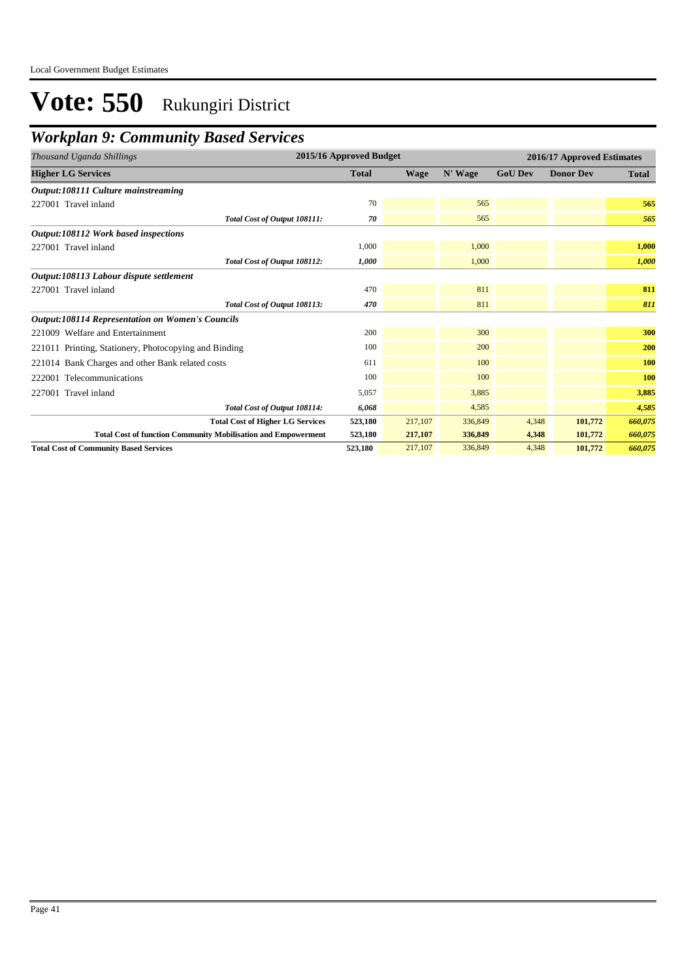### *Workplan 9: Community Based Services*

| Thousand Uganda Shillings                                            | 2015/16 Approved Budget |             |         |                | 2016/17 Approved Estimates |              |
|----------------------------------------------------------------------|-------------------------|-------------|---------|----------------|----------------------------|--------------|
| <b>Higher LG Services</b>                                            | <b>Total</b>            | <b>Wage</b> | N' Wage | <b>GoU Dev</b> | <b>Donor Dev</b>           | <b>Total</b> |
| Output:108111 Culture mainstreaming                                  |                         |             |         |                |                            |              |
| 227001 Travel inland                                                 | 70                      |             | 565     |                |                            | 565          |
| Total Cost of Output 108111:                                         | 70                      |             | 565     |                |                            | 565          |
| Output:108112 Work based inspections                                 |                         |             |         |                |                            |              |
| 227001 Travel inland                                                 | 1,000                   |             | 1,000   |                |                            | 1,000        |
| Total Cost of Output 108112:                                         | 1,000                   |             | 1,000   |                |                            | 1,000        |
| Output:108113 Labour dispute settlement                              |                         |             |         |                |                            |              |
| 227001 Travel inland                                                 | 470                     |             | 811     |                |                            | 811          |
| Total Cost of Output 108113:                                         | 470                     |             | 811     |                |                            | 811          |
| <b>Output:108114 Representation on Women's Councils</b>              |                         |             |         |                |                            |              |
| 221009 Welfare and Entertainment                                     | 200                     |             | 300     |                |                            | 300          |
| 221011 Printing, Stationery, Photocopying and Binding                | 100                     |             | 200     |                |                            | 200          |
| 221014 Bank Charges and other Bank related costs                     | 611                     |             | 100     |                |                            | 100          |
| 222001 Telecommunications                                            | 100                     |             | 100     |                |                            | <b>100</b>   |
| 227001 Travel inland                                                 | 5,057                   |             | 3,885   |                |                            | 3,885        |
| Total Cost of Output 108114:                                         | 6,068                   |             | 4,585   |                |                            | 4,585        |
| <b>Total Cost of Higher LG Services</b>                              | 523,180                 | 217,107     | 336,849 | 4,348          | 101,772                    | 660,075      |
| <b>Total Cost of function Community Mobilisation and Empowerment</b> | 523,180                 | 217,107     | 336,849 | 4,348          | 101,772                    | 660,075      |
| <b>Total Cost of Community Based Services</b>                        | 523.180                 | 217,107     | 336,849 | 4,348          | 101,772                    | 660,075      |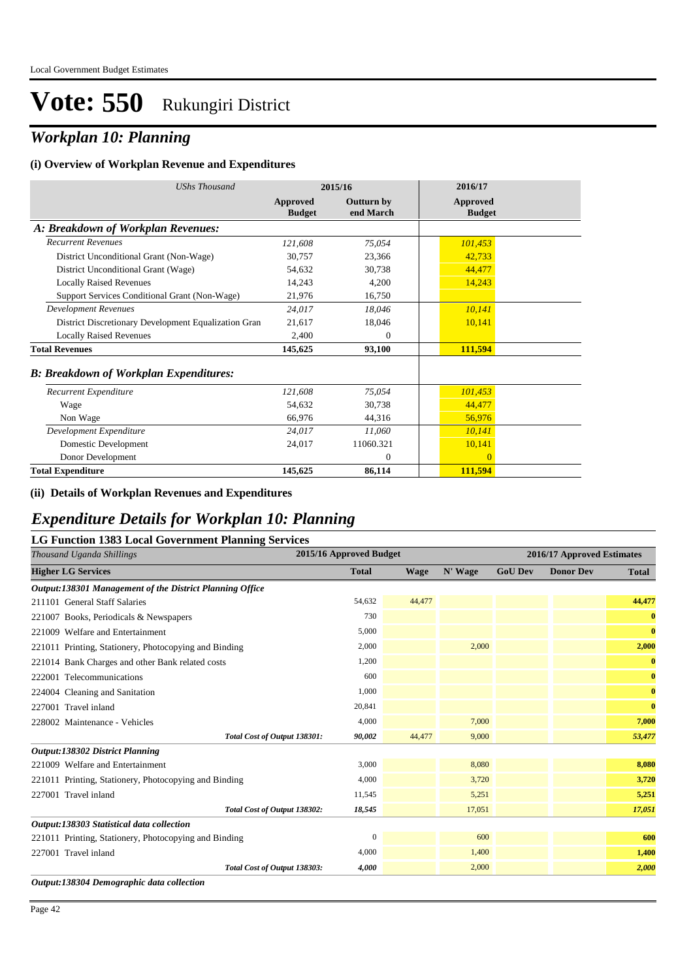## *Workplan 10: Planning*

#### **(i) Overview of Workplan Revenue and Expenditures**

| <b>UShs Thousand</b>                                 |                                  | 2015/16                        | 2016/17                          |
|------------------------------------------------------|----------------------------------|--------------------------------|----------------------------------|
|                                                      | <b>Approved</b><br><b>Budget</b> | <b>Outturn by</b><br>end March | <b>Approved</b><br><b>Budget</b> |
| A: Breakdown of Workplan Revenues:                   |                                  |                                |                                  |
| <b>Recurrent Revenues</b>                            | 121,608                          | 75,054                         | 101,453                          |
| District Unconditional Grant (Non-Wage)              | 30,757                           | 23,366                         | 42,733                           |
| District Unconditional Grant (Wage)                  | 54,632                           | 30,738                         | 44,477                           |
| <b>Locally Raised Revenues</b>                       | 14,243                           | 4,200                          | 14,243                           |
| Support Services Conditional Grant (Non-Wage)        | 21,976                           | 16,750                         |                                  |
| <b>Development Revenues</b>                          | 24,017                           | 18,046                         | 10,141                           |
| District Discretionary Development Equalization Gran | 21,617                           | 18,046                         | 10,141                           |
| <b>Locally Raised Revenues</b>                       | 2,400                            | $\theta$                       |                                  |
| <b>Total Revenues</b>                                | 145,625                          | 93,100                         | 111,594                          |
| <b>B</b> : Breakdown of Workplan Expenditures:       |                                  |                                |                                  |
| Recurrent Expenditure                                | 121,608                          | 75.054                         | 101,453                          |
| Wage                                                 | 54,632                           | 30,738                         | 44,477                           |
| Non Wage                                             | 66,976                           | 44,316                         | 56,976                           |
| Development Expenditure                              | 24,017                           | 11,060                         | 10,141                           |
| Domestic Development                                 | 24,017                           | 11060.321                      | 10,141                           |
| Donor Development                                    |                                  | $\theta$                       | $\overline{0}$                   |
| <b>Total Expenditure</b>                             | 145,625                          | 86,114                         | 111,594                          |

#### **(ii) Details of Workplan Revenues and Expenditures**

#### *Expenditure Details for Workplan 10: Planning*

#### **LG Function 1383 Local Government Planning Services**

| Thousand Uganda Shillings                                | 2015/16 Approved Budget |             |         |                | 2016/17 Approved Estimates |              |
|----------------------------------------------------------|-------------------------|-------------|---------|----------------|----------------------------|--------------|
| <b>Higher LG Services</b>                                | <b>Total</b>            | <b>Wage</b> | N' Wage | <b>GoU Dev</b> | <b>Donor Dev</b>           | <b>Total</b> |
| Output:138301 Management of the District Planning Office |                         |             |         |                |                            |              |
| 211101 General Staff Salaries                            | 54,632                  | 44,477      |         |                |                            | 44,477       |
| 221007 Books, Periodicals & Newspapers                   | 730                     |             |         |                |                            | $\bf{0}$     |
| 221009 Welfare and Entertainment                         | 5,000                   |             |         |                |                            | $\bf{0}$     |
| 221011 Printing, Stationery, Photocopying and Binding    | 2,000                   |             | 2,000   |                |                            | 2,000        |
| 221014 Bank Charges and other Bank related costs         | 1,200                   |             |         |                |                            | $\bf{0}$     |
| 222001 Telecommunications                                | 600                     |             |         |                |                            | $\bf{0}$     |
| 224004 Cleaning and Sanitation                           | 1,000                   |             |         |                |                            | $\bf{0}$     |
| 227001 Travel inland                                     | 20,841                  |             |         |                |                            | $\bf{0}$     |
| 228002 Maintenance - Vehicles                            | 4,000                   |             | 7,000   |                |                            | 7,000        |
| Total Cost of Output 138301:                             | 90,002                  | 44,477      | 9,000   |                |                            | 53,477       |
| Output:138302 District Planning                          |                         |             |         |                |                            |              |
| 221009 Welfare and Entertainment                         | 3,000                   |             | 8,080   |                |                            | 8,080        |
| 221011 Printing, Stationery, Photocopying and Binding    | 4,000                   |             | 3,720   |                |                            | 3,720        |
| 227001 Travel inland                                     | 11,545                  |             | 5,251   |                |                            | 5,251        |
| Total Cost of Output 138302:                             | 18,545                  |             | 17,051  |                |                            | 17,051       |
| Output:138303 Statistical data collection                |                         |             |         |                |                            |              |
| 221011 Printing, Stationery, Photocopying and Binding    | $\mathbf{0}$            |             | 600     |                |                            | 600          |
| 227001 Travel inland                                     | 4,000                   |             | 1,400   |                |                            | 1,400        |
| Total Cost of Output 138303:                             | 4,000                   |             | 2,000   |                |                            | 2,000        |
| Output:138304 Demographic data collection                |                         |             |         |                |                            |              |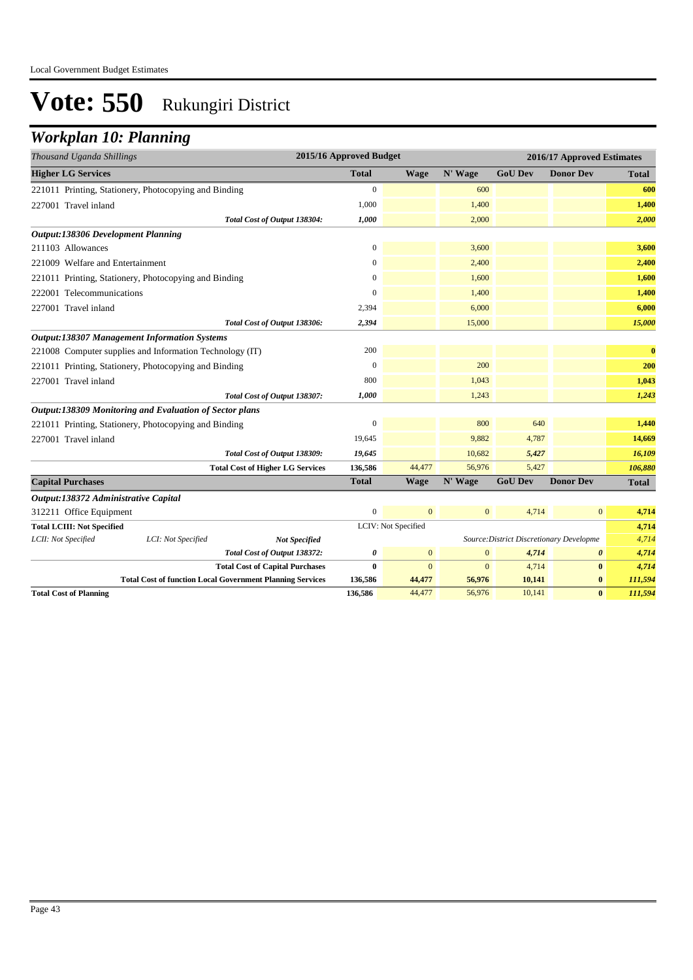## *Workplan 10: Planning*

| Thousand Uganda Shillings                 |                                                                  |                                         | 2015/16 Approved Budget |                     |                |                                          | 2016/17 Approved Estimates |              |
|-------------------------------------------|------------------------------------------------------------------|-----------------------------------------|-------------------------|---------------------|----------------|------------------------------------------|----------------------------|--------------|
| <b>Higher LG Services</b>                 |                                                                  |                                         | <b>Total</b>            | <b>Wage</b>         | N' Wage        | <b>GoU Dev</b>                           | <b>Donor Dev</b>           | <b>Total</b> |
|                                           | 221011 Printing, Stationery, Photocopying and Binding            |                                         | $\boldsymbol{0}$        |                     | 600            |                                          |                            | 600          |
| 227001 Travel inland                      |                                                                  |                                         | 1,000                   |                     | 1,400          |                                          |                            | 1,400        |
|                                           |                                                                  | Total Cost of Output 138304:            | 1,000                   |                     | 2,000          |                                          |                            | 2,000        |
| <b>Output:138306 Development Planning</b> |                                                                  |                                         |                         |                     |                |                                          |                            |              |
| 211103 Allowances                         |                                                                  |                                         | $\boldsymbol{0}$        |                     | 3,600          |                                          |                            | 3,600        |
| 221009 Welfare and Entertainment          |                                                                  |                                         | $\boldsymbol{0}$        |                     | 2,400          |                                          |                            | 2,400        |
|                                           | 221011 Printing, Stationery, Photocopying and Binding            |                                         | $\Omega$                |                     | 1,600          |                                          |                            | 1,600        |
| 222001 Telecommunications                 |                                                                  |                                         | $\overline{0}$          |                     | 1,400          |                                          |                            | 1,400        |
| 227001 Travel inland                      |                                                                  |                                         | 2,394                   |                     | 6,000          |                                          |                            | 6,000        |
|                                           |                                                                  | Total Cost of Output 138306:            | 2,394                   |                     | 15,000         |                                          |                            | 15,000       |
|                                           | <b>Output:138307 Management Information Systems</b>              |                                         |                         |                     |                |                                          |                            |              |
|                                           | 221008 Computer supplies and Information Technology (IT)         |                                         | 200                     |                     |                |                                          |                            | $\bf{0}$     |
|                                           | 221011 Printing, Stationery, Photocopying and Binding            |                                         | $\theta$                |                     | 200            |                                          |                            | 200          |
| 227001 Travel inland                      |                                                                  |                                         | 800                     |                     | 1,043          |                                          |                            | 1,043        |
|                                           |                                                                  | Total Cost of Output 138307:            | 1,000                   |                     | 1,243          |                                          |                            | 1,243        |
|                                           | Output:138309 Monitoring and Evaluation of Sector plans          |                                         |                         |                     |                |                                          |                            |              |
|                                           | 221011 Printing, Stationery, Photocopying and Binding            |                                         | $\theta$                |                     | 800            | 640                                      |                            | 1,440        |
| 227001 Travel inland                      |                                                                  |                                         | 19,645                  |                     | 9,882          | 4,787                                    |                            | 14,669       |
|                                           |                                                                  | Total Cost of Output 138309:            | 19,645                  |                     | 10,682         | 5,427                                    |                            | 16,109       |
|                                           |                                                                  | <b>Total Cost of Higher LG Services</b> | 136,586                 | 44,477              | 56,976         | 5,427                                    |                            | 106,880      |
| <b>Capital Purchases</b>                  |                                                                  |                                         | <b>Total</b>            | <b>Wage</b>         | N' Wage        | <b>GoU Dev</b>                           | <b>Donor Dev</b>           | <b>Total</b> |
| Output:138372 Administrative Capital      |                                                                  |                                         |                         |                     |                |                                          |                            |              |
| 312211 Office Equipment                   |                                                                  |                                         | $\mathbf{0}$            | $\overline{0}$      | $\overline{0}$ | 4,714                                    | $\mathbf{0}$               | 4,714        |
| <b>Total LCIII: Not Specified</b>         |                                                                  |                                         |                         | LCIV: Not Specified |                |                                          |                            | 4,714        |
| LCII: Not Specified                       | LCI: Not Specified                                               | <b>Not Specified</b>                    |                         |                     |                | Source: District Discretionary Developme |                            | 4,714        |
|                                           |                                                                  | Total Cost of Output 138372:            | $\boldsymbol{\theta}$   | $\mathbf{0}$        | $\overline{0}$ | 4,714                                    | $\boldsymbol{\theta}$      | 4,714        |
|                                           |                                                                  | <b>Total Cost of Capital Purchases</b>  | $\bf{0}$                | $\Omega$            | $\overline{0}$ | 4,714                                    | $\bf{0}$                   | 4,714        |
|                                           | <b>Total Cost of function Local Government Planning Services</b> |                                         | 136,586                 | 44,477              | 56,976         | 10,141                                   | $\bf{0}$                   | 111,594      |
| <b>Total Cost of Planning</b>             |                                                                  |                                         | 136,586                 | 44,477              | 56,976         | 10,141                                   | $\bf{0}$                   | 111,594      |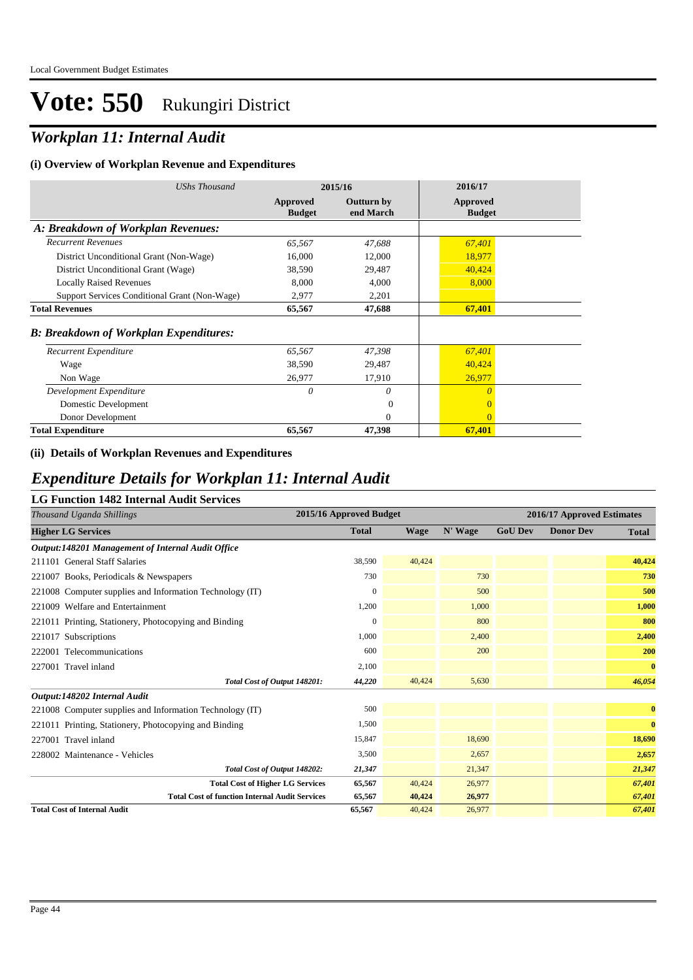## *Workplan 11: Internal Audit*

#### **(i) Overview of Workplan Revenue and Expenditures**

| UShs Thousand                                  | 2015/16                   |                                | 2016/17                          |  |
|------------------------------------------------|---------------------------|--------------------------------|----------------------------------|--|
|                                                | Approved<br><b>Budget</b> | <b>Outturn by</b><br>end March | <b>Approved</b><br><b>Budget</b> |  |
| A: Breakdown of Workplan Revenues:             |                           |                                |                                  |  |
| <b>Recurrent Revenues</b>                      | 65,567                    | 47,688                         | 67,401                           |  |
| District Unconditional Grant (Non-Wage)        | 16,000                    | 12,000                         | 18,977                           |  |
| District Unconditional Grant (Wage)            | 38,590                    | 29,487                         | 40,424                           |  |
| <b>Locally Raised Revenues</b>                 | 8,000                     | 4,000                          | 8,000                            |  |
| Support Services Conditional Grant (Non-Wage)  | 2,977                     | 2,201                          |                                  |  |
| <b>Total Revenues</b>                          | 65,567                    | 47,688                         | 67,401                           |  |
| <b>B</b> : Breakdown of Workplan Expenditures: |                           |                                |                                  |  |
| Recurrent Expenditure                          | 65,567                    | 47,398                         | 67,401                           |  |
| Wage                                           | 38,590                    | 29,487                         | 40,424                           |  |
| Non Wage                                       | 26,977                    | 17,910                         | 26,977                           |  |
| Development Expenditure                        | 0                         | 0                              | $\theta$                         |  |
| Domestic Development                           |                           | $\Omega$                       | $\overline{0}$                   |  |
| Donor Development                              |                           | $\Omega$                       | $\Omega$                         |  |
| <b>Total Expenditure</b>                       | 65,567                    | 47,398                         | 67,401                           |  |

#### **(ii) Details of Workplan Revenues and Expenditures**

#### *Expenditure Details for Workplan 11: Internal Audit*

#### **LG Function 1482 Internal Audit Services**

| Thousand Uganda Shillings                                | 2015/16 Approved Budget |        |         |                | 2016/17 Approved Estimates |              |  |
|----------------------------------------------------------|-------------------------|--------|---------|----------------|----------------------------|--------------|--|
| <b>Higher LG Services</b>                                | <b>Total</b>            | Wage   | N' Wage | <b>GoU Dev</b> | <b>Donor Dev</b>           | <b>Total</b> |  |
| Output:148201 Management of Internal Audit Office        |                         |        |         |                |                            |              |  |
| 211101 General Staff Salaries                            | 38,590                  | 40,424 |         |                |                            | 40,424       |  |
| 221007 Books, Periodicals & Newspapers                   | 730                     |        | 730     |                |                            | 730          |  |
| 221008 Computer supplies and Information Technology (IT) | $\mathbf{0}$            |        | 500     |                |                            | 500          |  |
| 221009 Welfare and Entertainment                         | 1,200                   |        | 1,000   |                |                            | 1,000        |  |
| 221011 Printing, Stationery, Photocopying and Binding    | $\mathbf{0}$            |        | 800     |                |                            | 800          |  |
| 221017 Subscriptions                                     | 1,000                   |        | 2,400   |                |                            | 2,400        |  |
| 222001 Telecommunications                                | 600                     |        | 200     |                |                            | 200          |  |
| 227001 Travel inland                                     | 2,100                   |        |         |                |                            | $\bf{0}$     |  |
| Total Cost of Output 148201:                             | 44,220                  | 40,424 | 5,630   |                |                            | 46,054       |  |
| Output:148202 Internal Audit                             |                         |        |         |                |                            |              |  |
| 221008 Computer supplies and Information Technology (IT) | 500                     |        |         |                |                            | $\bf{0}$     |  |
| 221011 Printing, Stationery, Photocopying and Binding    | 1,500                   |        |         |                |                            | $\bf{0}$     |  |
| 227001 Travel inland                                     | 15,847                  |        | 18,690  |                |                            | 18,690       |  |
| 228002 Maintenance - Vehicles                            | 3,500                   |        | 2,657   |                |                            | 2,657        |  |
| Total Cost of Output 148202:                             | 21,347                  |        | 21,347  |                |                            | 21,347       |  |
| <b>Total Cost of Higher LG Services</b>                  | 65,567                  | 40,424 | 26,977  |                |                            | 67,401       |  |
| <b>Total Cost of function Internal Audit Services</b>    | 65,567                  | 40,424 | 26,977  |                |                            | 67,401       |  |
| <b>Total Cost of Internal Audit</b>                      | 65,567                  | 40,424 | 26,977  |                |                            | 67,401       |  |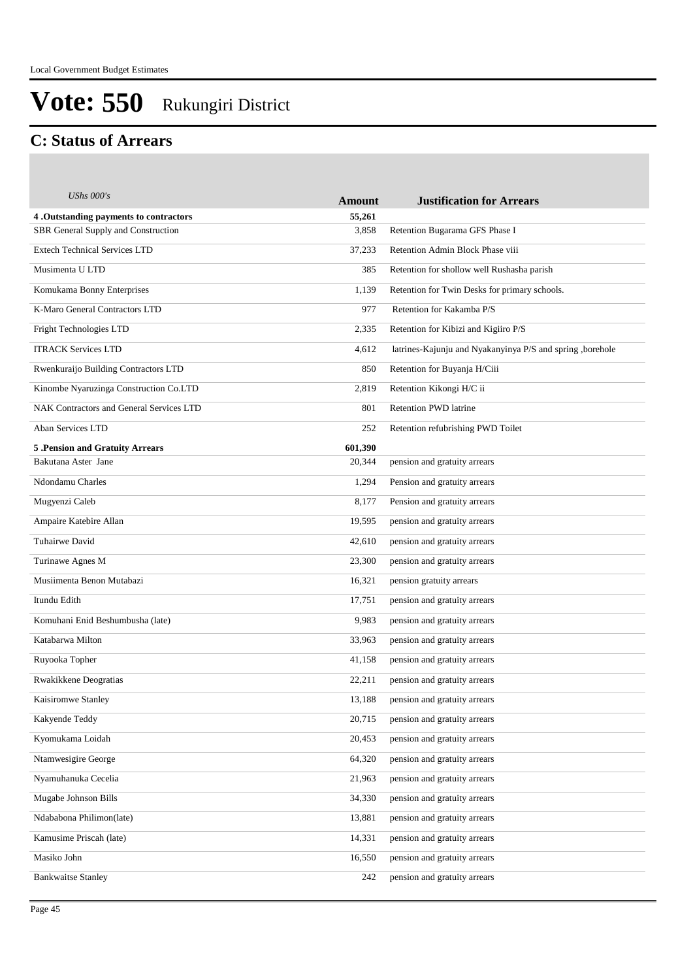#### **C: Status of Arrears**

| <b>UShs 000's</b>                        | <b>Amount</b> | <b>Justification for Arrears</b>                           |
|------------------------------------------|---------------|------------------------------------------------------------|
| 4. Outstanding payments to contractors   | 55,261        |                                                            |
| SBR General Supply and Construction      | 3,858         | Retention Bugarama GFS Phase I                             |
| <b>Extech Technical Services LTD</b>     | 37,233        | Retention Admin Block Phase viii                           |
| Musimenta U LTD                          | 385           | Retention for shollow well Rushasha parish                 |
| Komukama Bonny Enterprises               | 1,139         | Retention for Twin Desks for primary schools.              |
| K-Maro General Contractors LTD           | 977           | Retention for Kakamba P/S                                  |
| Fright Technologies LTD                  | 2,335         | Retention for Kibizi and Kigiiro P/S                       |
| <b>ITRACK Services LTD</b>               | 4,612         | latrines-Kajunju and Nyakanyinya P/S and spring , borehole |
| Rwenkuraijo Building Contractors LTD     | 850           | Retention for Buyanja H/Ciii                               |
| Kinombe Nyaruzinga Construction Co.LTD   | 2,819         | Retention Kikongi H/C ii                                   |
| NAK Contractors and General Services LTD | 801           | <b>Retention PWD latrine</b>                               |
| Aban Services LTD                        | 252           | Retention refubrishing PWD Toilet                          |
| 5. Pension and Gratuity Arrears          | 601,390       |                                                            |
| Bakutana Aster Jane                      | 20,344        | pension and gratuity arrears                               |
| Ndondamu Charles                         | 1,294         | Pension and gratuity arrears                               |
| Mugyenzi Caleb                           | 8,177         | Pension and gratuity arrears                               |
| Ampaire Katebire Allan                   | 19,595        | pension and gratuity arrears                               |
| Tuhairwe David                           | 42,610        | pension and gratuity arrears                               |
| Turinawe Agnes M                         | 23,300        | pension and gratuity arrears                               |
| Musiimenta Benon Mutabazi                | 16,321        | pension gratuity arrears                                   |
| Itundu Edith                             | 17,751        | pension and gratuity arrears                               |
| Komuhani Enid Beshumbusha (late)         | 9,983         | pension and gratuity arrears                               |
| Katabarwa Milton                         | 33,963        | pension and gratuity arrears                               |
| Ruyooka Topher                           | 41,158        | pension and gratuity arrears                               |
| Rwakikkene Deogratias                    | 22,211        | pension and gratuity arrears                               |
| Kaisiromwe Stanley                       | 13,188        | pension and gratuity arrears                               |
| Kakyende Teddy                           | 20,715        | pension and gratuity arrears                               |
| Kyomukama Loidah                         | 20,453        | pension and gratuity arrears                               |
| Ntamwesigire George                      | 64,320        | pension and gratuity arrears                               |
| Nyamuhanuka Cecelia                      | 21,963        | pension and gratuity arrears                               |
| Mugabe Johnson Bills                     | 34,330        | pension and gratuity arrears                               |
| Ndababona Philimon(late)                 | 13,881        | pension and gratuity arrears                               |
| Kamusime Priscah (late)                  | 14,331        | pension and gratuity arrears                               |
| Masiko John                              | 16,550        | pension and gratuity arrears                               |
| <b>Bankwaitse Stanley</b>                | 242           | pension and gratuity arrears                               |